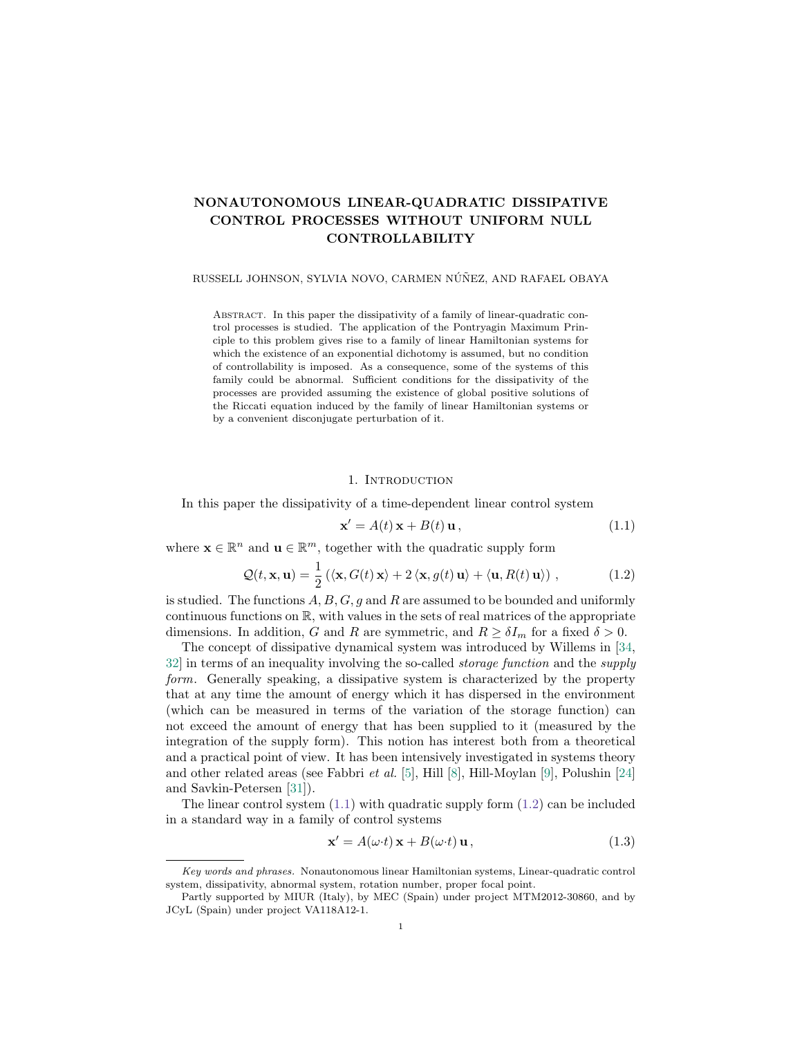# <span id="page-0-3"></span>NONAUTONOMOUS LINEAR-QUADRATIC DISSIPATIVE CONTROL PROCESSES WITHOUT UNIFORM NULL CONTROLLABILITY

### RUSSELL JOHNSON, SYLVIA NOVO, CARMEN NÚÑEZ, AND RAFAEL OBAYA

Abstract. In this paper the dissipativity of a family of linear-quadratic control processes is studied. The application of the Pontryagin Maximum Principle to this problem gives rise to a family of linear Hamiltonian systems for which the existence of an exponential dichotomy is assumed, but no condition of controllability is imposed. As a consequence, some of the systems of this family could be abnormal. Sufficient conditions for the dissipativity of the processes are provided assuming the existence of global positive solutions of the Riccati equation induced by the family of linear Hamiltonian systems or by a convenient disconjugate perturbation of it.

#### 1. INTRODUCTION

In this paper the dissipativity of a time-dependent linear control system

<span id="page-0-0"></span>
$$
\mathbf{x}' = A(t)\mathbf{x} + B(t)\mathbf{u},\tag{1.1}
$$

where  $\mathbf{x} \in \mathbb{R}^n$  and  $\mathbf{u} \in \mathbb{R}^m$ , together with the quadratic supply form

<span id="page-0-1"></span>
$$
\mathcal{Q}(t, \mathbf{x}, \mathbf{u}) = \frac{1}{2} (\langle \mathbf{x}, G(t) \mathbf{x} \rangle + 2 \langle \mathbf{x}, g(t) \mathbf{u} \rangle + \langle \mathbf{u}, R(t) \mathbf{u} \rangle), \qquad (1.2)
$$

is studied. The functions  $A, B, G, g$  and R are assumed to be bounded and uniformly continuous functions on  $\mathbb{R}$ , with values in the sets of real matrices of the appropriate dimensions. In addition, G and R are symmetric, and  $R \geq \delta I_m$  for a fixed  $\delta > 0$ .

The concept of dissipative dynamical system was introduced by Willems in [\[34,](#page-28-0) [32\]](#page-28-1) in terms of an inequality involving the so-called storage function and the supply form. Generally speaking, a dissipative system is characterized by the property that at any time the amount of energy which it has dispersed in the environment (which can be measured in terms of the variation of the storage function) can not exceed the amount of energy that has been supplied to it (measured by the integration of the supply form). This notion has interest both from a theoretical and a practical point of view. It has been intensively investigated in systems theory and other related areas (see Fabbri *et al.* [\[5\]](#page-27-0), Hill [\[8\]](#page-27-1), Hill-Moylan [\[9\]](#page-27-2), Polushin [\[24\]](#page-28-2) and Savkin-Petersen [\[31\]](#page-28-3)).

The linear control system  $(1.1)$  with quadratic supply form  $(1.2)$  can be included in a standard way in a family of control systems

<span id="page-0-2"></span>
$$
\mathbf{x}' = A(\omega \cdot t) \mathbf{x} + B(\omega \cdot t) \mathbf{u},\tag{1.3}
$$

Key words and phrases. Nonautonomous linear Hamiltonian systems, Linear-quadratic control system, dissipativity, abnormal system, rotation number, proper focal point.

Partly supported by MIUR (Italy), by MEC (Spain) under project MTM2012-30860, and by JCyL (Spain) under project VA118A12-1.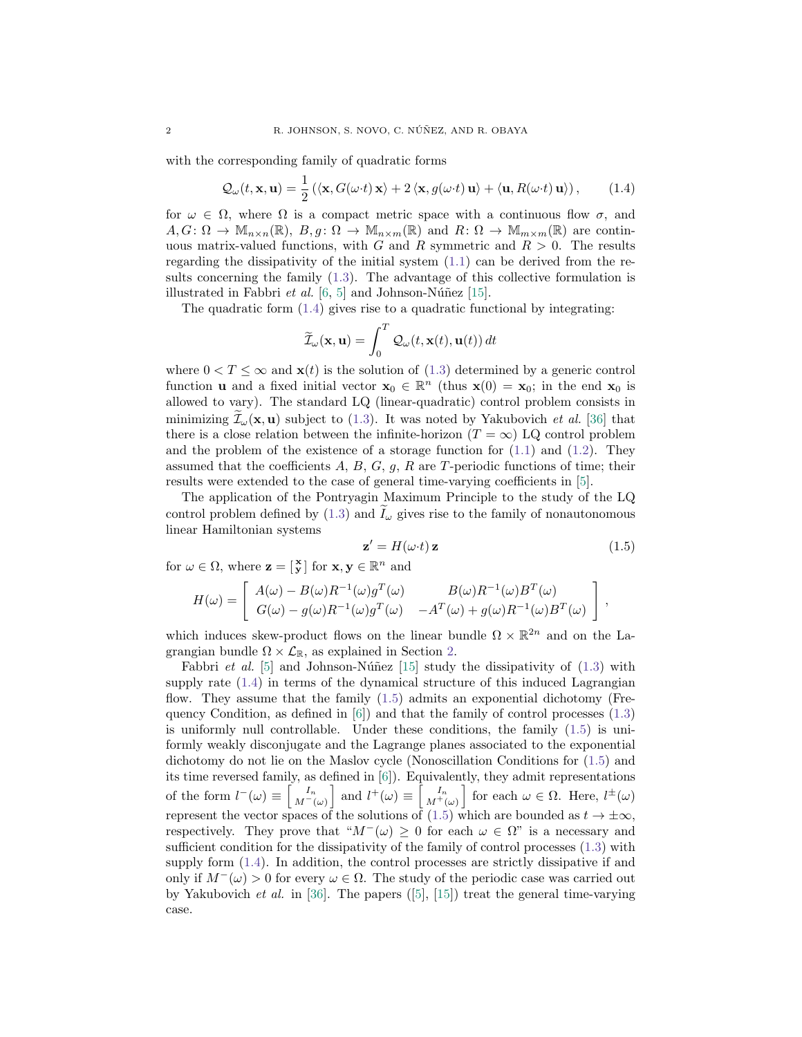with the corresponding family of quadratic forms

<span id="page-1-0"></span>
$$
\mathcal{Q}_{\omega}(t, \mathbf{x}, \mathbf{u}) = \frac{1}{2} \left( \langle \mathbf{x}, G(\omega \cdot t) \mathbf{x} \rangle + 2 \langle \mathbf{x}, g(\omega \cdot t) \mathbf{u} \rangle + \langle \mathbf{u}, R(\omega \cdot t) \mathbf{u} \rangle \right), \tag{1.4}
$$

for  $\omega \in \Omega$ , where  $\Omega$  is a compact metric space with a continuous flow  $\sigma$ , and  $A, G: \Omega \to \mathbb{M}_{n \times n}(\mathbb{R}), B, g: \Omega \to \mathbb{M}_{n \times m}(\mathbb{R})$  and  $R: \Omega \to \mathbb{M}_{m \times m}(\mathbb{R})$  are continuous matrix-valued functions, with G and R symmetric and  $R > 0$ . The results regarding the dissipativity of the initial system [\(1.1\)](#page-0-0) can be derived from the results concerning the family [\(1.3\)](#page-0-2). The advantage of this collective formulation is illustrated in Fabbri *et al.* [\[6,](#page-27-3) [5\]](#page-27-0) and Johnson-Núñez [\[15\]](#page-27-4).

The quadratic form [\(1.4\)](#page-1-0) gives rise to a quadratic functional by integrating:

$$
\widetilde{\mathcal{I}}_{\omega}(\mathbf{x}, \mathbf{u}) = \int_0^T \mathcal{Q}_{\omega}(t, \mathbf{x}(t), \mathbf{u}(t)) dt
$$

where  $0 < T \leq \infty$  and  $\mathbf{x}(t)$  is the solution of [\(1.3\)](#page-0-2) determined by a generic control function **u** and a fixed initial vector  $\mathbf{x}_0 \in \mathbb{R}^n$  (thus  $\mathbf{x}(0) = \mathbf{x}_0$ ; in the end  $\mathbf{x}_0$  is allowed to vary). The standard LQ (linear-quadratic) control problem consists in minimizing  $\mathcal{I}_{\omega}(\mathbf{x}, \mathbf{u})$  subject to [\(1.3\)](#page-0-2). It was noted by Yakubovich *et al.* [\[36\]](#page-28-4) that there is a close relation between the infinite-horizon  $(T = \infty)$  LQ control problem and the problem of the existence of a storage function for  $(1.1)$  and  $(1.2)$ . They assumed that the coefficients  $A, B, G, g, R$  are T-periodic functions of time; their results were extended to the case of general time-varying coefficients in [\[5\]](#page-27-0).

The application of the Pontryagin Maximum Principle to the study of the LQ control problem defined by [\(1.3\)](#page-0-2) and  $I_{\omega}$  gives rise to the family of nonautonomous linear Hamiltonian systems

<span id="page-1-1"></span>
$$
\mathbf{z}' = H(\omega \cdot t) \mathbf{z} \tag{1.5}
$$

for  $\omega \in \Omega$ , where  $\mathbf{z} = \begin{bmatrix} \mathbf{x} \\ \mathbf{y} \end{bmatrix}$  for  $\mathbf{x}, \mathbf{y} \in \mathbb{R}^n$  and

$$
H(\omega) = \begin{bmatrix} A(\omega) - B(\omega)R^{-1}(\omega)g^{T}(\omega) & B(\omega)R^{-1}(\omega)B^{T}(\omega) \\ G(\omega) - g(\omega)R^{-1}(\omega)g^{T}(\omega) & -A^{T}(\omega) + g(\omega)R^{-1}(\omega)B^{T}(\omega) \end{bmatrix},
$$

which induces skew-product flows on the linear bundle  $\Omega \times \mathbb{R}^{2n}$  and on the Lagrangian bundle  $\Omega \times \mathcal{L}_{\mathbb{R}}$ , as explained in Section [2.](#page-3-0)

Fabbri *et al.* [\[5\]](#page-27-0) and Johnson-Núñez [\[15\]](#page-27-4) study the dissipativity of  $(1.3)$  with supply rate [\(1.4\)](#page-1-0) in terms of the dynamical structure of this induced Lagrangian flow. They assume that the family [\(1.5\)](#page-1-1) admits an exponential dichotomy (Frequency Condition, as defined in  $[6]$ ) and that the family of control processes  $(1.3)$ is uniformly null controllable. Under these conditions, the family [\(1.5\)](#page-1-1) is uniformly weakly disconjugate and the Lagrange planes associated to the exponential dichotomy do not lie on the Maslov cycle (Nonoscillation Conditions for [\(1.5\)](#page-1-1) and its time reversed family, as defined in [\[6\]](#page-27-3)). Equivalently, they admit representations of the form  $l^-(\omega) \equiv \begin{bmatrix} I_n \\ M^-(\omega) \end{bmatrix}$  and  $l^+(\omega) \equiv \begin{bmatrix} I_n \\ M^+(\omega) \end{bmatrix}$  for each  $\omega \in \Omega$ . Here,  $l^{\pm}(\omega)$ represent the vector spaces of the solutions of  $(1.5)$  which are bounded as  $t \to \pm \infty$ , respectively. They prove that " $M^{-}(\omega) > 0$  for each  $\omega \in \Omega$ " is a necessary and sufficient condition for the dissipativity of the family of control processes [\(1.3\)](#page-0-2) with supply form [\(1.4\)](#page-1-0). In addition, the control processes are strictly dissipative if and only if  $M^{-}(\omega) > 0$  for every  $\omega \in \Omega$ . The study of the periodic case was carried out by Yakubovich *et al.* in [\[36\]](#page-28-4). The papers  $([5], [15])$  $([5], [15])$  $([5], [15])$  $([5], [15])$  $([5], [15])$  treat the general time-varying case.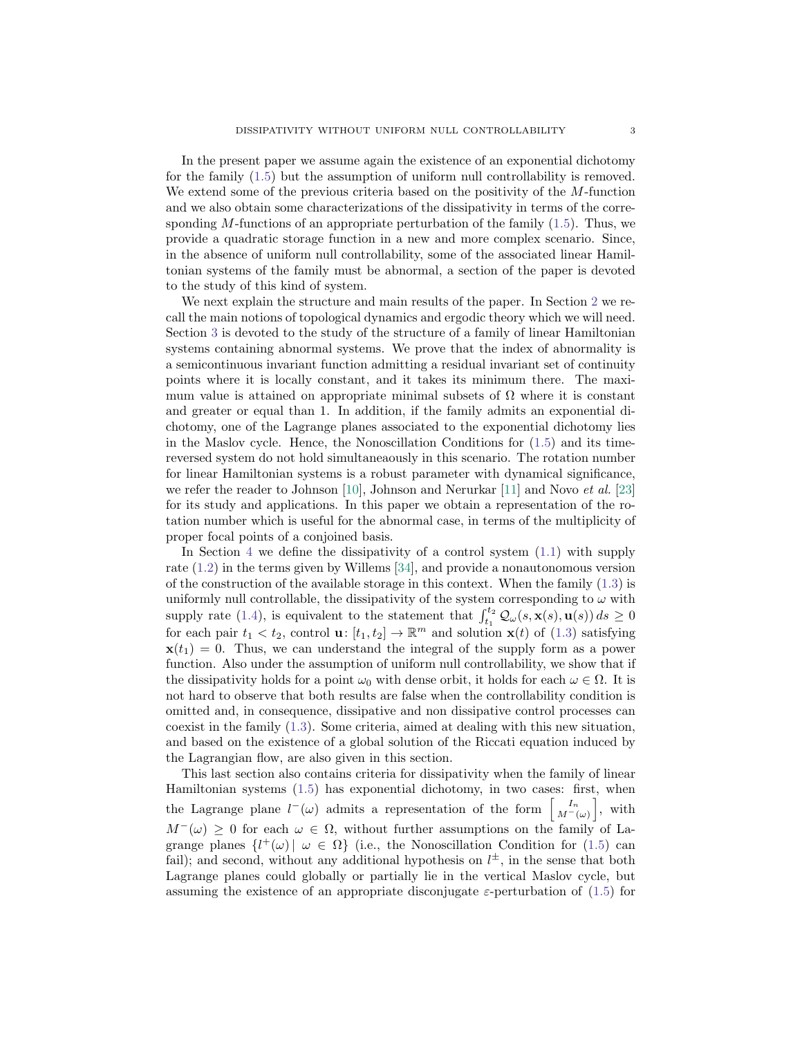In the present paper we assume again the existence of an exponential dichotomy for the family [\(1.5\)](#page-1-1) but the assumption of uniform null controllability is removed. We extend some of the previous criteria based on the positivity of the M-function and we also obtain some characterizations of the dissipativity in terms of the corresponding  $M$ -functions of an appropriate perturbation of the family  $(1.5)$ . Thus, we provide a quadratic storage function in a new and more complex scenario. Since, in the absence of uniform null controllability, some of the associated linear Hamiltonian systems of the family must be abnormal, a section of the paper is devoted to the study of this kind of system.

We next explain the structure and main results of the paper. In Section [2](#page-3-0) we recall the main notions of topological dynamics and ergodic theory which we will need. Section [3](#page-6-0) is devoted to the study of the structure of a family of linear Hamiltonian systems containing abnormal systems. We prove that the index of abnormality is a semicontinuous invariant function admitting a residual invariant set of continuity points where it is locally constant, and it takes its minimum there. The maximum value is attained on appropriate minimal subsets of  $\Omega$  where it is constant and greater or equal than 1. In addition, if the family admits an exponential dichotomy, one of the Lagrange planes associated to the exponential dichotomy lies in the Maslov cycle. Hence, the Nonoscillation Conditions for  $(1.5)$  and its timereversed system do not hold simultaneaously in this scenario. The rotation number for linear Hamiltonian systems is a robust parameter with dynamical significance, we refer the reader to Johnson  $[10]$ , Johnson and Nerurkar  $[11]$  and Novo *et al.*  $[23]$ for its study and applications. In this paper we obtain a representation of the rotation number which is useful for the abnormal case, in terms of the multiplicity of proper focal points of a conjoined basis.

In Section [4](#page-14-0) we define the dissipativity of a control system  $(1.1)$  with supply rate [\(1.2\)](#page-0-1) in the terms given by Willems [\[34\]](#page-28-0), and provide a nonautonomous version of the construction of the available storage in this context. When the family  $(1.3)$  is uniformly null controllable, the dissipativity of the system corresponding to  $\omega$  with supply rate [\(1.4\)](#page-1-0), is equivalent to the statement that  $\int_{t_1}^{t_2} \mathcal{Q}_{\omega}(s, \mathbf{x}(s), \mathbf{u}(s)) ds \ge 0$ for each pair  $t_1 < t_2$ , control  $\mathbf{u}: [t_1, t_2] \to \mathbb{R}^m$  and solution  $\mathbf{x}(t)$  of  $(1.3)$  satisfying  $\mathbf{x}(t_1) = 0$ . Thus, we can understand the integral of the supply form as a power function. Also under the assumption of uniform null controllability, we show that if the dissipativity holds for a point  $\omega_0$  with dense orbit, it holds for each  $\omega \in \Omega$ . It is not hard to observe that both results are false when the controllability condition is omitted and, in consequence, dissipative and non dissipative control processes can coexist in the family [\(1.3\)](#page-0-2). Some criteria, aimed at dealing with this new situation, and based on the existence of a global solution of the Riccati equation induced by the Lagrangian flow, are also given in this section.

This last section also contains criteria for dissipativity when the family of linear Hamiltonian systems [\(1.5\)](#page-1-1) has exponential dichotomy, in two cases: first, when the Lagrange plane  $l^-(\omega)$  admits a representation of the form  $\begin{bmatrix} I_n \\ M^-(\omega) \end{bmatrix}$ , with  $M^-(\omega) \geq 0$  for each  $\omega \in \Omega$ , without further assumptions on the family of Lagrange planes  $\{l^+(\omega)\}\ \omega \in \Omega\}$  (i.e., the Nonoscillation Condition for [\(1.5\)](#page-1-1) can fail); and second, without any additional hypothesis on  $l^{\pm}$ , in the sense that both Lagrange planes could globally or partially lie in the vertical Maslov cycle, but assuming the existence of an appropriate disconjugate  $\varepsilon$ -perturbation of [\(1.5\)](#page-1-1) for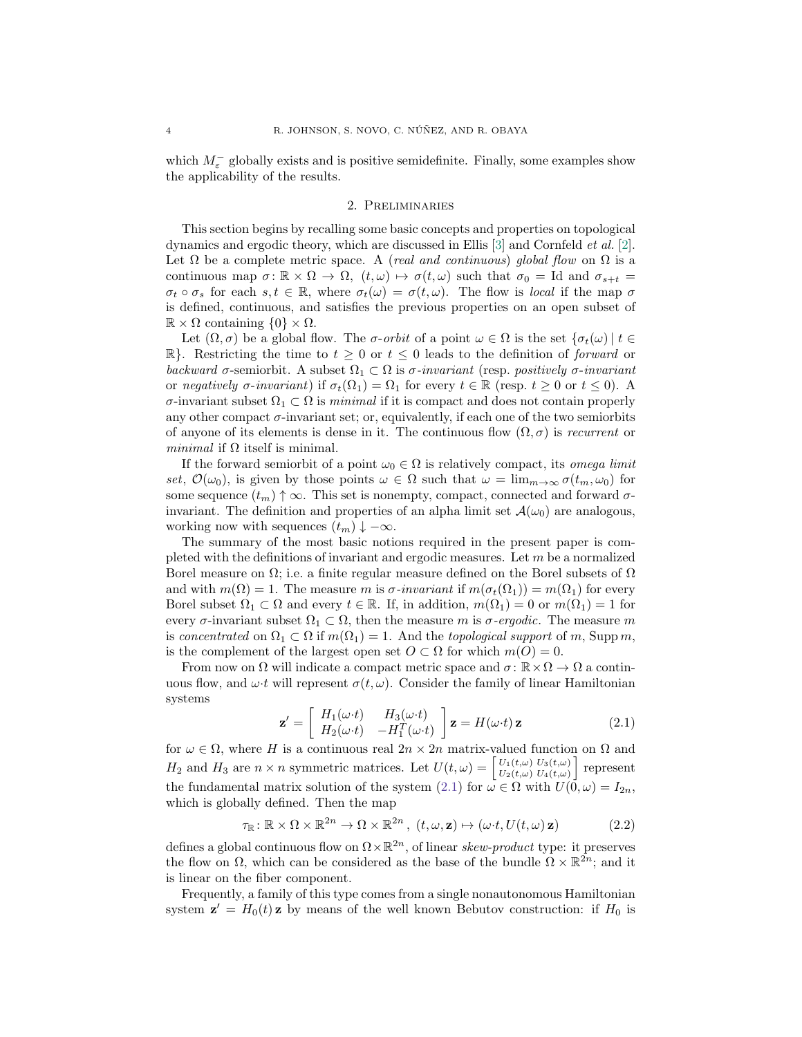which  $M_{\varepsilon}^{-}$  globally exists and is positive semidefinite. Finally, some examples show the applicability of the results.

#### 2. Preliminaries

<span id="page-3-0"></span>This section begins by recalling some basic concepts and properties on topological dynamics and ergodic theory, which are discussed in Ellis [\[3\]](#page-27-7) and Cornfeld et al. [\[2\]](#page-27-8). Let  $\Omega$  be a complete metric space. A (real and continuous) global flow on  $\Omega$  is a continuous map  $\sigma: \mathbb{R} \times \Omega \to \Omega$ ,  $(t, \omega) \mapsto \sigma(t, \omega)$  such that  $\sigma_0 = \text{Id}$  and  $\sigma_{s+t} =$  $\sigma_t \circ \sigma_s$  for each  $s, t \in \mathbb{R}$ , where  $\sigma_t(\omega) = \sigma(t, \omega)$ . The flow is local if the map  $\sigma$ is defined, continuous, and satisfies the previous properties on an open subset of  $\mathbb{R} \times \Omega$  containing  $\{0\} \times \Omega$ .

Let  $(\Omega, \sigma)$  be a global flow. The  $\sigma$ -orbit of a point  $\omega \in \Omega$  is the set  $\{\sigma_t(\omega) \mid t \in$ R}. Restricting the time to  $t \geq 0$  or  $t \leq 0$  leads to the definition of *forward* or backward  $\sigma$ -semiorbit. A subset  $\Omega_1 \subset \Omega$  is  $\sigma$ -invariant (resp. positively  $\sigma$ -invariant or negatively  $\sigma$ -invariant) if  $\sigma_t(\Omega_1) = \Omega_1$  for every  $t \in \mathbb{R}$  (resp.  $t \geq 0$  or  $t \leq 0$ ). A σ-invariant subset  $Ω_1 ⊂ Ω$  is minimal if it is compact and does not contain properly any other compact  $\sigma$ -invariant set; or, equivalently, if each one of the two semiorbits of anyone of its elements is dense in it. The continuous flow  $(\Omega, \sigma)$  is recurrent or *minimal* if  $\Omega$  itself is minimal.

If the forward semiorbit of a point  $\omega_0 \in \Omega$  is relatively compact, its *omega limit* set,  $\mathcal{O}(\omega_0)$ , is given by those points  $\omega \in \Omega$  such that  $\omega = \lim_{m\to\infty} \sigma(t_m, \omega_0)$  for some sequence  $(t_m) \uparrow \infty$ . This set is nonempty, compact, connected and forward  $\sigma$ invariant. The definition and properties of an alpha limit set  $\mathcal{A}(\omega_0)$  are analogous, working now with sequences  $(t_m) \downarrow -\infty$ .

The summary of the most basic notions required in the present paper is completed with the definitions of invariant and ergodic measures. Let m be a normalized Borel measure on  $\Omega$ ; i.e. a finite regular measure defined on the Borel subsets of  $\Omega$ and with  $m(\Omega) = 1$ . The measure m is  $\sigma$ -invariant if  $m(\sigma_t(\Omega_1)) = m(\Omega_1)$  for every Borel subset  $\Omega_1 \subset \Omega$  and every  $t \in \mathbb{R}$ . If, in addition,  $m(\Omega_1) = 0$  or  $m(\Omega_1) = 1$  for every  $\sigma$ -invariant subset  $\Omega_1 \subset \Omega$ , then the measure m is  $\sigma$ -ergodic. The measure m is concentrated on  $\Omega_1 \subset \Omega$  if  $m(\Omega_1) = 1$ . And the topological support of m, Supp m, is the complement of the largest open set  $O \subset \Omega$  for which  $m(O) = 0$ .

From now on  $\Omega$  will indicate a compact metric space and  $\sigma : \mathbb{R} \times \Omega \to \Omega$  a continuous flow, and  $\omega \cdot t$  will represent  $\sigma(t, \omega)$ . Consider the family of linear Hamiltonian systems

<span id="page-3-1"></span>
$$
\mathbf{z}' = \begin{bmatrix} H_1(\omega \cdot t) & H_3(\omega \cdot t) \\ H_2(\omega \cdot t) & -H_1^T(\omega \cdot t) \end{bmatrix} \mathbf{z} = H(\omega \cdot t) \mathbf{z}
$$
(2.1)

for  $\omega \in \Omega$ , where H is a continuous real  $2n \times 2n$  matrix-valued function on  $\Omega$  and  $H_2$  and  $H_3$  are  $n \times n$  symmetric matrices. Let  $U(t, \omega) = \begin{bmatrix} U_1(t, \omega) & U_3(t, \omega) \\ U_2(t, \omega) & U_4(t, \omega) \end{bmatrix}$  $\left[\begin{smallmatrix} U_1(t,\omega) & U_3(t,\omega) \ U_2(t,\omega) & U_4(t,\omega) \end{smallmatrix}\right]$  represent the fundamental matrix solution of the system [\(2.1\)](#page-3-1) for  $\omega \in \Omega$  with  $U(\bar{0}, \omega) = I_{2n}$ , which is globally defined. Then the map

<span id="page-3-2"></span>
$$
\tau_{\mathbb{R}} : \mathbb{R} \times \Omega \times \mathbb{R}^{2n} \to \Omega \times \mathbb{R}^{2n}, \ (t, \omega, \mathbf{z}) \mapsto (\omega \cdot t, U(t, \omega) \mathbf{z}) \tag{2.2}
$$

defines a global continuous flow on  $\Omega \times \mathbb{R}^{2n}$ , of linear skew-product type: it preserves the flow on  $\Omega$ , which can be considered as the base of the bundle  $\Omega \times \mathbb{R}^{2n}$ ; and it is linear on the fiber component.

Frequently, a family of this type comes from a single nonautonomous Hamiltonian system  $\mathbf{z}' = H_0(t) \mathbf{z}$  by means of the well known Bebutov construction: if  $H_0$  is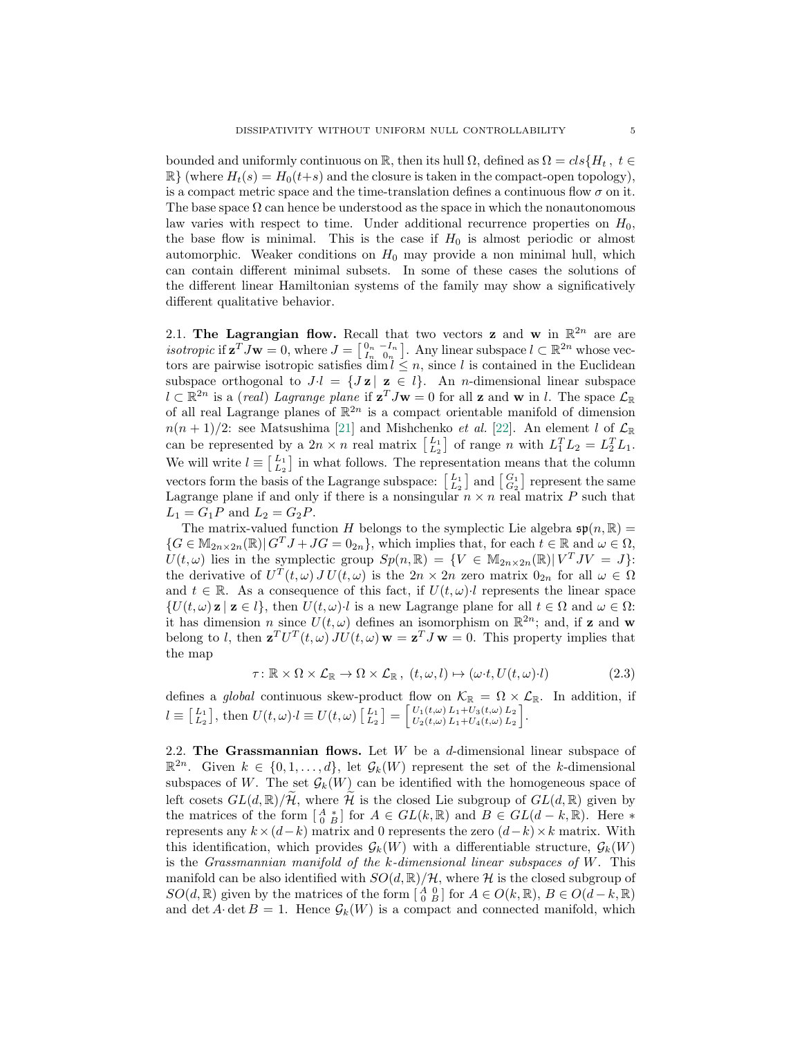bounded and uniformly continuous on R, then its hull  $\Omega$ , defined as  $\Omega = \text{cls}\{H_t, t \in$  $\mathbb{R}$  (where  $H_t(s) = H_0(t+s)$  and the closure is taken in the compact-open topology), is a compact metric space and the time-translation defines a continuous flow  $\sigma$  on it. The base space  $\Omega$  can hence be understood as the space in which the nonautonomous law varies with respect to time. Under additional recurrence properties on  $H_0$ , the base flow is minimal. This is the case if  $H_0$  is almost periodic or almost automorphic. Weaker conditions on  $H_0$  may provide a non minimal hull, which can contain different minimal subsets. In some of these cases the solutions of the different linear Hamiltonian systems of the family may show a significatively different qualitative behavior.

2.1. The Lagrangian flow. Recall that two vectors **z** and **w** in  $\mathbb{R}^{2n}$  are are *isotropic* if  $\mathbf{z}^T J \mathbf{w} = 0$ , where  $J = \begin{bmatrix} 0 & -I_n \\ I_n & 0_n \end{bmatrix}$ . Any linear subspace  $l \subset \mathbb{R}^{2n}$  whose vectors are pairwise isotropic satisfies dim  $l \leq n$ , since l is contained in the Euclidean subspace orthogonal to  $J \cdot l = \{ J \mathbf{z} \mid \mathbf{z} \in l \}.$  An *n*-dimensional linear subspace  $l \subset \mathbb{R}^{2n}$  is a *(real)* Lagrange plane if  $\mathbf{z}^T J \mathbf{w} = 0$  for all **z** and **w** in l. The space  $\mathcal{L}_{\mathbb{R}}$ of all real Lagrange planes of  $\mathbb{R}^{2n}$  is a compact orientable manifold of dimension  $n(n+1)/2$ : see Matsushima [\[21\]](#page-28-6) and Mishchenko *et al.* [\[22\]](#page-28-7). An element *l* of  $\mathcal{L}_{\mathbb{R}}$ can be represented by a  $2n \times n$  real matrix  $\begin{bmatrix} L_1 \\ L_2 \end{bmatrix}$  of range n with  $L_1^T L_2 = L_2^T L_1$ . We will write  $l \equiv \begin{bmatrix} L_1 \\ L_2 \end{bmatrix}$  in what follows. The representation means that the column vectors form the basis of the Lagrange subspace:  $\begin{bmatrix} L_1 \\ L_2 \end{bmatrix}$  and  $\begin{bmatrix} G_1 \\ G_2 \end{bmatrix}$  represent the same Lagrange plane if and only if there is a nonsingular  $n \times n$  real matrix P such that  $L_1 = G_1 P$  and  $L_2 = G_2 P$ .

The matrix-valued function H belongs to the symplectic Lie algebra  $\mathfrak{sp}(n,\mathbb{R})=$  ${G \in \mathbb{M}_{2n \times 2n}(\mathbb{R}) | G^T J + J G = 0_{2n}}$ , which implies that, for each  $t \in \mathbb{R}$  and  $\omega \in \Omega$ ,  $U(t,\omega)$  lies in the symplectic group  $Sp(n,\mathbb{R}) = \{V \in \mathbb{M}_{2n \times 2n}(\mathbb{R}) | V^T J V = J \}$ : the derivative of  $U^T(t,\omega) J U(t,\omega)$  is the  $2n \times 2n$  zero matrix  $0_{2n}$  for all  $\omega \in \Omega$ and  $t \in \mathbb{R}$ . As a consequence of this fact, if  $U(t, \omega) \cdot l$  represents the linear space  $\{U(t,\omega) \mathbf{z} \mid \mathbf{z} \in l\}$ , then  $U(t,\omega)\cdot l$  is a new Lagrange plane for all  $t \in \Omega$  and  $\omega \in \Omega$ : it has dimension n since  $U(t, \omega)$  defines an isomorphism on  $\mathbb{R}^{2n}$ ; and, if z and w belong to l, then  $\mathbf{z}^T U^T(t,\omega) J U(t,\omega) \mathbf{w} = \mathbf{z}^T J \mathbf{w} = 0$ . This property implies that the map

<span id="page-4-0"></span>
$$
\tau: \mathbb{R} \times \Omega \times \mathcal{L}_{\mathbb{R}} \to \Omega \times \mathcal{L}_{\mathbb{R}}, \ (t, \omega, l) \mapsto (\omega \cdot t, U(t, \omega) \cdot l) \tag{2.3}
$$

defines a *global* continuous skew-product flow on  $\mathcal{K}_{\mathbb{R}} = \Omega \times \mathcal{L}_{\mathbb{R}}$ . In addition, if  $l \equiv \begin{bmatrix} L_1 \\ L_2 \end{bmatrix}$ , then  $U(t, \omega) \cdot l \equiv U(t, \omega) \begin{bmatrix} L_1 \\ L_2 \end{bmatrix} = \begin{bmatrix} U_1(t, \omega) L_1 + U_3(t, \omega) L_2 \\ U_2(t, \omega) L_1 + U_4(t, \omega) L_2 \end{bmatrix}$  $U_1(t,\omega) L_1+U_3(t,\omega) L_2$ <br>  $U_2(t,\omega) L_1+U_4(t,\omega) L_2$ .

2.2. The Grassmannian flows. Let  $W$  be a d-dimensional linear subspace of  $\mathbb{R}^{2n}$ . Given  $k \in \{0, 1, ..., d\}$ , let  $\mathcal{G}_k(W)$  represent the set of the k-dimensional subspaces of W. The set  $\mathcal{G}_k(W)$  can be identified with the homogeneous space of left cosets  $GL(d,\mathbb{R})/\mathcal{H}$ , where  $\mathcal{H}$  is the closed Lie subgroup of  $GL(d,\mathbb{R})$  given by the matrices of the form  $\begin{bmatrix} A & * \\ 0 & B \end{bmatrix}$  for  $A \in GL(k, \mathbb{R})$  and  $B \in GL(d-k, \mathbb{R})$ . Here  $*$ represents any  $k \times (d-k)$  matrix and 0 represents the zero  $(d-k) \times k$  matrix. With this identification, which provides  $\mathcal{G}_k(W)$  with a differentiable structure,  $\mathcal{G}_k(W)$ is the Grassmannian manifold of the  $k$ -dimensional linear subspaces of  $W$ . This manifold can be also identified with  $SO(d, \mathbb{R})/\mathcal{H}$ , where  $\mathcal H$  is the closed subgroup of  $SO(d,\mathbb{R})$  given by the matrices of the form  $\begin{bmatrix} A & 0 \\ 0 & B \end{bmatrix}$  for  $A \in O(k,\mathbb{R})$ ,  $B \in O(d-k,\mathbb{R})$ and det A· det  $B = 1$ . Hence  $\mathcal{G}_k(W)$  is a compact and connected manifold, which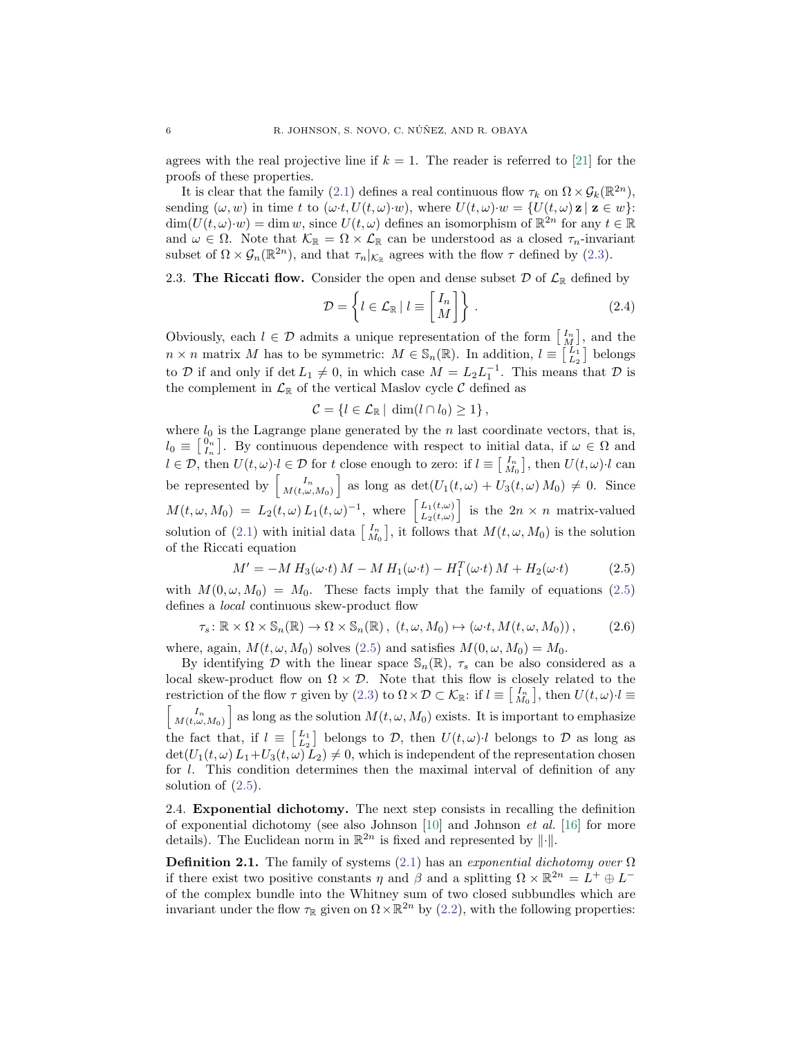agrees with the real projective line if  $k = 1$ . The reader is referred to [\[21\]](#page-28-6) for the proofs of these properties.

It is clear that the family [\(2.1\)](#page-3-1) defines a real continuous flow  $\tau_k$  on  $\Omega \times \mathcal{G}_k(\mathbb{R}^{2n})$ , sending  $(\omega, w)$  in time t to  $(\omega \cdot t, U(t, \omega) \cdot w)$ , where  $U(t, \omega) \cdot w = \{U(t, \omega) \mid \mathbf{z} \in w\}$ :  $\dim(U(t,\omega)\cdot w) = \dim w$ , since  $U(t,\omega)$  defines an isomorphism of  $\mathbb{R}^{2n}$  for any  $t \in \mathbb{R}$ and  $\omega \in \Omega$ . Note that  $\mathcal{K}_{\mathbb{R}} = \Omega \times \mathcal{L}_{\mathbb{R}}$  can be understood as a closed  $\tau_n$ -invariant subset of  $\Omega \times \mathcal{G}_n(\mathbb{R}^{2n})$ , and that  $\tau_n|_{\mathcal{K}_{\mathbb{R}}}$  agrees with the flow  $\tau$  defined by [\(2.3\)](#page-4-0).

## <span id="page-5-1"></span>2.3. The Riccati flow. Consider the open and dense subset  $\mathcal D$  of  $\mathcal L_{\mathbb R}$  defined by

$$
\mathcal{D} = \left\{ l \in \mathcal{L}_{\mathbb{R}} \mid l \equiv \begin{bmatrix} I_n \\ M \end{bmatrix} \right\}.
$$
\n(2.4)

Obviously, each  $l \in \mathcal{D}$  admits a unique representation of the form  $\begin{bmatrix} I_n \\ M \end{bmatrix}$ , and the  $n \times n$  matrix M has to be symmetric:  $M \in \mathbb{S}_n(\mathbb{R})$ . In addition,  $l \equiv \begin{bmatrix} L_1 \\ L_2 \end{bmatrix}$  belongs to D if and only if  $\det L_1 \neq 0$ , in which case  $M = L_2 L_1^{-1}$ . This means that D is the complement in  $\mathcal{L}_{\mathbb{R}}$  of the vertical Maslov cycle  $\mathcal C$  defined as

$$
\mathcal{C} = \{l \in \mathcal{L}_{\mathbb{R}} \mid \dim(l \cap l_0) \geq 1\},\
$$

where  $l_0$  is the Lagrange plane generated by the n last coordinate vectors, that is,  $l_0 \equiv \begin{bmatrix} 0_n \\ I_n \end{bmatrix}$ . By continuous dependence with respect to initial data, if  $\omega \in \Omega$  and  $l \in \mathcal{D}$ , then  $U(t, \omega) \cdot l \in \mathcal{D}$  for t close enough to zero: if  $l \equiv \begin{bmatrix} I_n \\ M_0 \end{bmatrix}$ , then  $U(t, \omega) \cdot l$  can be represented by  $\begin{bmatrix} I_n \\ M(t,\omega,M_0) \end{bmatrix}$  as long as  $\det(U_1(t,\omega) + U_3(t,\omega) M_0) \neq 0$ . Since  $M(t,\omega,M_0) = L_2(t,\omega) L_1(t,\omega)^{-1}$ , where  $\begin{bmatrix} L_1(t,\omega) \\ L_2(t,\omega) \end{bmatrix}$  $\left[\begin{array}{c}L_1(t,\omega)\\ L_2(t,\omega)\end{array}\right]$  is the  $2n \times n$  matrix-valued solution of [\(2.1\)](#page-3-1) with initial data  $\begin{bmatrix} I_n \\ M_0 \end{bmatrix}$ , it follows that  $M(t, \omega, M_0)$  is the solution of the Riccati equation

<span id="page-5-0"></span>
$$
M' = -M H_3(\omega \cdot t) M - M H_1(\omega \cdot t) - H_1^T(\omega \cdot t) M + H_2(\omega \cdot t)
$$
\n
$$
(2.5)
$$

with  $M(0, \omega, M_0) = M_0$ . These facts imply that the family of equations [\(2.5\)](#page-5-0) defines a local continuous skew-product flow

<span id="page-5-2"></span>
$$
\tau_s \colon \mathbb{R} \times \Omega \times \mathbb{S}_n(\mathbb{R}) \to \Omega \times \mathbb{S}_n(\mathbb{R}), \ (t, \omega, M_0) \mapsto (\omega \cdot t, M(t, \omega, M_0)), \tag{2.6}
$$

where, again,  $M(t, \omega, M_0)$  solves [\(2.5\)](#page-5-0) and satisfies  $M(0, \omega, M_0) = M_0$ .

By identifying D with the linear space  $\mathcal{S}_n(\mathbb{R})$ ,  $\tau_s$  can be also considered as a local skew-product flow on  $\Omega \times \mathcal{D}$ . Note that this flow is closely related to the restriction of the flow  $\tau$  given by [\(2.3\)](#page-4-0) to  $\Omega \times \mathcal{D} \subset \mathcal{K}_{\mathbb{R}}$ : if  $l \equiv \begin{bmatrix} I_n \\ M_0 \end{bmatrix}$ , then  $U(t,\omega) \cdot l \equiv$  $\begin{bmatrix} I_n \ M(t,\omega,M_0) \end{bmatrix}$  as long as the solution  $M(t,\omega,M_0)$  exists. It is important to emphasize the fact that, if  $l \equiv \begin{bmatrix} L_1 \\ L_2 \end{bmatrix}$  belongs to  $\mathcal{D}$ , then  $U(t,\omega) \cdot l$  belongs to  $\mathcal{D}$  as long as  $\det(U_1(t, \omega) L_1+U_3(t, \omega) L_2) \neq 0$ , which is independent of the representation chosen for l. This condition determines then the maximal interval of definition of any solution of  $(2.5)$ .

2.4. Exponential dichotomy. The next step consists in recalling the definition of exponential dichotomy (see also Johnson  $[10]$  and Johnson et al.  $[16]$  for more details). The Euclidean norm in  $\mathbb{R}^{2n}$  is fixed and represented by  $\|\cdot\|$ .

**Definition 2.1.** The family of systems [\(2.1\)](#page-3-1) has an exponential dichotomy over  $\Omega$ if there exist two positive constants  $\eta$  and  $\beta$  and a splitting  $\Omega \times \mathbb{R}^{2n} = L^+ \oplus L^$ of the complex bundle into the Whitney sum of two closed subbundles which are invariant under the flow  $\tau_{\mathbb{R}}$  given on  $\Omega \times \mathbb{R}^{2n}$  by [\(2.2\)](#page-3-2), with the following properties: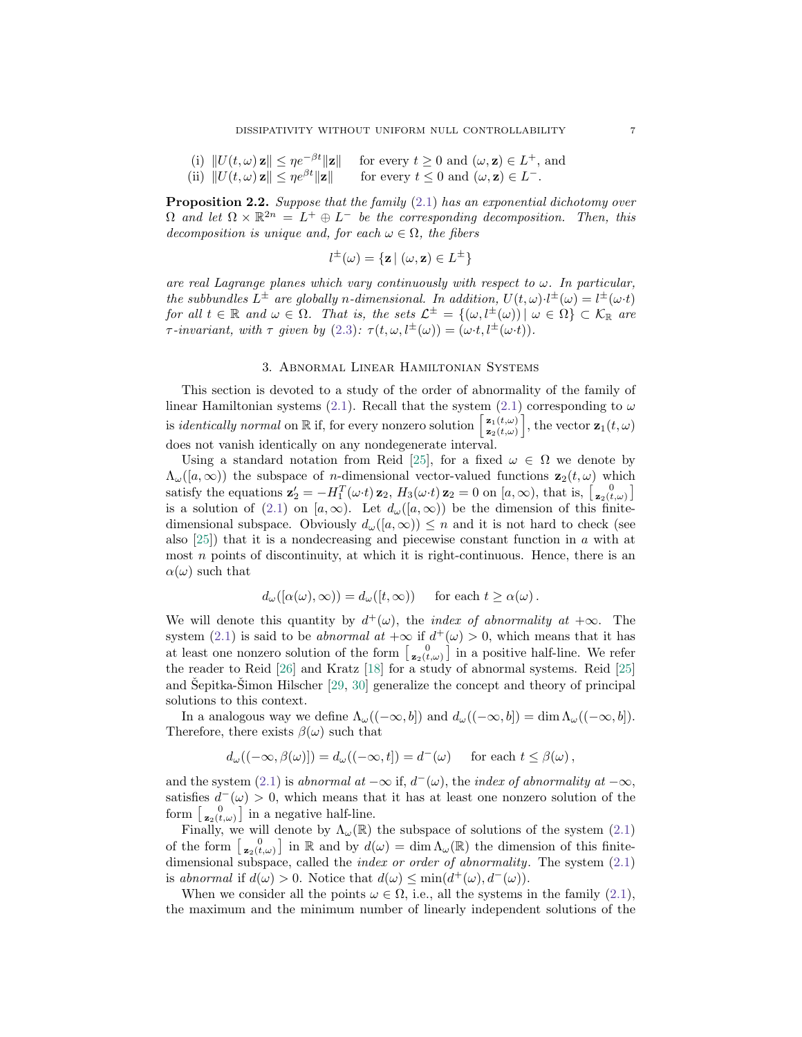(i)  $||U(t, \omega) \mathbf{z}|| \leq \eta e^{-\beta t} ||\mathbf{z}||$  for every  $t \geq 0$  and  $(\omega, \mathbf{z}) \in L^+$ , and (ii)  $||U(t, \omega) \mathbf{z}|| \leq \eta e^{\beta t} ||\mathbf{z}||$  for every  $t \leq 0$  and  $(\omega, \mathbf{z}) \in L^{-}$ .

**Proposition 2.2.** Suppose that the family  $(2.1)$  has an exponential dichotomy over  $\Omega$  and let  $\Omega \times \mathbb{R}^{2n} = L^+ \oplus L^-$  be the corresponding decomposition. Then, this decomposition is unique and, for each  $\omega \in \Omega$ , the fibers

$$
l^{\pm}(\omega) = \{ \mathbf{z} \mid (\omega, \mathbf{z}) \in L^{\pm} \}
$$

are real Lagrange planes which vary continuously with respect to  $\omega$ . In particular, the subbundles  $L^{\pm}$  are globally n-dimensional. In addition,  $U(t,\omega) \cdot l^{\pm}(\omega) = l^{\pm}(\omega \cdot t)$ for all  $t \in \mathbb{R}$  and  $\omega \in \Omega$ . That is, the sets  $\mathcal{L}^{\pm} = \{(\omega, l^{\pm}(\omega)) \mid \omega \in \Omega\} \subset \mathcal{K}_{\mathbb{R}}$  are τ-invariant, with τ given by [\(2.3\)](#page-4-0):  $\tau(t,\omega, l^{\pm}(\omega)) = (\omega \cdot t, l^{\pm}(\omega \cdot t)).$ 

### 3. Abnormal Linear Hamiltonian Systems

<span id="page-6-0"></span>This section is devoted to a study of the order of abnormality of the family of linear Hamiltonian systems [\(2.1\)](#page-3-1). Recall that the system (2.1) corresponding to  $\omega$ is *identically normal* on  $\mathbb R$  if, for every nonzero solution  $\begin{bmatrix} \mathbf{z}_1(t,\omega) \\ \mathbf{z}_2(t,\omega) \end{bmatrix}$  $\left[\mathbf{z}_{1}(t,\omega)\atop \mathbf{z}_{2}(t,\omega)\right],$  the vector  $\mathbf{z}_{1}(t,\omega)$ does not vanish identically on any nondegenerate interval.

Using a standard notation from Reid [\[25\]](#page-28-8), for a fixed  $\omega \in \Omega$  we denote by  $\Lambda_{\omega}([a,\infty))$  the subspace of *n*-dimensional vector-valued functions  $z_2(t,\omega)$  which satisfy the equations  $\mathbf{z}'_2 = -H_1^T(\omega \cdot t) \mathbf{z}_2$ ,  $H_3(\omega \cdot t) \mathbf{z}_2 = 0$  on  $[a, \infty)$ , that is,  $\begin{bmatrix} 0 \\ \mathbf{z}_2(t, \omega) \end{bmatrix}$ is a solution of [\(2.1\)](#page-3-1) on [a,  $\infty$ ). Let  $d_{\omega}([a,\infty))$  be the dimension of this finitedimensional subspace. Obviously  $d_{\omega}([a,\infty)) \leq n$  and it is not hard to check (see also  $[25]$ ) that it is a nondecreasing and piecewise constant function in a with at most  $n$  points of discontinuity, at which it is right-continuous. Hence, there is an  $\alpha(\omega)$  such that

$$
d_{\omega}([\alpha(\omega), \infty)) = d_{\omega}([t, \infty))
$$
 for each  $t \ge \alpha(\omega)$ .

We will denote this quantity by  $d^+(\omega)$ , the *index of abnormality at*  $+\infty$ . The system [\(2.1\)](#page-3-1) is said to be *abnormal at*  $+\infty$  if  $d^+(\omega) > 0$ , which means that it has at least one nonzero solution of the form  $\begin{bmatrix} 0 \\ z_2(t,\omega) \end{bmatrix}$  in a positive half-line. We refer the reader to Reid [\[26\]](#page-28-9) and Kratz [\[18\]](#page-28-10) for a study of abnormal systems. Reid [\[25\]](#page-28-8) and Sepitka-Simon Hilscher  $[29, 30]$  $[29, 30]$  $[29, 30]$  $[29, 30]$  generalize the concept and theory of principal solutions to this context.

In a analogous way we define  $\Lambda_{\omega}((-\infty, b])$  and  $d_{\omega}((-\infty, b]) = \dim \Lambda_{\omega}((-\infty, b])$ . Therefore, there exists  $\beta(\omega)$  such that

$$
d_{\omega}((-\infty,\beta(\omega)]) = d_{\omega}((-\infty,t]) = d^-(\omega) \quad \text{ for each } t \leq \beta(\omega),
$$

and the system [\(2.1\)](#page-3-1) is abnormal at  $-\infty$  if,  $d^-(\omega)$ , the index of abnormality at  $-\infty$ , satisfies  $d^-(\omega) > 0$ , which means that it has at least one nonzero solution of the form  $\begin{bmatrix} 0 \\ z_2(t,\omega) \end{bmatrix}$  in a negative half-line.

Finally, we will denote by  $\Lambda_{\omega}(\mathbb{R})$  the subspace of solutions of the system [\(2.1\)](#page-3-1) of the form  $\begin{bmatrix} 0 \\ z_2(t,\omega) \end{bmatrix}$  in R and by  $d(\omega) = \dim \Lambda_{\omega}(\mathbb{R})$  the dimension of this finitedimensional subspace, called the *index or order of abnormality*. The system  $(2.1)$ is abnormal if  $d(\omega) > 0$ . Notice that  $d(\omega) \le \min(d^+(\omega), d^-(\omega))$ .

When we consider all the points  $\omega \in \Omega$ , i.e., all the systems in the family [\(2.1\)](#page-3-1), the maximum and the minimum number of linearly independent solutions of the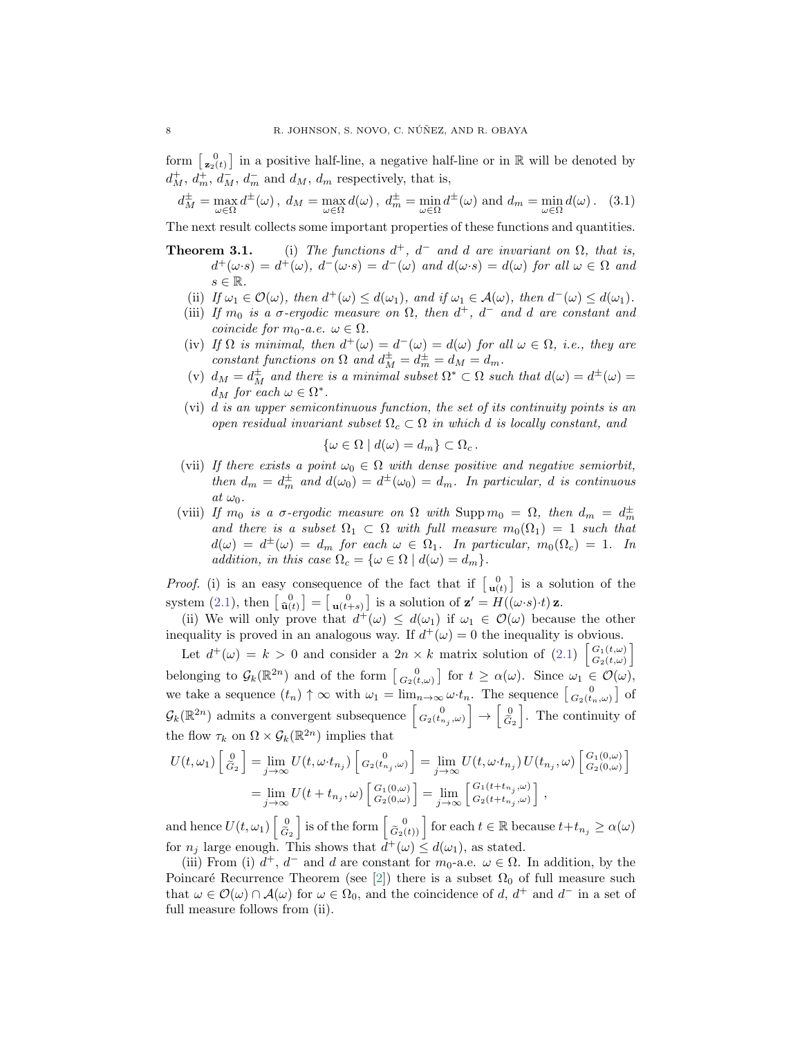form  $\begin{bmatrix} 0 \\ z_2(t) \end{bmatrix}$  in a positive half-line, a negative half-line or in R will be denoted by  $d_M^+, d_m^+, d_M^-$ ,  $d_m^-$  and  $d_M$ ,  $d_m$  respectively, that is,

<span id="page-7-0"></span>
$$
d_M^{\pm} = \max_{\omega \in \Omega} d^{\pm}(\omega), \ d_M = \max_{\omega \in \Omega} d(\omega), \ d_m^{\pm} = \min_{\omega \in \Omega} d^{\pm}(\omega) \text{ and } d_m = \min_{\omega \in \Omega} d(\omega). \tag{3.1}
$$

The next result collects some important properties of these functions and quantities.

- **Theorem 3.1.** (i) The functions  $d^+$ ,  $d^-$  and d are invariant on  $\Omega$ , that is,  $d^+(\omega \cdot s) = d^+(\omega)$ ,  $d^-(\omega \cdot s) = d^-(\omega)$  and  $d(\omega \cdot s) = d(\omega)$  for all  $\omega \in \Omega$  and  $s \in \mathbb{R}$ .
	- (ii) If  $\omega_1 \in \mathcal{O}(\omega)$ , then  $d^+(\omega) \leq d(\omega_1)$ , and if  $\omega_1 \in \mathcal{A}(\omega)$ , then  $d^-(\omega) \leq d(\omega_1)$ .
	- (iii) If  $m_0$  is a  $\sigma$ -ergodic measure on  $\Omega$ , then  $d^+$ ,  $d^-$  and d are constant and coincide for  $m_0$ -a.e.  $\omega \in \Omega$ .
	- (iv) If  $\Omega$  is minimal, then  $d^+(\omega) = d^-(\omega) = d(\omega)$  for all  $\omega \in \Omega$ , i.e., they are constant functions on  $\Omega$  and  $d_M^{\pm} = d_m^{\pm} = d_M = d_m$ .
	- (v)  $d_M = d_M^{\pm}$  and there is a minimal subset  $\Omega^* \subset \Omega$  such that  $d(\omega) = d^{\pm}(\omega)$  $d_M$  for each  $\omega \in \Omega^*$ .
	- (vi) d is an upper semicontinuous function, the set of its continuity points is an open residual invariant subset  $\Omega_c \subset \Omega$  in which d is locally constant, and

$$
\{\omega \in \Omega \mid d(\omega) = d_m\} \subset \Omega_c \, .
$$

- (vii) If there exists a point  $\omega_0 \in \Omega$  with dense positive and negative semiorbit, then  $d_m = d_m^{\pm}$  and  $d(\omega_0) = d^{\pm}(\omega_0) = d_m$ . In particular, d is continuous  $at \omega_0$ .
- (viii) If  $m_0$  is a  $\sigma$ -ergodic measure on  $\Omega$  with  $\text{Supp } m_0 = \Omega$ , then  $d_m = d_m^{\pm}$ and there is a subset  $\Omega_1 \subset \Omega$  with full measure  $m_0(\Omega_1) = 1$  such that  $d(\omega) = d^{\pm}(\omega) = d_m$  for each  $\omega \in \Omega_1$ . In particular,  $m_0(\Omega_c) = 1$ . In addition, in this case  $\Omega_c = \{ \omega \in \Omega \mid d(\omega) = d_m \}.$

*Proof.* (i) is an easy consequence of the fact that if  $\begin{bmatrix} 0 \\ u(t) \end{bmatrix}$  is a solution of the system [\(2.1\)](#page-3-1), then  $\begin{bmatrix} 0 \\ \hat{\mathbf{u}}(t) \end{bmatrix} = \begin{bmatrix} 0 \\ \mathbf{u}(t+s) \end{bmatrix}$  is a solution of  $\mathbf{z}' = H((\omega \cdot s) \cdot t) \mathbf{z}$ .

(ii) We will only prove that  $d^+(\omega) \leq d(\omega_1)$  if  $\omega_1 \in \mathcal{O}(\omega)$  because the other inequality is proved in an analogous way. If  $d^+(\omega) = 0$  the inequality is obvious.

Let  $d^+(\omega) = k > 0$  and consider a  $2n \times k$  matrix solution of  $(2.1)$   $\begin{bmatrix} G_1(t,\omega) \\ G_2(t,\omega) \end{bmatrix}$  $\left. \begin{array}{l} G_1(t,\omega) \ G_2(t,\omega) \end{array} \right]$ belonging to  $\mathcal{G}_k(\mathbb{R}^{2n})$  and of the form  $\begin{bmatrix} 0 \\ G_2(t,\omega) \end{bmatrix}$  for  $t \geq \alpha(\omega)$ . Since  $\omega_1 \in \mathcal{O}(\omega)$ , we take a sequence  $(t_n) \uparrow \infty$  with  $\omega_1 = \lim_{n \to \infty} \omega \cdot t_n$ . The sequence  $\begin{bmatrix} 0 \\ G_2(t_n,\omega) \end{bmatrix}$  of  $\mathcal{G}_k(\mathbb{R}^{2n})$  admits a convergent subsequence  $\begin{bmatrix} 0 \\ G_2(t_{n_j},\omega) \end{bmatrix} \rightarrow \begin{bmatrix} 0 \\ \tilde{G} \end{bmatrix}$  $G_2$ i . The continuity of the flow  $\tau_k$  on  $\Omega \times \mathcal{G}_k(\mathbb{R}^{2n})$  implies that

$$
U(t,\omega_1) \begin{bmatrix} 0 \\ \tilde{G}_2 \end{bmatrix} = \lim_{j \to \infty} U(t, \omega \cdot t_{n_j}) \begin{bmatrix} 0 \\ G_2(t_{n_j}, \omega) \end{bmatrix} = \lim_{j \to \infty} U(t, \omega \cdot t_{n_j}) U(t_{n_j}, \omega) \begin{bmatrix} G_1(0,\omega) \\ G_2(0,\omega) \end{bmatrix}
$$
  
= 
$$
\lim_{j \to \infty} U(t + t_{n_j}, \omega) \begin{bmatrix} G_1(0,\omega) \\ G_2(0,\omega) \end{bmatrix} = \lim_{j \to \infty} \begin{bmatrix} G_1(t + t_{n_j}, \omega) \\ G_2(t + t_{n_j}, \omega) \end{bmatrix},
$$

and hence  $U(t, \omega_1) \begin{bmatrix} 0 \\ \tilde{G} \end{bmatrix}$  $G_2$  $\left[ \begin{array}{c} 0 \\ \tilde{G}_2(t) \end{array} \right]$  for each  $t \in \mathbb{R}$  because  $t+t_{n_j} \geq \alpha(\omega)$ for  $n_j$  large enough. This shows that  $d^+(\omega) \leq d(\omega_1)$ , as stated.

(iii) From (i)  $d^+$ ,  $d^-$  and d are constant for  $m_0$ -a.e.  $\omega \in \Omega$ . In addition, by the Poincaré Recurrence Theorem (see [\[2\]](#page-27-8)) there is a subset  $\Omega_0$  of full measure such that  $\omega \in \mathcal{O}(\omega) \cap \mathcal{A}(\omega)$  for  $\omega \in \Omega_0$ , and the coincidence of d,  $d^+$  and  $d^-$  in a set of full measure follows from (ii).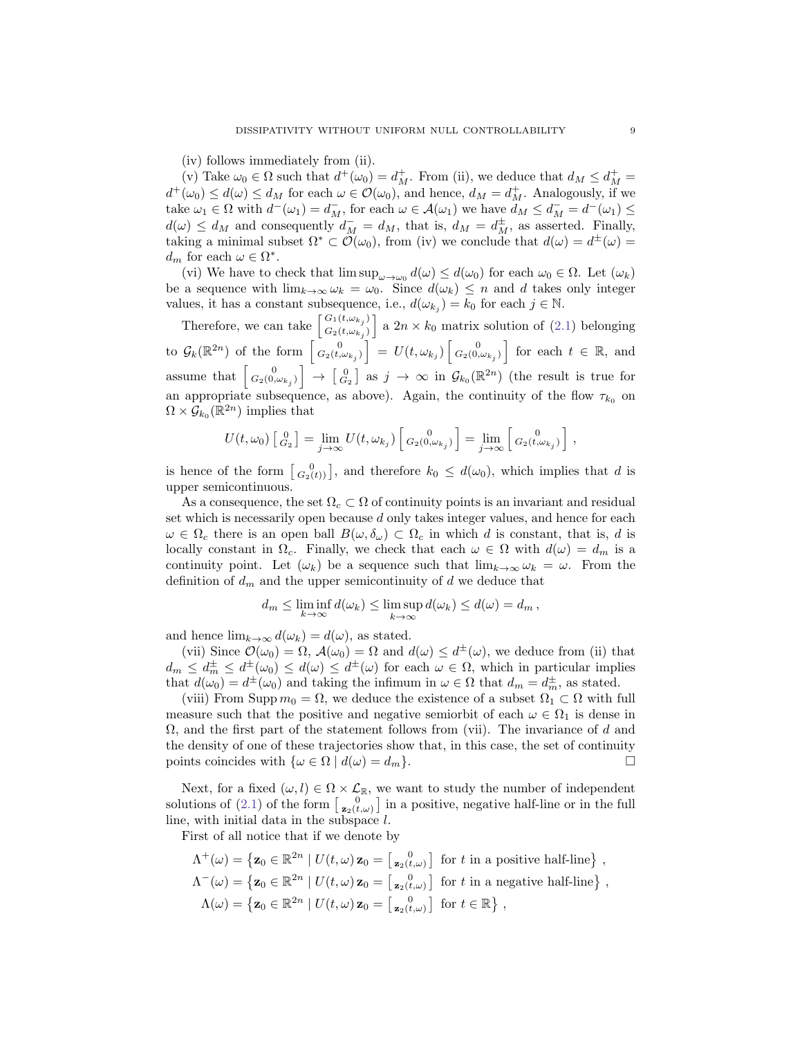(iv) follows immediately from (ii).

(v) Take  $\omega_0 \in \Omega$  such that  $d^+(\omega_0) = d^+_M$ . From (ii), we deduce that  $d_M \leq d^+_M =$  $d^+(\omega_0) \leq d(\omega) \leq d_M$  for each  $\omega \in \mathcal{O}(\omega_0)$ , and hence,  $d_M = d^+_M$ . Analogously, if we take  $\omega_1 \in \Omega$  with  $d^-(\omega_1) = d_M^-$ , for each  $\omega \in \mathcal{A}(\omega_1)$  we have  $d_M \leq d_M^- = d^-(\omega_1) \leq$  $d(\omega) \leq d_M$  and consequently  $d_M^- = d_M$ , that is,  $d_M = d_M^{\pm}$ , as asserted. Finally, taking a minimal subset  $\Omega^* \subset \mathcal{O}(\omega_0)$ , from (iv) we conclude that  $d(\omega) = d^{\pm}(\omega) =$  $d_m$  for each  $\omega \in \Omega^*$ .

(vi) We have to check that  $\limsup_{\omega \to \omega_0} d(\omega) \leq d(\omega_0)$  for each  $\omega_0 \in \Omega$ . Let  $(\omega_k)$ be a sequence with  $\lim_{k\to\infty} \omega_k = \omega_0$ . Since  $d(\omega_k) \leq n$  and d takes only integer values, it has a constant subsequence, i.e.,  $d(\omega_{kj}) = k_0$  for each  $j \in \mathbb{N}$ .

Therefore, we can take  $\begin{bmatrix} G_1(t,\omega_{k_j}) \\ G_2(t,\omega_{k_j}) \end{bmatrix}$  $\begin{bmatrix} G_1(t,\omega_{k_j}) \ G_2(t,\omega_{k_j}) \end{bmatrix}$  a  $2n \times k_0$  matrix solution of  $(2.1)$  belonging to  $\mathcal{G}_k(\mathbb{R}^{2n})$  of the form  $\begin{bmatrix} 0 \\ G_2(t,\omega_{k_j}) \end{bmatrix} = U(t,\omega_{k_j}) \begin{bmatrix} 0 \\ G_2(0,\omega_{k_j}) \end{bmatrix}$  for each  $t \in \mathbb{R}$ , and assume that  $\begin{bmatrix} 0 \\ G_2(0,\omega_{k_j}) \end{bmatrix} \rightarrow \begin{bmatrix} 0 \\ G_2 \end{bmatrix}$  as  $j \rightarrow \infty$  in  $\mathcal{G}_{k_0}(\mathbb{R}^{2n})$  (the result is true for an appropriate subsequence, as above). Again, the continuity of the flow  $\tau_{k_0}$  on  $\Omega \times \mathcal{G}_{k_0}(\mathbb{R}^{2n})$  implies that

$$
U(t,\omega_0) \begin{bmatrix} 0 \\ G_2 \end{bmatrix} = \lim_{j \to \infty} U(t,\omega_{k_j}) \begin{bmatrix} 0 \\ G_2(0,\omega_{k_j}) \end{bmatrix} = \lim_{j \to \infty} \begin{bmatrix} 0 \\ G_2(t,\omega_{k_j}) \end{bmatrix},
$$

is hence of the form  $\begin{bmatrix} 0 \\ G_2(t) \end{bmatrix}$ , and therefore  $k_0 \leq d(\omega_0)$ , which implies that d is upper semicontinuous.

As a consequence, the set  $\Omega_c \subset \Omega$  of continuity points is an invariant and residual set which is necessarily open because d only takes integer values, and hence for each  $\omega \in \Omega_c$  there is an open ball  $B(\omega, \delta_{\omega}) \subset \Omega_c$  in which d is constant, that is, d is locally constant in  $\Omega_c$ . Finally, we check that each  $\omega \in \Omega$  with  $d(\omega) = d_m$  is a continuity point. Let  $(\omega_k)$  be a sequence such that  $\lim_{k\to\infty} \omega_k = \omega$ . From the definition of  $d_m$  and the upper semicontinuity of d we deduce that

$$
d_m \leq \liminf_{k \to \infty} d(\omega_k) \leq \limsup_{k \to \infty} d(\omega_k) \leq d(\omega) = d_m,
$$

and hence  $\lim_{k\to\infty} d(\omega_k) = d(\omega)$ , as stated.

(vii) Since  $\mathcal{O}(\omega_0) = \Omega$ ,  $\mathcal{A}(\omega_0) = \Omega$  and  $d(\omega) \leq d^{\pm}(\omega)$ , we deduce from (ii) that  $d_m \leq d_m^{\pm} \leq d^{\pm}(\omega_0) \leq d(\omega) \leq d^{\pm}(\omega)$  for each  $\omega \in \Omega$ , which in particular implies that  $d(\omega_0) = d^{\pm}(\omega_0)$  and taking the infimum in  $\omega \in \Omega$  that  $d_m = d_m^{\pm}$ , as stated.

(viii) From Supp  $m_0 = \Omega$ , we deduce the existence of a subset  $\Omega_1 \subset \Omega$  with full measure such that the positive and negative semiorbit of each  $\omega \in \Omega_1$  is dense in  $\Omega$ , and the first part of the statement follows from (vii). The invariance of d and the density of one of these trajectories show that, in this case, the set of continuity points coincides with  $\{\omega \in \Omega \mid d(\omega) = d_m\}.$ 

Next, for a fixed  $(\omega, l) \in \Omega \times \mathcal{L}_{\mathbb{R}}$ , we want to study the number of independent solutions of [\(2.1\)](#page-3-1) of the form  $\begin{bmatrix} 0 \\ z_2(t,\omega) \end{bmatrix}$  in a positive, negative half-line or in the full line, with initial data in the subspace l.

First of all notice that if we denote by

$$
\Lambda^+(\omega) = \left\{ \mathbf{z}_0 \in \mathbb{R}^{2n} \mid U(t,\omega) \mathbf{z}_0 = \begin{bmatrix} 0 \\ \mathbf{z}_2(t,\omega) \end{bmatrix} \text{ for } t \text{ in a positive half-line} \right\},
$$
  
\n
$$
\Lambda^-(\omega) = \left\{ \mathbf{z}_0 \in \mathbb{R}^{2n} \mid U(t,\omega) \mathbf{z}_0 = \begin{bmatrix} 0 \\ \mathbf{z}_2(t,\omega) \end{bmatrix} \text{ for } t \text{ in a negative half-line} \right\},
$$
  
\n
$$
\Lambda(\omega) = \left\{ \mathbf{z}_0 \in \mathbb{R}^{2n} \mid U(t,\omega) \mathbf{z}_0 = \begin{bmatrix} \mathbf{z}_2(t,\omega) \end{bmatrix} \text{ for } t \in \mathbb{R} \right\},
$$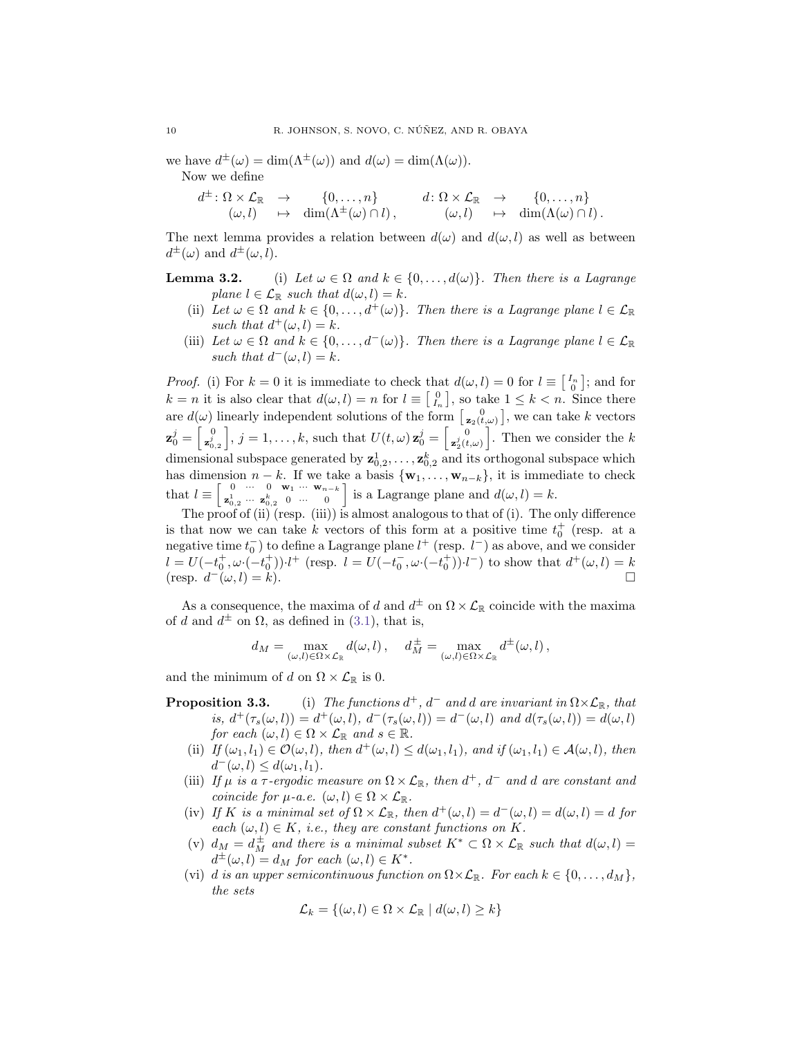we have  $d^{\pm}(\omega) = \dim(\Lambda^{\pm}(\omega))$  and  $d(\omega) = \dim(\Lambda(\omega)).$ 

Now we define

 $d^{\pm} \colon \Omega \times \mathcal{L}_{\mathbb{R}} \longrightarrow \{0, \ldots, n\}$  $(\omega, l) \longrightarrow \dim(\Lambda^{\pm}(\omega) \cap l),$  $d \colon \Omega \times \mathcal{L}_{\mathbb{R}} \to \{0, \ldots, n\}$  $(\omega, l) \longrightarrow \dim(\Lambda(\omega) \cap l).$ 

The next lemma provides a relation between  $d(\omega)$  and  $d(\omega, l)$  as well as between  $d^{\pm}(\omega)$  and  $d^{\pm}(\omega, l)$ .

**Lemma 3.2.** (i) Let  $\omega \in \Omega$  and  $k \in \{0, ..., d(\omega)\}\$ . Then there is a Lagrange plane  $l \in \mathcal{L}_{\mathbb{R}}$  such that  $d(\omega, l) = k$ .

- (ii) Let  $\omega \in \Omega$  and  $k \in \{0, ..., d^+(\omega)\}\$ . Then there is a Lagrange plane  $l \in \mathcal{L}_{\mathbb{R}}$ such that  $d^+(\omega, l) = k$ .
- (iii) Let  $\omega \in \Omega$  and  $k \in \{0, \ldots, d^-(\omega)\}\$ . Then there is a Lagrange plane  $l \in \mathcal{L}_{\mathbb{R}}$ such that  $d^-(\omega, l) = k$ .

*Proof.* (i) For  $k = 0$  it is immediate to check that  $d(\omega, l) = 0$  for  $l \equiv \begin{bmatrix} I_n \\ 0 \end{bmatrix}$ ; and for  $k = n$  it is also clear that  $d(\omega, l) = n$  for  $l \equiv \begin{bmatrix} 0 \\ I_n \end{bmatrix}$ , so take  $1 \leq k < n$ . Since there are  $d(\omega)$  linearly independent solutions of the form  $\begin{bmatrix} 0 \\ z_2(t,\omega) \end{bmatrix}$ , we can take k vectors  $\mathbf{z}^j_0 = \left[\begin{smallmatrix} 0 \ \mathbf{z}^j_0 \end{smallmatrix}\right]$  $\left[\mathbf{z}_{0,2}^{0}\right], j=1,\ldots,k, \text{ such that } U(t,\omega) \mathbf{z}_{0}^{j} = \begin{bmatrix} 0 \\ \mathbf{z}_{2}^{j}(t) \end{bmatrix}$  $\left[\mathbf{z}_2^j(t,\omega)\right]$ . Then we consider the k dimensional subspace generated by  $\mathbf{z}_{0,2}^1, \ldots, \mathbf{z}_{0,2}^k$  and its orthogonal subspace which has dimension  $n - k$ . If we take a basis  $\{w_1, \ldots, w_{n-k}\}\$ , it is immediate to check that  $l \equiv \begin{bmatrix} 0 & \cdots & 0 & \mathbf{w}_1 & \cdots & \mathbf{w}_{n-k} \\ \mathbf{z}^1 & \cdots & \mathbf{z}^k & 0 & \cdots & 0 \end{bmatrix}$  $\begin{bmatrix} 0 & \cdots & 0 & \mathbf{w}_1 & \cdots & \mathbf{w}_{n-k} \\ \mathbf{z}_{0,2}^1 & \cdots & \mathbf{z}_{0,2}^k & 0 & \cdots & 0 \end{bmatrix}$  is a Lagrange plane and  $d(\omega, l) = k$ .

The proof of (ii) (resp. (iii)) is almost analogous to that of (i). The only difference is that now we can take k vectors of this form at a positive time  $t_0^+$  (resp. at a negative time  $t_0^-$ ) to define a Lagrange plane  $l^+$  (resp.  $l^-$ ) as above, and we consider  $l = U(-t_0^+,\omega\cdot(-t_0^+))\cdot l^+$  (resp.  $l = U(-t_0^-,\omega\cdot(-t_0^+))\cdot l^-$ ) to show that  $d^+(\omega, l) = k$  $(\text{resp. } d^-(\omega, l) = k).$ 

As a consequence, the maxima of d and  $d^{\pm}$  on  $\Omega \times \mathcal{L}_{\mathbb{R}}$  coincide with the maxima of d and  $d^{\pm}$  on  $\Omega$ , as defined in [\(3.1\)](#page-7-0), that is,

$$
d_M = \max_{(\omega,l) \in \Omega \times \mathcal{L}_{\mathbb{R}}} d(\omega,l), \quad d_M^{\pm} = \max_{(\omega,l) \in \Omega \times \mathcal{L}_{\mathbb{R}}} d^{\pm}(\omega,l),
$$

and the minimum of d on  $\Omega \times \mathcal{L}_{\mathbb{R}}$  is 0.

- **Proposition 3.3.** (i) The functions  $d^+$ ,  $d^-$  and d are invariant in  $\Omega \times \mathcal{L}_{\mathbb{R}}$ , that is,  $d^+(\tau_s(\omega, l)) = d^+(\omega, l)$ ,  $d^-(\tau_s(\omega, l)) = d^-(\omega, l)$  and  $d(\tau_s(\omega, l)) = d(\omega, l)$ for each  $(\omega, l) \in \Omega \times \mathcal{L}_{\mathbb{R}}$  and  $s \in \mathbb{R}$ .
	- (ii) If  $(\omega_1, l_1) \in \mathcal{O}(\omega, l)$ , then  $d^+(\omega, l) \leq d(\omega_1, l_1)$ , and if  $(\omega_1, l_1) \in \mathcal{A}(\omega, l)$ , then  $d^-(\omega, l) \leq d(\omega_1, l_1).$
	- (iii) If  $\mu$  is a  $\tau$ -ergodic measure on  $\Omega \times \mathcal{L}_{\mathbb{R}}$ , then  $d^+$ ,  $d^-$  and d are constant and coincide for  $\mu$ -a.e.  $(\omega, l) \in \Omega \times \mathcal{L}_{\mathbb{R}}$ .
	- (iv) If K is a minimal set of  $\Omega \times \mathcal{L}_{\mathbb{R}}$ , then  $d^+(\omega, l) = d^-(\omega, l) = d(\omega, l) = d$  for each  $(\omega, l) \in K$ , i.e., they are constant functions on K.
	- (v)  $d_M = d_M^{\pm}$  and there is a minimal subset  $K^* \subset \Omega \times \mathcal{L}_{\mathbb{R}}$  such that  $d(\omega, l) =$  $d^{\pm}(\omega, l) = d_M$  for each  $(\omega, l) \in K^*$ .
	- (vi) d is an upper semicontinuous function on  $\Omega \times \mathcal{L}_{\mathbb{R}}$ . For each  $k \in \{0, \ldots, d_M\},$ the sets

$$
\mathcal{L}_k = \{(\omega, l) \in \Omega \times \mathcal{L}_{\mathbb{R}} \mid d(\omega, l) \geq k\}
$$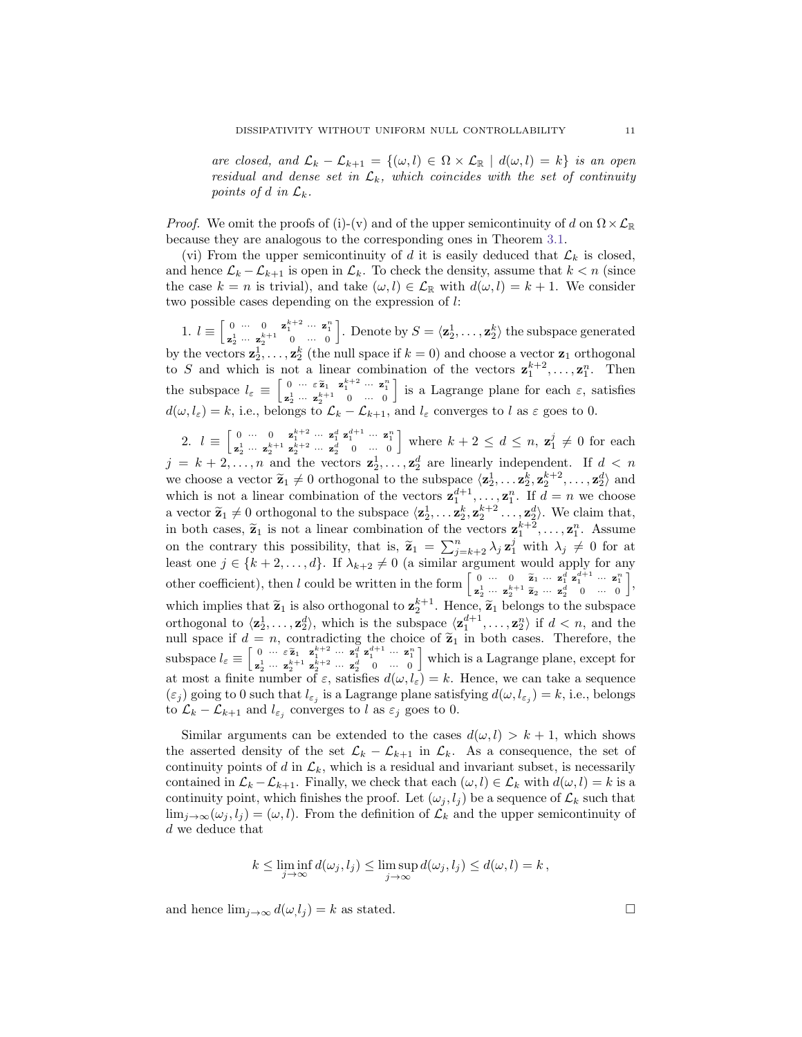are closed, and  $\mathcal{L}_k - \mathcal{L}_{k+1} = \{(\omega, l) \in \Omega \times \mathcal{L}_{\mathbb{R}} \mid d(\omega, l) = k\}$  is an open residual and dense set in  $\mathcal{L}_k$ , which coincides with the set of continuity points of d in  $\mathcal{L}_k$ .

*Proof.* We omit the proofs of (i)-(v) and of the upper semicontinuity of d on  $\Omega \times \mathcal{L}_{\mathbb{R}}$ because they are analogous to the corresponding ones in Theorem [3.1.](#page-0-3)

(vi) From the upper semicontinuity of d it is easily deduced that  $\mathcal{L}_k$  is closed, and hence  $\mathcal{L}_k - \mathcal{L}_{k+1}$  is open in  $\mathcal{L}_k$ . To check the density, assume that  $k < n$  (since the case  $k = n$  is trivial), and take  $(\omega, l) \in \mathcal{L}_{\mathbb{R}}$  with  $d(\omega, l) = k + 1$ . We consider two possible cases depending on the expression of l:

1.  $l \equiv \begin{bmatrix} 0 & \cdots & 0 & \mathbf{z}_1^{k+2} & \cdots & \mathbf{z}_1^n \\ \mathbf{z}_2^1 & \cdots & \mathbf{z}_2^{k+1} & 0 & \cdots & 0 \end{bmatrix}$ . Denote by  $S = \langle \mathbf{z}_2^1, \ldots, \mathbf{z}_2^k \rangle$  the subspace generated by the vectors  $\mathbf{z}_2^1, \ldots, \mathbf{z}_2^k$  (the null space if  $k = 0$ ) and choose a vector  $\mathbf{z}_1$  orthogonal to S and which is not a linear combination of the vectors  $z_1^{k+2}, \ldots, z_1^n$ . Then the subspace  $l_{\varepsilon} \equiv \begin{bmatrix} 0 & \cdots & \varepsilon \tilde{\mathbf{z}}_1 & \mathbf{z}_1^{k+2} & \cdots & \mathbf{z}_1^n \\ \mathbf{z}_2^1 & \cdots & \mathbf{z}_2^{k+1} & 0 & \cdots & 0 \end{bmatrix}$ is a Lagrange plane for each  $\varepsilon$ , satisfies  $d(\omega, l_{\varepsilon}) = k$ , i.e., belongs to  $\mathcal{L}_k - \mathcal{L}_{k+1}$ , and  $l_{\varepsilon}$  converges to l as  $\varepsilon$  goes to 0.

2.  $l \equiv \begin{bmatrix} 0 & \cdots & 0 & \mathbf{z}_1^{k+2} & \cdots & \mathbf{z}_1^d & \mathbf{z}_1^{d+1} & \cdots & \mathbf{z}_1^n \\ \mathbf{z}_2^1 & \cdots & \mathbf{z}_2^{k+1} & \mathbf{z}_2^{k+2} & \cdots & \mathbf{z}_2^d & 0 & \cdots & 0 \end{bmatrix}$ where  $k + 2 \leq d \leq n$ ,  $\mathbf{z}_1^j \neq 0$  for each  $j = k + 2, \ldots, n$  and the vectors  $\mathbf{z}_2^1, \ldots, \mathbf{z}_2^d$  are linearly independent. If  $d < n$ we choose a vector  $\tilde{\mathbf{z}}_1 \neq 0$  orthogonal to the subspace  $\langle \mathbf{z}_2^1, \ldots, \mathbf{z}_2^k, \mathbf{z}_2^{k+2}, \ldots, \mathbf{z}_2^d \rangle$  and which is not a linear combination of the vectors  $\mathbf{z}_1^{d+1}, \ldots, \mathbf{z}_1^n$ . If  $d = n$  we choose a vector  $\tilde{\mathbf{z}}_1 \neq 0$  orthogonal to the subspace  $\langle \mathbf{z}_2^1, \ldots, \mathbf{z}_2^k, \mathbf{z}_2^{k+2} \ldots, \mathbf{z}_2^d \rangle$ . We claim that, in both cases,  $\tilde{\mathbf{z}}_1$  is not a linear combination of the vectors  $\mathbf{z}_1^{k+2}, \ldots, \mathbf{z}_1^n$  $k+2, \ldots, \mathbf{z}_1^n$ . Assume on the contrary this possibility, that is,  $\tilde{\mathbf{z}}_1 = \sum_{j=k+2}^n \lambda_j \mathbf{z}_1^j$  with  $\lambda_j \neq 0$  for at least ang  $i \in \{k+2, \ldots, d\}$ . If  $\lambda_j \neq 0$  (a similar argument would only for any least one  $j \in \{k+2,\ldots,d\}$ . If  $\lambda_{k+2} \neq 0$  (a similar argument would apply for any other coefficient), then l could be written in the form  $\begin{bmatrix} 0 & \cdots & 0 & \tilde{\mathbf{z}}_1 & \cdots & \mathbf{z}_1^d \\ \mathbf{z}_2^1 & \cdots & \mathbf{z}_2^{k+1} & \tilde{\mathbf{z}}_2 & \cdots & \mathbf{z}_2^d & 0 & \cdots & 0 \\ 0 & \cdots & 0 & \cdots & 0 & 0 & 0 \\ \vdots & \vdots & \vdots & \ddots & \vdots & \vdots & \vdots & \vdots & \vdots \\$ i , which implies that  $\tilde{\mathbf{z}}_1$  is also orthogonal to  $\mathbf{z}_2^{k+1}$ . Hence,  $\tilde{\mathbf{z}}_1$  belongs to the subspace orthogonal to  $\langle \mathbf{z}_2^1, \ldots, \mathbf{z}_2^d \rangle$ , which is the subspace  $\langle \mathbf{z}_1^{d+1}, \ldots, \mathbf{z}_2^n \rangle$  if  $d < n$ , and the null space if  $d = n$ , contradicting the choice of  $\tilde{\mathbf{z}}_1$  in both cases. Therefore, the subspace  $l_{\varepsilon} \equiv \begin{bmatrix} 0 & \cdots & \varepsilon \tilde{\mathbf{z}}_1 & \mathbf{z}_1^{k+2} & \cdots & \mathbf{z}_1^d & \mathbf{z}_1^{d+1} & \cdots & \mathbf{z}_1^n \\ \mathbf{z}_2^1 & \cdots & \mathbf{z}_2^{k+1} & \mathbf{z}_2^{k+2} & \cdots & \mathbf{z}_2^d & 0 & \cdots & 0 \end{bmatrix}$ which is a Lagrange plane, except for at most a finite number of  $\varepsilon$ , satisfies  $d(\omega, l_{\varepsilon}) = k$ . Hence, we can take a sequence  $(\varepsilon_j)$  going to 0 such that  $l_{\varepsilon_j}$  is a Lagrange plane satisfying  $d(\omega, l_{\varepsilon_j}) = k$ , i.e., belongs to  $\mathcal{L}_k - \mathcal{L}_{k+1}$  and  $l_{\varepsilon_j}$  converges to l as  $\varepsilon_j$  goes to 0.

Similar arguments can be extended to the cases  $d(\omega, l) > k + 1$ , which shows the asserted density of the set  $\mathcal{L}_k - \mathcal{L}_{k+1}$  in  $\mathcal{L}_k$ . As a consequence, the set of continuity points of d in  $\mathcal{L}_k$ , which is a residual and invariant subset, is necessarily contained in  $\mathcal{L}_k - \mathcal{L}_{k+1}$ . Finally, we check that each  $(\omega, l) \in \mathcal{L}_k$  with  $d(\omega, l) = k$  is a continuity point, which finishes the proof. Let  $(\omega_j, l_j)$  be a sequence of  $\mathcal{L}_k$  such that  $\lim_{j\to\infty} (\omega_j, l_j) = (\omega, l)$ . From the definition of  $\mathcal{L}_k$  and the upper semicontinuity of d we deduce that

$$
k \leq \liminf_{j \to \infty} d(\omega_j, l_j) \leq \limsup_{j \to \infty} d(\omega_j, l_j) \leq d(\omega, l) = k,
$$

and hence  $\lim_{j\to\infty} d(\omega, l_j) = k$  as stated.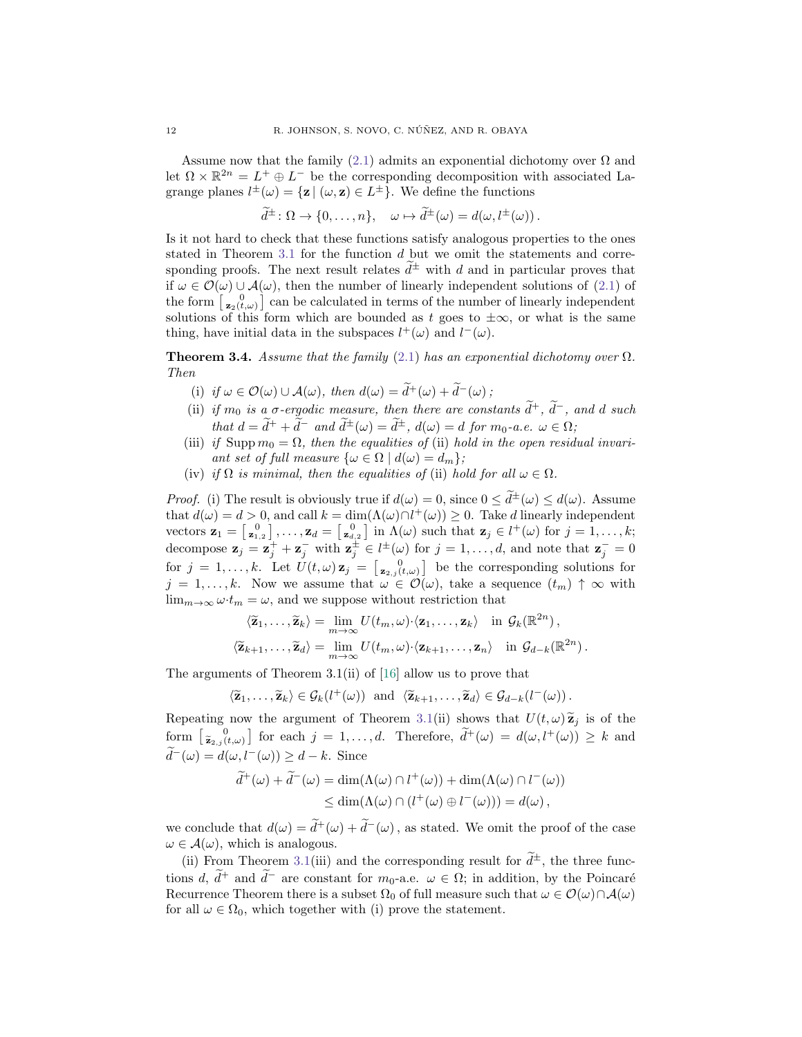Assume now that the family [\(2.1\)](#page-3-1) admits an exponential dichotomy over  $\Omega$  and let  $\Omega \times \mathbb{R}^{2n} = L^+ \oplus L^-$  be the corresponding decomposition with associated Lagrange planes  $l^{\pm}(\omega) = {\mathbf{z} | (\omega, \mathbf{z}) \in L^{\pm}}$ . We define the functions

$$
\widetilde{d}^{\pm} \colon \Omega \to \{0, \ldots, n\}, \quad \omega \mapsto \widetilde{d}^{\pm}(\omega) = d(\omega, l^{\pm}(\omega)).
$$

Is it not hard to check that these functions satisfy analogous properties to the ones stated in Theorem  $3.1$  for the function  $d$  but we omit the statements and corresponding proofs. The next result relates  $d^{\pm}$  with d and in particular proves that if  $\omega \in \mathcal{O}(\omega) \cup \mathcal{A}(\omega)$ , then the number of linearly independent solutions of [\(2.1\)](#page-3-1) of the form  $\begin{bmatrix} 0 \\ z_2(t,\omega) \end{bmatrix}$  can be calculated in terms of the number of linearly independent solutions of this form which are bounded as t goes to  $\pm\infty$ , or what is the same thing, have initial data in the subspaces  $l^+(\omega)$  and  $l^-(\omega)$ .

<span id="page-11-0"></span>**Theorem 3.4.** Assume that the family [\(2.1\)](#page-3-1) has an exponential dichotomy over  $\Omega$ . Then

- (i) if  $\omega \in \mathcal{O}(\omega) \cup \mathcal{A}(\omega)$ , then  $d(\omega) = \tilde{d}^+(\omega) + \tilde{d}^-(\omega)$ ;
- (ii) if  $m_0$  is a  $\sigma$ -ergodic measure, then there are constants  $\tilde{d}^+$ ,  $\tilde{d}^-$ , and d such that  $d = \tilde{d}^+ + \tilde{d}^-$  and  $\tilde{d}^{\pm}(\omega) = \tilde{d}^{\pm}$ ,  $d(\omega) = d$  for  $m_0$ -a.e.  $\omega \in \Omega$ ;
- (iii) if Supp  $m_0 = \Omega$ , then the equalities of (ii) hold in the open residual invariant set of full measure  $\{\omega \in \Omega \mid d(\omega) = d_m\};$
- (iv) if  $\Omega$  is minimal, then the equalities of (ii) hold for all  $\omega \in \Omega$ .

*Proof.* (i) The result is obviously true if  $d(\omega) = 0$ , since  $0 \le \tilde{d}^{\pm}(\omega) \le d(\omega)$ . Assume that  $d(\omega) = d > 0$ , and call  $k = \dim(\Lambda(\omega) \cap l^+(\omega)) \geq 0$ . Take d linearly independent vectors  $\mathbf{z}_1 = \begin{bmatrix} 0 \\ \mathbf{z}_{1,2} \end{bmatrix}, \ldots, \mathbf{z}_d = \begin{bmatrix} 0 \\ \mathbf{z}_{d,2} \end{bmatrix}$  in  $\Lambda(\omega)$  such that  $\mathbf{z}_j \in l^+(\omega)$  for  $j = 1, \ldots, k$ ; decompose  $\mathbf{z}_j = \mathbf{z}_j^+ + \mathbf{z}_j^-$  with  $\mathbf{z}_j^{\pm} \in l^{\pm}(\omega)$  for  $j = 1, \ldots, d$ , and note that  $\mathbf{z}_j^- = 0$ for  $j = 1, \ldots, k$ . Let  $U(t, \omega) \mathbf{z}_j = \begin{bmatrix} 0 \\ \mathbf{z}_{2,j}(t, \omega) \end{bmatrix}$  be the corresponding solutions for  $j = 1, \ldots, k$ . Now we assume that  $\omega \in \mathcal{O}(\omega)$ , take a sequence  $(t_m) \uparrow \infty$  with  $\lim_{m\to\infty}\omega\cdot t_m=\omega$ , and we suppose without restriction that

$$
\langle \widetilde{\mathbf{z}}_1, \ldots, \widetilde{\mathbf{z}}_k \rangle = \lim_{m \to \infty} U(t_m, \omega) \cdot \langle \mathbf{z}_1, \ldots, \mathbf{z}_k \rangle \quad \text{in } \mathcal{G}_k(\mathbb{R}^{2n}),
$$
  

$$
\langle \widetilde{\mathbf{z}}_{k+1}, \ldots, \widetilde{\mathbf{z}}_d \rangle = \lim_{m \to \infty} U(t_m, \omega) \cdot \langle \mathbf{z}_{k+1}, \ldots, \mathbf{z}_n \rangle \quad \text{in } \mathcal{G}_{d-k}(\mathbb{R}^{2n}).
$$

The arguments of Theorem 3.1(ii) of [\[16\]](#page-27-9) allow us to prove that

$$
\langle \widetilde{\mathbf{z}}_1,\ldots,\widetilde{\mathbf{z}}_k\rangle \in \mathcal{G}_k(l^+(\omega))
$$
 and  $\langle \widetilde{\mathbf{z}}_{k+1},\ldots,\widetilde{\mathbf{z}}_d\rangle \in \mathcal{G}_{d-k}(l^-(\omega))$ .

Repeating now the argument of Theorem [3.1\(](#page-0-3)ii) shows that  $U(t, \omega) \tilde{\mathbf{z}}_j$  is of the form  $\left[\tilde{\mathbf{z}}_{2,j}(t,\omega)\right]$  for each  $j = 1,\ldots,d$ . Therefore,  $\tilde{d}^+(\omega) = d(\omega, l^+(\omega)) \geq k$  and  $\widetilde{d}^-(\omega) = d(\omega, l^-(\omega)) \geq d - k.$  Since

$$
\widetilde{d}^+(\omega) + \widetilde{d}^-(\omega) = \dim(\Lambda(\omega) \cap l^+(\omega)) + \dim(\Lambda(\omega) \cap l^-(\omega))
$$
  

$$
\leq \dim(\Lambda(\omega) \cap (l^+(\omega) \oplus l^-(\omega))) = d(\omega),
$$

we conclude that  $d(\omega) = \tilde{d}^+(\omega) + \tilde{d}^-(\omega)$ , as stated. We omit the proof of the case  $\omega \in \mathcal{A}(\omega)$ , which is analogous.

(ii) From Theorem [3.1\(](#page-0-3)iii) and the corresponding result for  $\tilde{d}^{\pm}$ , the three functions d,  $\tilde{d}^+$  and  $\tilde{d}^-$  are constant for  $m_0$ -a.e.  $\omega \in \Omega$ ; in addition, by the Poincaré Recurrence Theorem there is a subset  $\Omega_0$  of full measure such that  $\omega \in \mathcal{O}(\omega) \cap \mathcal{A}(\omega)$ for all  $\omega \in \Omega_0$ , which together with (i) prove the statement.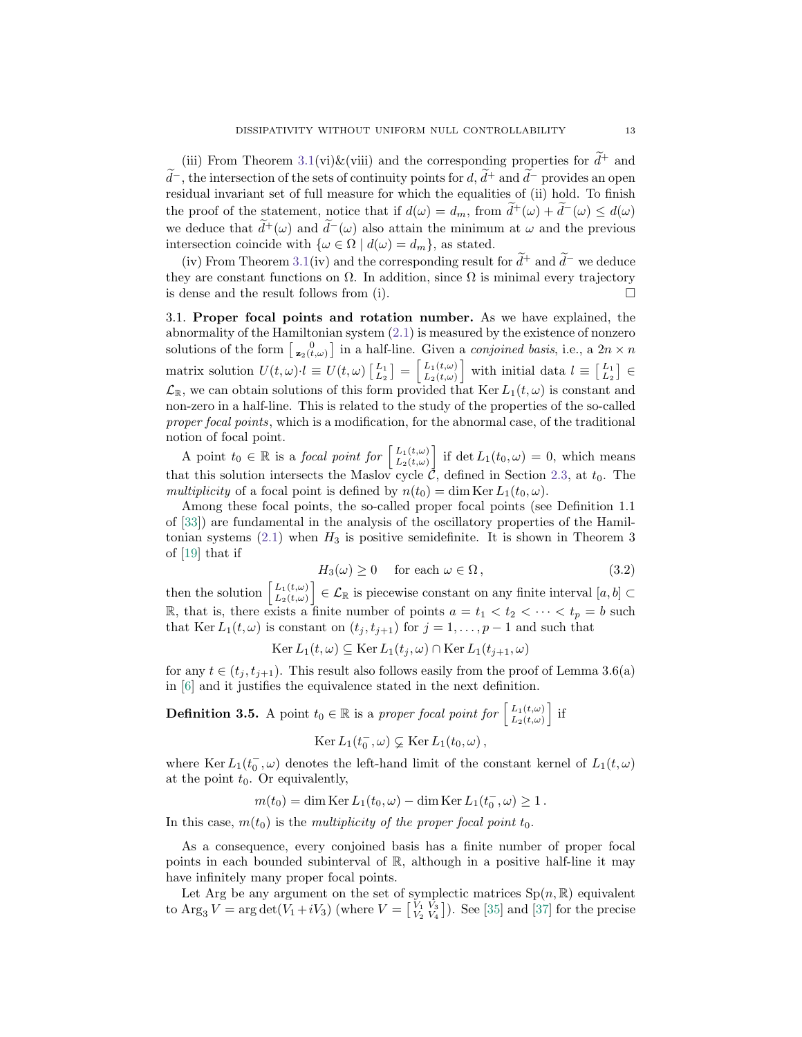(iii) From Theorem [3.1\(](#page-0-3)vi) $\&$ (viii) and the corresponding properties for  $d^+$  and  $\tilde{d}^-$ , the intersection of the sets of continuity points for  $d$ ,  $\tilde{d}^+$  and  $\tilde{d}^-$  provides an open residual invariant set of full measure for which the equalities of (ii) hold. To finish the proof of the statement, notice that if  $d(\omega) = d_m$ , from  $\tilde{d}^+(\omega) + \tilde{d}^-(\omega) \leq d(\omega)$ we deduce that  $\tilde{d}^+(\omega)$  and  $\tilde{d}^-(\omega)$  also attain the minimum at  $\omega$  and the previous intersection coincide with  $\{\omega \in \Omega \mid d(\omega) = d_m\}$ , as stated.

(iv) From Theorem [3.1\(](#page-0-3)iv) and the corresponding result for  $\tilde{d}^+$  and  $\tilde{d}^-$  we deduce they are constant functions on  $\Omega$ . In addition, since  $\Omega$  is minimal every trajectory is dense and the result follows from (i).

3.1. Proper focal points and rotation number. As we have explained, the abnormality of the Hamiltonian system [\(2.1\)](#page-3-1) is measured by the existence of nonzero solutions of the form  $\begin{bmatrix} 0 \\ z_2(t,\omega) \end{bmatrix}$  in a half-line. Given a *conjoined basis*, i.e., a  $2n \times n$ matrix solution  $U(t, \omega) \cdot l \equiv U(t, \omega) \begin{bmatrix} L_1 \\ L_2 \end{bmatrix} = \begin{bmatrix} L_1(t, \omega) \\ L_2(t, \omega) \end{bmatrix}$  $\left[\begin{array}{c}L_1(t,\omega)\\ L_2(t,\omega)\end{array}\right]$  with initial data  $l \equiv \left[\begin{array}{c}L_1\\ L_2\end{array}\right] \in$  $\mathcal{L}_{\mathbb{R}}$ , we can obtain solutions of this form provided that Ker  $L_1(t,\omega)$  is constant and non-zero in a half-line. This is related to the study of the properties of the so-called proper focal points, which is a modification, for the abnormal case, of the traditional notion of focal point.

A point  $t_0 \in \mathbb{R}$  is a focal point for  $\begin{bmatrix} L_1(t,\omega) \\ L_2(t,\omega) \end{bmatrix}$  $\left[\begin{array}{c}L_1(t,\omega)\\L_2(t,\omega)\end{array}\right]$  if det  $L_1(t_0,\omega)=0$ , which means that this solution intersects the Maslov cycle  $\mathcal{C}$ , defined in Section [2.3,](#page-5-1) at  $t_0$ . The multiplicity of a focal point is defined by  $n(t_0) = \dim \text{Ker } L_1(t_0, \omega)$ .

Among these focal points, the so-called proper focal points (see Definition 1.1 of [\[33\]](#page-28-13)) are fundamental in the analysis of the oscillatory properties of the Hamiltonian systems  $(2.1)$  when  $H_3$  is positive semidefinite. It is shown in Theorem 3 of [\[19\]](#page-28-14) that if

<span id="page-12-0"></span>
$$
H_3(\omega) \ge 0 \quad \text{ for each } \omega \in \Omega \,, \tag{3.2}
$$

then the solution  $\begin{bmatrix} L_1(t,\omega) \\ L_2(t,\omega) \end{bmatrix}$  $\left[\begin{smallmatrix}L_1(t,\omega)\\ L_2(t,\omega)\end{smallmatrix}\right]\in\mathcal{L}_{\mathbb{R}}$  is piecewise constant on any finite interval  $[a,b]\subset\mathbb{R}$ R, that is, there exists a finite number of points  $a = t_1 < t_2 < \cdots < t_p = b$  such that Ker  $L_1(t, \omega)$  is constant on  $(t_j, t_{j+1})$  for  $j = 1, \ldots, p-1$  and such that

$$
\operatorname{Ker} L_1(t,\omega) \subseteq \operatorname{Ker} L_1(t_j,\omega) \cap \operatorname{Ker} L_1(t_{j+1},\omega)
$$

for any  $t \in (t_j, t_{j+1})$ . This result also follows easily from the proof of Lemma 3.6(a) in [\[6\]](#page-27-3) and it justifies the equivalence stated in the next definition.

**Definition 3.5.** A point  $t_0 \in \mathbb{R}$  is a proper focal point for  $\begin{bmatrix} L_1(t,\omega) \\ L_2(t,\omega) \end{bmatrix}$  $\left[\begin{smallmatrix}L_1(t,\omega)\\ L_2(t,\omega)\end{smallmatrix}\right]$  if

$$
Ker L_1(t_0^-,\omega) \subsetneq \operatorname{Ker} L_1(t_0,\omega),
$$

where Ker  $L_1(t_0^-,\omega)$  denotes the left-hand limit of the constant kernel of  $L_1(t,\omega)$ at the point  $t_0$ . Or equivalently,

$$
m(t_0) = \dim \operatorname{Ker} L_1(t_0, \omega) - \dim \operatorname{Ker} L_1(t_0^-, \omega) \ge 1.
$$

In this case,  $m(t_0)$  is the multiplicity of the proper focal point  $t_0$ .

As a consequence, every conjoined basis has a finite number of proper focal points in each bounded subinterval of  $\mathbb{R}$ , although in a positive half-line it may have infinitely many proper focal points.

Let Arg be any argument on the set of symplectic matrices  $Sp(n, \mathbb{R})$  equivalent to  $\text{Arg}_3 V = \arg \det(V_1 + iV_3)$  (where  $V = \begin{bmatrix} V_1 & V_3 \\ V_2 & V_4 \end{bmatrix}$ ). See [\[35\]](#page-28-15) and [\[37\]](#page-28-16) for the precise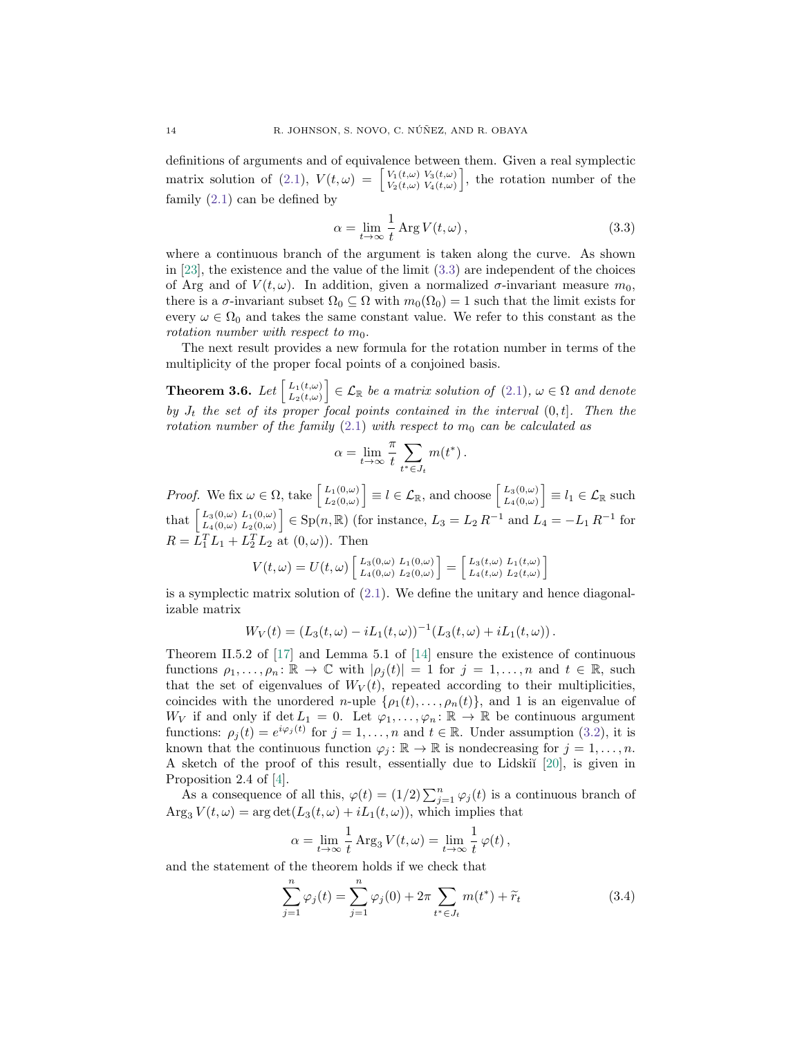definitions of arguments and of equivalence between them. Given a real symplectic matrix solution of [\(2.1\)](#page-3-1),  $V(t, \omega)$  =  $V_1(t,\omega) V_3(t,\omega)$  $V_1(t,\omega) V_3(t,\omega) V_4(t,\omega)$ , the rotation number of the family [\(2.1\)](#page-3-1) can be defined by

<span id="page-13-0"></span>
$$
\alpha = \lim_{t \to \infty} \frac{1}{t} \operatorname{Arg} V(t, \omega), \qquad (3.3)
$$

where a continuous branch of the argument is taken along the curve. As shown in  $[23]$ , the existence and the value of the limit  $(3.3)$  are independent of the choices of Arg and of  $V(t, \omega)$ . In addition, given a normalized  $\sigma$ -invariant measure  $m_0$ , there is a  $\sigma$ -invariant subset  $\Omega_0 \subseteq \Omega$  with  $m_0(\Omega_0) = 1$  such that the limit exists for every  $\omega \in \Omega_0$  and takes the same constant value. We refer to this constant as the rotation number with respect to  $m_0$ .

The next result provides a new formula for the rotation number in terms of the multiplicity of the proper focal points of a conjoined basis.

**Theorem 3.6.** Let  $\begin{bmatrix} L_1(t,\omega) \\ L_2(t,\omega) \end{bmatrix}$  $\left[\begin{array}{c}L_1(t,\omega)\\ L_2(t,\omega)\end{array}\right]\in\mathcal{L}_{\mathbb{R}}$  be a matrix solution of  $(2.1)$ ,  $\omega\in\Omega$  and denote by  $J_t$  the set of its proper focal points contained in the interval  $(0,t]$ . Then the rotation number of the family [\(2.1\)](#page-3-1) with respect to  $m_0$  can be calculated as

$$
\alpha = \lim_{t \to \infty} \frac{\pi}{t} \sum_{t^* \in J_t} m(t^*).
$$

*Proof.* We fix  $\omega \in \Omega$ , take  $\begin{bmatrix} L_1(0,\omega) \\ L_2(0,\omega) \end{bmatrix}$  $\left[\begin{smallmatrix}L_1(0,\omega)\\ L_2(0,\omega)\end{smallmatrix}\right] \equiv l \in \mathcal{L}_{\mathbb{R}},$  and choose  $\left[\begin{smallmatrix}L_3(0,\omega)\\ L_4(0,\omega)\end{smallmatrix}\right]$  $\left[\begin{smallmatrix} L_3(0,\omega) \ L_4(0,\omega) \end{smallmatrix}\right] \equiv l_1 \in \mathcal{L}_{\mathbb{R}}$  such that  $\begin{bmatrix} L_3(0,\omega) & L_1(0,\omega) \\ L_2(0,\omega) & L_3(0,\omega) \end{bmatrix}$  $\left[\begin{smallmatrix}L_{3}(0,\omega)&L_{1}(0,\omega)\L_{4}(0,\omega)&L_{2}(0,\omega)\end{smallmatrix}\right] \in \text{Sp}(n,\mathbb{R})$  (for instance,  $L_{3} = L_{2} R^{-1}$  and  $L_{4} = -L_{1} R^{-1}$  for  $R = L_1^T L_1 + L_2^T L_2$  at  $(0, \omega)$ ). Then

$$
V(t,\omega) = U(t,\omega) \begin{bmatrix} L_3(0,\omega) & L_1(0,\omega) \\ L_4(0,\omega) & L_2(0,\omega) \end{bmatrix} = \begin{bmatrix} L_3(t,\omega) & L_1(t,\omega) \\ L_4(t,\omega) & L_2(t,\omega) \end{bmatrix}
$$

is a symplectic matrix solution of  $(2.1)$ . We define the unitary and hence diagonalizable matrix

$$
W_V(t) = (L_3(t,\omega) - iL_1(t,\omega))^{-1} (L_3(t,\omega) + iL_1(t,\omega)).
$$

Theorem II.5.2 of [\[17\]](#page-27-10) and Lemma 5.1 of [\[14\]](#page-27-11) ensure the existence of continuous functions  $\rho_1, \ldots, \rho_n : \mathbb{R} \to \mathbb{C}$  with  $|\rho_i(t)| = 1$  for  $j = 1, \ldots, n$  and  $t \in \mathbb{R}$ , such that the set of eigenvalues of  $W_V(t)$ , repeated according to their multiplicities, coincides with the unordered n-uple  $\{p_1(t), \ldots, p_n(t)\}$ , and 1 is an eigenvalue of  $W_V$  if and only if det  $L_1 = 0$ . Let  $\varphi_1, \ldots, \varphi_n : \mathbb{R} \to \mathbb{R}$  be continuous argument functions:  $\rho_j(t) = e^{i\varphi_j(t)}$  for  $j = 1, ..., n$  and  $t \in \mathbb{R}$ . Under assumption [\(3.2\)](#page-12-0), it is known that the continuous function  $\varphi_j : \mathbb{R} \to \mathbb{R}$  is nondecreasing for  $j = 1, ..., n$ . A sketch of the proof of this result, essentially due to Lidski˘ı [\[20\]](#page-28-17), is given in Proposition 2.4 of [\[4\]](#page-27-12).

As a consequence of all this,  $\varphi(t) = (1/2) \sum_{j=1}^{n} \varphi_j(t)$  is a continuous branch of  $\text{Arg}_3 V(t, \omega) = \arg \det(L_3(t, \omega) + iL_1(t, \omega))$ , which implies that

$$
\alpha = \lim_{t \to \infty} \frac{1}{t} \operatorname{Arg}_3 V(t, \omega) = \lim_{t \to \infty} \frac{1}{t} \varphi(t),
$$

and the statement of the theorem holds if we check that

<span id="page-13-1"></span>
$$
\sum_{j=1}^{n} \varphi_j(t) = \sum_{j=1}^{n} \varphi_j(0) + 2\pi \sum_{t^* \in J_t} m(t^*) + \tilde{r}_t
$$
\n(3.4)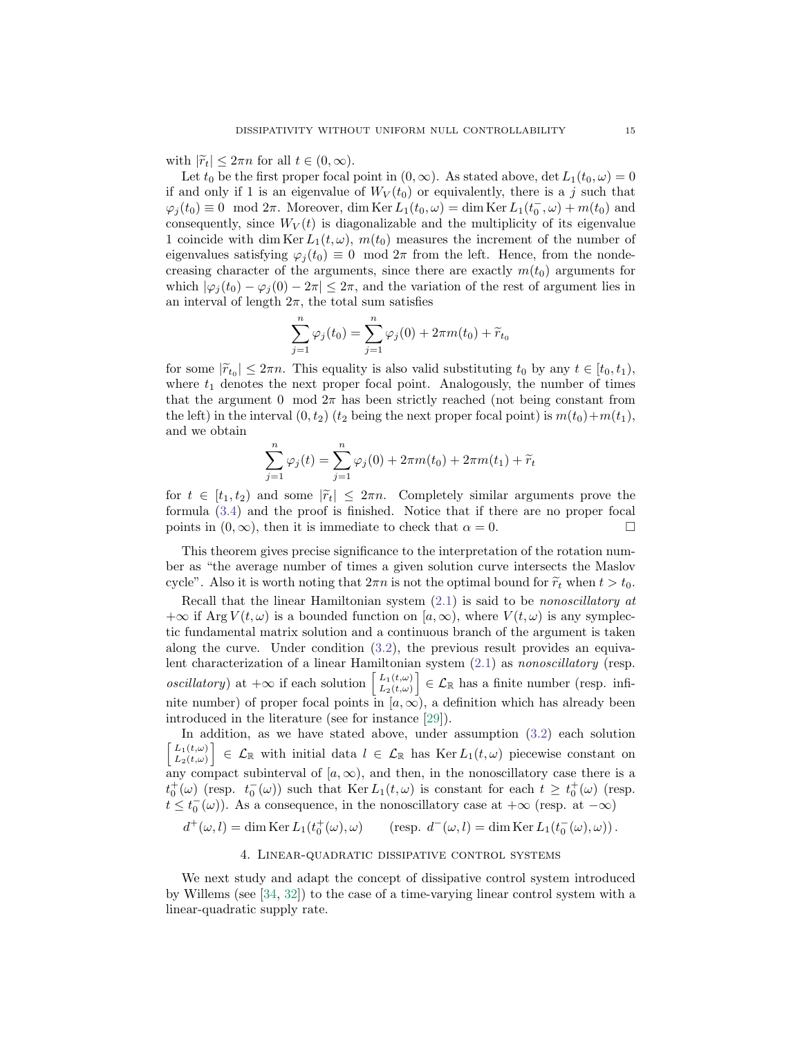with  $|\widetilde{r}_t| \leq 2\pi n$  for all  $t \in (0,\infty)$ .

Let  $t_0$  be the first proper focal point in  $(0, \infty)$ . As stated above, det  $L_1(t_0, \omega) = 0$ if and only if 1 is an eigenvalue of  $W_V(t_0)$  or equivalently, there is a j such that  $\varphi_j(t_0) \equiv 0 \mod 2\pi$ . Moreover, dim Ker  $L_1(t_0, \omega) = \dim \text{Ker } L_1(t_0^-, \omega) + m(t_0)$  and consequently, since  $W_V(t)$  is diagonalizable and the multiplicity of its eigenvalue 1 coincide with dim Ker  $L_1(t,\omega)$ ,  $m(t_0)$  measures the increment of the number of eigenvalues satisfying  $\varphi_j(t_0) \equiv 0 \mod 2\pi$  from the left. Hence, from the nondecreasing character of the arguments, since there are exactly  $m(t_0)$  arguments for which  $|\varphi_j(t_0) - \varphi_j(0) - 2\pi| \leq 2\pi$ , and the variation of the rest of argument lies in an interval of length  $2\pi$ , the total sum satisfies

$$
\sum_{j=1}^{n} \varphi_j(t_0) = \sum_{j=1}^{n} \varphi_j(0) + 2\pi m(t_0) + \widetilde{r}_{t_0}
$$

for some  $|\tilde{r}_{t_0}| \leq 2\pi n$ . This equality is also valid substituting  $t_0$  by any  $t \in [t_0, t_1)$ ,<br>where  $t_0$  denotes the next proper focal point. Analogously, the number of times where  $t_1$  denotes the next proper focal point. Analogously, the number of times that the argument 0 mod  $2\pi$  has been strictly reached (not being constant from the left) in the interval  $(0, t_2)$  ( $t_2$  being the next proper focal point) is  $m(t_0)+m(t_1)$ , and we obtain

$$
\sum_{j=1}^{n} \varphi_j(t) = \sum_{j=1}^{n} \varphi_j(0) + 2\pi m(t_0) + 2\pi m(t_1) + \tilde{r}_t
$$

for  $t \in [t_1, t_2)$  and some  $|\tilde{r}_t| \leq 2\pi n$ . Completely similar arguments prove the formula [\(3.4\)](#page-13-1) and the proof is finished. Notice that if there are no proper focal points in  $(0, \infty)$ , then it is immediate to check that  $\alpha = 0$ .

This theorem gives precise significance to the interpretation of the rotation number as "the average number of times a given solution curve intersects the Maslov cycle". Also it is worth noting that  $2\pi n$  is not the optimal bound for  $\widetilde{r}_t$  when  $t > t_0$ .

Recall that the linear Hamiltonian system  $(2.1)$  is said to be *nonoscillatory at*  $+\infty$  if Arg  $V(t,\omega)$  is a bounded function on  $[a,\infty)$ , where  $V(t,\omega)$  is any symplectic fundamental matrix solution and a continuous branch of the argument is taken along the curve. Under condition [\(3.2\)](#page-12-0), the previous result provides an equivalent characterization of a linear Hamiltonian system [\(2.1\)](#page-3-1) as nonoscillatory (resp. *oscillatory*) at  $+\infty$  if each solution  $\begin{bmatrix} L_1(t,\omega) \\ L_2(t,\omega) \end{bmatrix}$  $\left[\begin{array}{c}L_1(t,\omega)\\ L_2(t,\omega)\end{array}\right] \in \mathcal{L}_{\mathbb{R}}$  has a finite number (resp. infinite number) of proper focal points in  $[a,\infty)$ , a definition which has already been introduced in the literature (see for instance [\[29\]](#page-28-11)).

In addition, as we have stated above, under assumption [\(3.2\)](#page-12-0) each solution  $L_1(t,\omega)$  $\left\{L_1(t,\omega) \atop L_2(t,\omega)\right\} \in \mathcal{L}_{\mathbb{R}}$  with initial data  $l \in \mathcal{L}_{\mathbb{R}}$  has Ker  $L_1(t,\omega)$  piecewise constant on any compact subinterval of  $[a, \infty)$ , and then, in the nonoscillatory case there is a  $t_0^+(\omega)$  (resp.  $t_0^-(\omega)$ ) such that Ker  $L_1(t,\omega)$  is constant for each  $t \geq t_0^+(\omega)$  (resp.  $t \leq t_0^-(\omega)$ ). As a consequence, in the nonoscillatory case at  $+\infty$  (resp. at  $-\infty$ )

 $d^+(\omega, l) = \dim \text{Ker } L_1(t_0^+(\omega), \omega)$  (resp.  $d^-(\omega, l) = \dim \text{Ker } L_1(t_0^-(\omega), \omega)$ ).

4. Linear-quadratic dissipative control systems

<span id="page-14-0"></span>We next study and adapt the concept of dissipative control system introduced by Willems (see [\[34,](#page-28-0) [32\]](#page-28-1)) to the case of a time-varying linear control system with a linear-quadratic supply rate.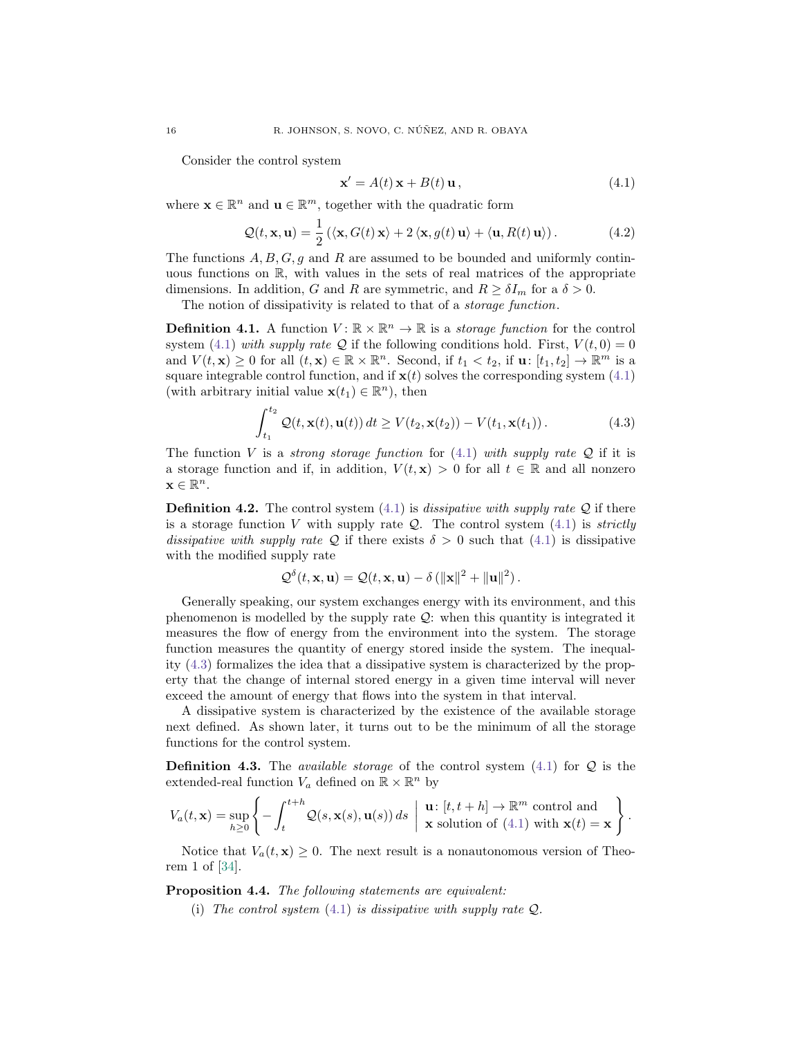Consider the control system

<span id="page-15-0"></span>
$$
\mathbf{x}' = A(t)\mathbf{x} + B(t)\mathbf{u},\tag{4.1}
$$

where  $\mathbf{x} \in \mathbb{R}^n$  and  $\mathbf{u} \in \mathbb{R}^m$ , together with the quadratic form

$$
Q(t, \mathbf{x}, \mathbf{u}) = \frac{1}{2} (\langle \mathbf{x}, G(t) \mathbf{x} \rangle + 2 \langle \mathbf{x}, g(t) \mathbf{u} \rangle + \langle \mathbf{u}, R(t) \mathbf{u} \rangle). \tag{4.2}
$$

The functions  $A, B, G, g$  and R are assumed to be bounded and uniformly continuous functions on R, with values in the sets of real matrices of the appropriate dimensions. In addition, G and R are symmetric, and  $R > \delta I_m$  for a  $\delta > 0$ .

The notion of dissipativity is related to that of a *storage function*.

**Definition 4.1.** A function  $V: \mathbb{R} \times \mathbb{R}^n \to \mathbb{R}$  is a *storage function* for the control system [\(4.1\)](#page-15-0) with supply rate Q if the following conditions hold. First,  $V(t, 0) = 0$ and  $V(t, \mathbf{x}) \geq 0$  for all  $(t, \mathbf{x}) \in \mathbb{R} \times \mathbb{R}^n$ . Second, if  $t_1 < t_2$ , if  $\mathbf{u} \colon [t_1, t_2] \to \mathbb{R}^m$  is a square integrable control function, and if  $\mathbf{x}(t)$  solves the corresponding system [\(4.1\)](#page-15-0) (with arbitrary initial value  $\mathbf{x}(t_1) \in \mathbb{R}^n$ ), then

<span id="page-15-1"></span>
$$
\int_{t_1}^{t_2} \mathcal{Q}(t, \mathbf{x}(t), \mathbf{u}(t)) dt \ge V(t_2, \mathbf{x}(t_2)) - V(t_1, \mathbf{x}(t_1)).
$$
\n(4.3)

The function V is a *strong storage function* for  $(4.1)$  with supply rate Q if it is a storage function and if, in addition,  $V(t, \mathbf{x}) > 0$  for all  $t \in \mathbb{R}$  and all nonzero  $\mathbf{x} \in \mathbb{R}^n$ .

**Definition 4.2.** The control system  $(4.1)$  is *dissipative with supply rate*  $Q$  if there is a storage function V with supply rate  $Q$ . The control system  $(4.1)$  is *strictly* dissipative with supply rate Q if there exists  $\delta > 0$  such that [\(4.1\)](#page-15-0) is dissipative with the modified supply rate

$$
\mathcal{Q}^{\delta}(t, \mathbf{x}, \mathbf{u}) = \mathcal{Q}(t, \mathbf{x}, \mathbf{u}) - \delta \left( \|\mathbf{x}\|^2 + \|\mathbf{u}\|^2 \right).
$$

Generally speaking, our system exchanges energy with its environment, and this phenomenon is modelled by the supply rate  $\mathcal{Q}$ : when this quantity is integrated it measures the flow of energy from the environment into the system. The storage function measures the quantity of energy stored inside the system. The inequality [\(4.3\)](#page-15-1) formalizes the idea that a dissipative system is characterized by the property that the change of internal stored energy in a given time interval will never exceed the amount of energy that flows into the system in that interval.

A dissipative system is characterized by the existence of the available storage next defined. As shown later, it turns out to be the minimum of all the storage functions for the control system.

**Definition 4.3.** The *available storage* of the control system  $(4.1)$  for  $\mathcal Q$  is the extended-real function  $V_a$  defined on  $\mathbb{R} \times \mathbb{R}^n$  by

$$
V_a(t, \mathbf{x}) = \sup_{h \ge 0} \left\{ - \int_t^{t+h} \mathcal{Q}(s, \mathbf{x}(s), \mathbf{u}(s)) ds \mid \mathbf{u} : [t, t+h] \to \mathbb{R}^m \text{ control and } \mathbf{x}(t) = \mathbf{x} \right\}.
$$

Notice that  $V_a(t, x) \geq 0$ . The next result is a nonautonomous version of Theorem 1 of [\[34\]](#page-28-0).

<span id="page-15-2"></span>Proposition 4.4. The following statements are equivalent:

(i) The control system  $(4.1)$  is dissipative with supply rate  $\mathcal{Q}$ .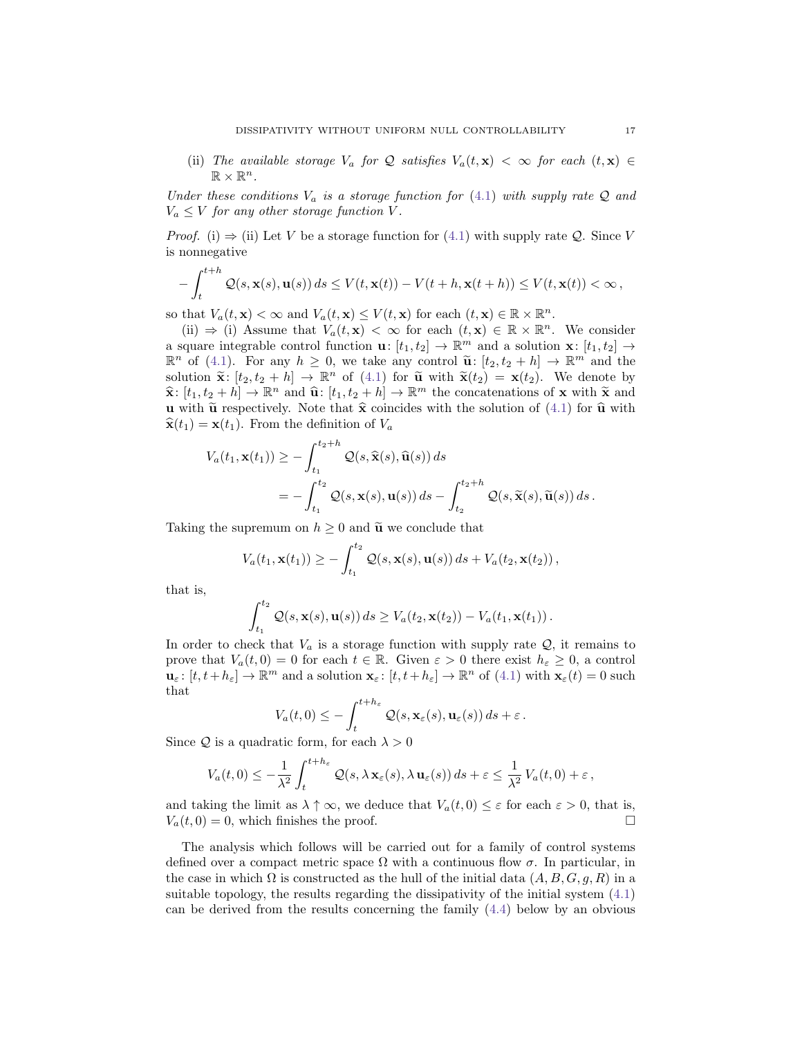(ii) The available storage  $V_a$  for Q satisfies  $V_a(t, \mathbf{x}) < \infty$  for each  $(t, \mathbf{x}) \in$  $\mathbb{R} \times \mathbb{R}^n$ .

Under these conditions  $V_a$  is a storage function for [\(4.1\)](#page-15-0) with supply rate  $Q$  and  $V_a \leq V$  for any other storage function V.

*Proof.* (i)  $\Rightarrow$  (ii) Let V be a storage function for [\(4.1\)](#page-15-0) with supply rate Q. Since V is nonnegative

$$
-\int_{t}^{t+h} \mathcal{Q}(s, \mathbf{x}(s), \mathbf{u}(s)) ds \leq V(t, \mathbf{x}(t)) - V(t+h, \mathbf{x}(t+h)) \leq V(t, \mathbf{x}(t)) < \infty,
$$

so that  $V_a(t, \mathbf{x}) < \infty$  and  $V_a(t, \mathbf{x}) \leq V(t, \mathbf{x})$  for each  $(t, \mathbf{x}) \in \mathbb{R} \times \mathbb{R}^n$ .

(ii)  $\Rightarrow$  (i) Assume that  $V_a(t, \mathbf{x}) < \infty$  for each  $(t, \mathbf{x}) \in \mathbb{R} \times \mathbb{R}^n$ . We consider a square integrable control function  $\mathbf{u}: [t_1, t_2] \to \mathbb{R}^m$  and a solution  $\mathbf{x}: [t_1, t_2] \to$  $\mathbb{R}^n$  of [\(4.1\)](#page-15-0). For any  $h \geq 0$ , we take any control  $\tilde{\mathbf{u}}$ :  $[t_2, t_2 + h] \to \mathbb{R}^m$  and the colution  $\tilde{\mathbf{v}}$ :  $[t_1, t_2 + h] \to \mathbb{R}^n$  of (4.1) for  $\tilde{\mathbf{v}}$  with  $\tilde{\mathbf{v}}(t_1) = \mathbf{v}(t_2)$ . We denote by solution  $\widetilde{\mathbf{x}}$ :  $[t_2, t_2 + h] \rightarrow \mathbb{R}^n$  of [\(4.1\)](#page-15-0) for  $\widetilde{\mathbf{u}}$  with  $\widetilde{\mathbf{x}}(t_2) = \mathbf{x}(t_2)$ . We denote by  $\hat{\mathbf{x}}: [t_1, t_2 + h] \to \mathbb{R}^n$  and  $\hat{\mathbf{u}}: [t_1, t_2 + h] \to \mathbb{R}^m$  the concatenations of **x** with  $\tilde{\mathbf{x}}$  and **y** with  $\tilde{\mathbf{v}}$  reconcatively. Note that  $\hat{\mathbf{x}}$  coincides with the solution of (4.1) for  $\hat{\mathbf{v}}$ **u** with  $\tilde{u}$  respectively. Note that  $\hat{x}$  coincides with the solution of [\(4.1\)](#page-15-0) for  $\hat{u}$  with  $\hat{\mathbf{x}}(t_1) = \mathbf{x}(t_1)$ . From the definition of  $V_a$ 

$$
V_a(t_1, \mathbf{x}(t_1)) \ge -\int_{t_1}^{t_2+h} \mathcal{Q}(s, \widehat{\mathbf{x}}(s), \widehat{\mathbf{u}}(s)) ds
$$
  
= 
$$
-\int_{t_1}^{t_2} \mathcal{Q}(s, \mathbf{x}(s), \mathbf{u}(s)) ds - \int_{t_2}^{t_2+h} \mathcal{Q}(s, \widetilde{\mathbf{x}}(s), \widetilde{\mathbf{u}}(s)) ds.
$$

Taking the supremum on  $h \geq 0$  and  $\tilde{u}$  we conclude that

$$
V_a(t_1,\mathbf{x}(t_1))\geq -\int_{t_1}^{t_2}\mathcal{Q}(s,\mathbf{x}(s),\mathbf{u}(s))\,ds+V_a(t_2,\mathbf{x}(t_2)),
$$

that is,

$$
\int_{t_1}^{t_2} \mathcal{Q}(s, \mathbf{x}(s), \mathbf{u}(s)) ds \geq V_a(t_2, \mathbf{x}(t_2)) - V_a(t_1, \mathbf{x}(t_1)).
$$

In order to check that  $V_a$  is a storage function with supply rate  $Q$ , it remains to prove that  $V_a(t, 0) = 0$  for each  $t \in \mathbb{R}$ . Given  $\varepsilon > 0$  there exist  $h_{\varepsilon} \geq 0$ , a control  $\mathbf{u}_{\varepsilon} : [t, t+h_{\varepsilon}] \to \mathbb{R}^{m}$  and a solution  $\mathbf{x}_{\varepsilon} : [t, t+h_{\varepsilon}] \to \mathbb{R}^{n}$  of [\(4.1\)](#page-15-0) with  $\mathbf{x}_{\varepsilon}(t) = 0$  such that

$$
V_a(t,0) \leq -\int_t^{t+h_{\varepsilon}} \mathcal{Q}(s,\mathbf{x}_{\varepsilon}(s),\mathbf{u}_{\varepsilon}(s)) ds + \varepsilon.
$$

Since Q is a quadratic form, for each  $\lambda > 0$ 

$$
V_a(t,0) \leq -\frac{1}{\lambda^2} \int_t^{t+h_{\varepsilon}} \mathcal{Q}(s,\lambda \mathbf{x}_{\varepsilon}(s),\lambda \mathbf{u}_{\varepsilon}(s)) ds + \varepsilon \leq \frac{1}{\lambda^2} V_a(t,0) + \varepsilon,
$$

and taking the limit as  $\lambda \uparrow \infty$ , we deduce that  $V_a(t, 0) \leq \varepsilon$  for each  $\varepsilon > 0$ , that is,  $V_a(t, 0) = 0$ , which finishes the proof.

The analysis which follows will be carried out for a family of control systems defined over a compact metric space  $\Omega$  with a continuous flow  $\sigma$ . In particular, in the case in which  $\Omega$  is constructed as the hull of the initial data  $(A, B, G, g, R)$  in a suitable topology, the results regarding the dissipativity of the initial system [\(4.1\)](#page-15-0) can be derived from the results concerning the family [\(4.4\)](#page-17-0) below by an obvious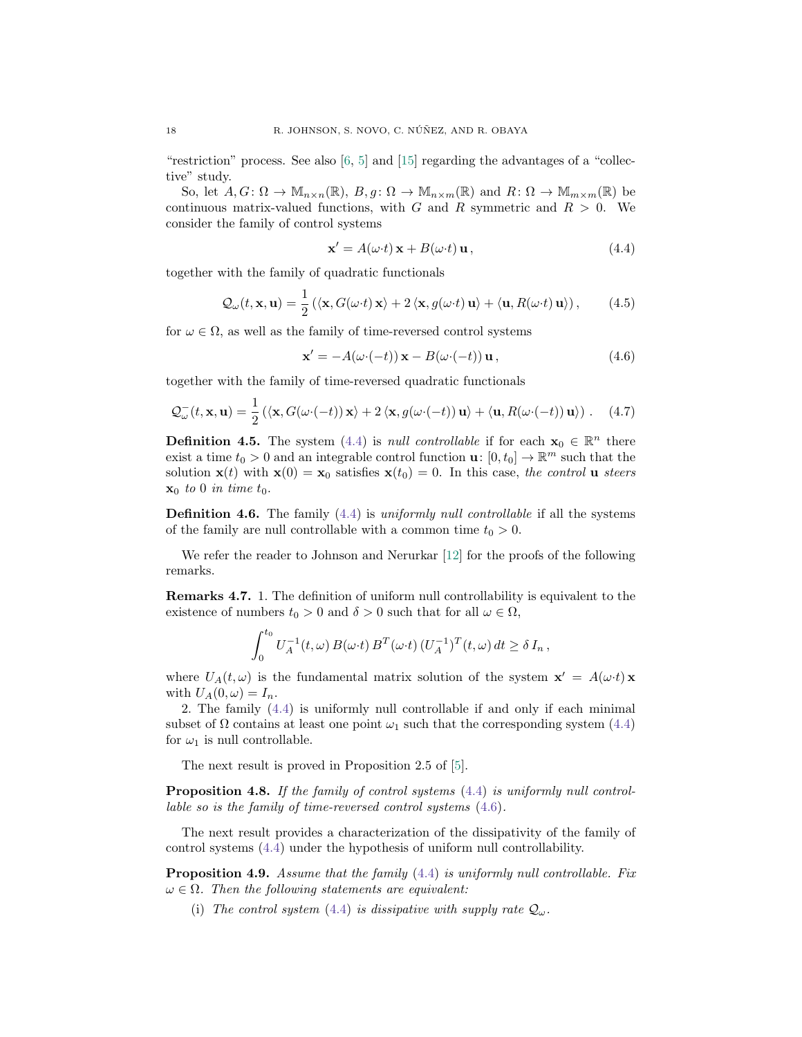"restriction" process. See also  $[6, 5]$  $[6, 5]$  $[6, 5]$  and  $[15]$  regarding the advantages of a "collective" study.

So, let  $A, G: \Omega \to \mathbb{M}_{n \times n}(\mathbb{R}), B, g: \Omega \to \mathbb{M}_{n \times m}(\mathbb{R})$  and  $R: \Omega \to \mathbb{M}_{m \times m}(\mathbb{R})$  be continuous matrix-valued functions, with G and R symmetric and  $R > 0$ . We consider the family of control systems

<span id="page-17-0"></span>
$$
\mathbf{x}' = A(\omega \cdot t) \mathbf{x} + B(\omega \cdot t) \mathbf{u},\tag{4.4}
$$

together with the family of quadratic functionals

<span id="page-17-4"></span>
$$
\mathcal{Q}_{\omega}(t, \mathbf{x}, \mathbf{u}) = \frac{1}{2} \left( \langle \mathbf{x}, G(\omega \cdot t) \mathbf{x} \rangle + 2 \langle \mathbf{x}, g(\omega \cdot t) \mathbf{u} \rangle + \langle \mathbf{u}, R(\omega \cdot t) \mathbf{u} \rangle \right), \tag{4.5}
$$

for  $\omega \in \Omega$ , as well as the family of time-reversed control systems

<span id="page-17-1"></span>
$$
\mathbf{x}' = -A(\omega \cdot (-t)) \mathbf{x} - B(\omega \cdot (-t)) \mathbf{u}, \qquad (4.6)
$$

together with the family of time-reversed quadratic functionals

<span id="page-17-5"></span>
$$
\mathcal{Q}_{\omega}^-(t, \mathbf{x}, \mathbf{u}) = \frac{1}{2} \left( \langle \mathbf{x}, G(\omega \cdot (-t)) \mathbf{x} \rangle + 2 \langle \mathbf{x}, g(\omega \cdot (-t)) \mathbf{u} \rangle + \langle \mathbf{u}, R(\omega \cdot (-t)) \mathbf{u} \rangle \right). \tag{4.7}
$$

**Definition 4.5.** The system [\(4.4\)](#page-17-0) is *null controllable* if for each  $\mathbf{x}_0 \in \mathbb{R}^n$  there exist a time  $t_0 > 0$  and an integrable control function  $\mathbf{u} \colon [0, t_0] \to \mathbb{R}^m$  such that the solution  $\mathbf{x}(t)$  with  $\mathbf{x}(0) = \mathbf{x}_0$  satisfies  $\mathbf{x}(t_0) = 0$ . In this case, the control **u** steers  $\mathbf{x}_0$  to 0 in time  $t_0$ .

**Definition 4.6.** The family  $(4.4)$  is *uniformly null controllable* if all the systems of the family are null controllable with a common time  $t_0 > 0$ .

We refer the reader to Johnson and Nerurkar [\[12\]](#page-27-13) for the proofs of the following remarks.

<span id="page-17-6"></span>Remarks 4.7. 1. The definition of uniform null controllability is equivalent to the existence of numbers  $t_0 > 0$  and  $\delta > 0$  such that for all  $\omega \in \Omega$ ,

$$
\int_0^{t_0} U_A^{-1}(t,\omega) B(\omega \cdot t) B^T(\omega \cdot t) (U_A^{-1})^T(t,\omega) dt \ge \delta I_n,
$$

where  $U_A(t,\omega)$  is the fundamental matrix solution of the system  $\mathbf{x}' = A(\omega \cdot t) \mathbf{x}$ with  $U_A(0, \omega) = I_n$ .

2. The family [\(4.4\)](#page-17-0) is uniformly null controllable if and only if each minimal subset of  $\Omega$  contains at least one point  $\omega_1$  such that the corresponding system [\(4.4\)](#page-17-0) for  $\omega_1$  is null controllable.

The next result is proved in Proposition 2.5 of [\[5\]](#page-27-0).

<span id="page-17-2"></span>Proposition 4.8. If the family of control systems  $(4.4)$  is uniformly null controllable so is the family of time-reversed control systems [\(4.6\)](#page-17-1).

The next result provides a characterization of the dissipativity of the family of control systems [\(4.4\)](#page-17-0) under the hypothesis of uniform null controllability.

<span id="page-17-3"></span>**Proposition 4.9.** Assume that the family [\(4.4\)](#page-17-0) is uniformly null controllable. Fix  $\omega \in \Omega$ . Then the following statements are equivalent:

(i) The control system [\(4.4\)](#page-17-0) is dissipative with supply rate  $Q_{\omega}$ .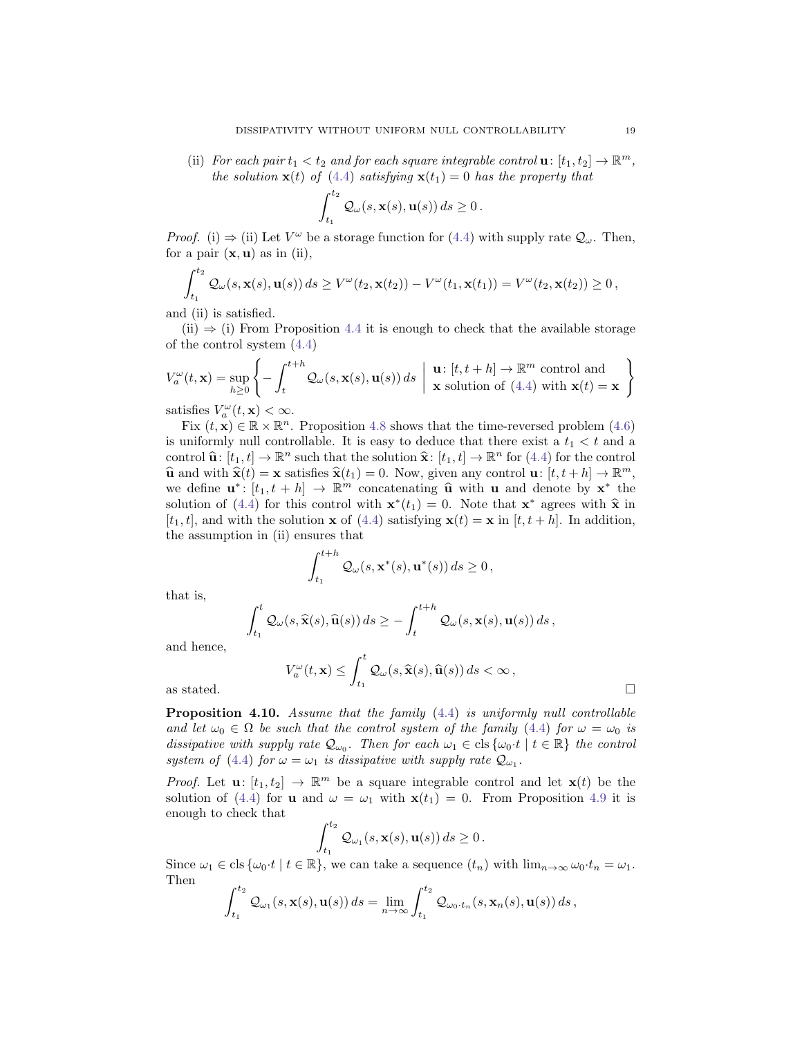(ii) For each pair  $t_1 < t_2$  and for each square integrable control  $\mathbf{u}: [t_1, t_2] \to \mathbb{R}^m$ , the solution  $\mathbf{x}(t)$  of [\(4.4\)](#page-17-0) satisfying  $\mathbf{x}(t_1) = 0$  has the property that

$$
\int_{t_1}^{t_2} \mathcal{Q}_{\omega}(s, \mathbf{x}(s), \mathbf{u}(s)) ds \ge 0.
$$

*Proof.* (i)  $\Rightarrow$  (ii) Let  $V^{\omega}$  be a storage function for [\(4.4\)](#page-17-0) with supply rate  $\mathcal{Q}_{\omega}$ . Then, for a pair  $(x, u)$  as in (ii),

$$
\int_{t_1}^{t_2} \mathcal{Q}_{\omega}(s,\mathbf{x}(s),\mathbf{u}(s)) ds \geq V^{\omega}(t_2,\mathbf{x}(t_2)) - V^{\omega}(t_1,\mathbf{x}(t_1)) = V^{\omega}(t_2,\mathbf{x}(t_2)) \geq 0,
$$

and (ii) is satisfied.

 $(ii) \Rightarrow (i)$  From Proposition [4.4](#page-15-2) it is enough to check that the available storage of the control system [\(4.4\)](#page-17-0)

$$
V_a^{\omega}(t, \mathbf{x}) = \sup_{h \ge 0} \left\{ -\int_t^{t+h} \mathcal{Q}_{\omega}(s, \mathbf{x}(s), \mathbf{u}(s)) ds \mid \mathbf{u} : [t, t+h] \to \mathbb{R}^m \text{ control and } \mathbf{x} \text{ solution of (4.4) with } \mathbf{x}(t) = \mathbf{x} \right\}
$$

satisfies  $V_a^{\omega}(t, \mathbf{x}) < \infty$ .

Fix  $(t, \mathbf{x}) \in \mathbb{R} \times \mathbb{R}^n$ . Proposition [4.8](#page-17-2) shows that the time-reversed problem [\(4.6\)](#page-17-1) is uniformly null controllable. It is easy to deduce that there exist a  $t_1 < t$  and a control  $\hat{\mathbf{u}}$ :  $[t_1, t] \to \mathbb{R}^n$  such that the solution  $\hat{\mathbf{x}}$ :  $[t_1, t] \to \mathbb{R}^n$  for [\(4.4\)](#page-17-0) for the control<br> $\hat{\mathbf{u}}$  and with  $\hat{\mathbf{x}}(t) = \mathbf{x}$  existence  $\hat{\mathbf{x}}(t) = 0$ . Now given any control  $\mathbf{u} \cdot [t_1 + b$  $\hat{\mathbf{u}}$  and with  $\hat{\mathbf{x}}(t) = \mathbf{x}$  satisfies  $\hat{\mathbf{x}}(t_1) = 0$ . Now, given any control  $\mathbf{u}: [t, t + h] \rightarrow \mathbb{R}^m$ ,<br>we define  $\mathbf{u}^* \cdot [t_1, t_2] \rightarrow \mathbb{R}^m$  connectending  $\hat{\mathbf{u}}$  with  $\mathbf{u}$  and denote by  $\mathbf{x}^*$ we define  $\mathbf{u}^* : [t_1, t+h] \to \mathbb{R}^m$  concatenating  $\hat{\mathbf{u}}$  with  $\mathbf{u}$  and denote by  $\mathbf{x}^*$  the solution of  $(A)$  for this control with  $\mathbf{x}^*(t_1) = 0$ . Note that  $\mathbf{x}^*$  arrow with  $\hat{\mathbf{x}}$  in solution of [\(4.4\)](#page-17-0) for this control with  $\mathbf{x}^*(t_1) = 0$ . Note that  $\mathbf{x}^*$  agrees with  $\hat{\mathbf{x}}$  in  $[t, t]$  and with the solution  $\mathbf{x}$  of (4.4) satisfying  $\mathbf{x}(t) = \mathbf{x}$  in  $[t, t+1]$ . In addition  $[t_1, t]$ , and with the solution **x** of [\(4.4\)](#page-17-0) satisfying  $\mathbf{x}(t) = \mathbf{x}$  in  $[t, t + h]$ . In addition, the assumption in (ii) ensures that

$$
\int_{t_1}^{t+h} \mathcal{Q}_{\omega}(s, \mathbf{x}^*(s), \mathbf{u}^*(s)) ds \ge 0,
$$

that is,

$$
\int_{t_1}^t \mathcal{Q}_{\omega}(s,\widehat{\mathbf{x}}(s),\widehat{\mathbf{u}}(s)) ds \geq -\int_{t}^{t+h} \mathcal{Q}_{\omega}(s,\mathbf{x}(s),\mathbf{u}(s)) ds,
$$

and hence,

$$
V_a^{\omega}(t, \mathbf{x}) \le \int_{t_1}^t \mathcal{Q}_{\omega}(s, \widehat{\mathbf{x}}(s), \widehat{\mathbf{u}}(s)) ds < \infty ,
$$
 as stated.

<span id="page-18-0"></span>Proposition 4.10. Assume that the family  $(4.4)$  is uniformly null controllable and let  $\omega_0 \in \Omega$  be such that the control system of the family [\(4.4\)](#page-17-0) for  $\omega = \omega_0$  is dissipative with supply rate  $\mathcal{Q}_{\omega_0}$ . Then for each  $\omega_1 \in \text{cls}\{\omega_0 \cdot t \mid t \in \mathbb{R}\}\)$  the control system of [\(4.4\)](#page-17-0) for  $\omega = \omega_1$  is dissipative with supply rate  $\mathcal{Q}_{\omega_1}$ .

*Proof.* Let  $\mathbf{u}: [t_1, t_2] \to \mathbb{R}^m$  be a square integrable control and let  $\mathbf{x}(t)$  be the solution of [\(4.4\)](#page-17-0) for **u** and  $\omega = \omega_1$  with  $\mathbf{x}(t_1) = 0$ . From Proposition [4.9](#page-17-3) it is enough to check that

$$
\int_{t_1}^{t_2} \mathcal{Q}_{\omega_1}(s, \mathbf{x}(s), \mathbf{u}(s)) ds \ge 0.
$$

Since  $\omega_1 \in \text{cls } \{\omega_0 \cdot t \mid t \in \mathbb{R}\},$  we can take a sequence  $(t_n)$  with  $\lim_{n \to \infty} \omega_0 \cdot t_n = \omega_1$ . Then

$$
\int_{t_1}^{t_2} \mathcal{Q}_{\omega_1}(s,\mathbf{x}(s),\mathbf{u}(s)) ds = \lim_{n \to \infty} \int_{t_1}^{t_2} \mathcal{Q}_{\omega_0 \cdot t_n}(s,\mathbf{x}_n(s),\mathbf{u}(s)) ds,
$$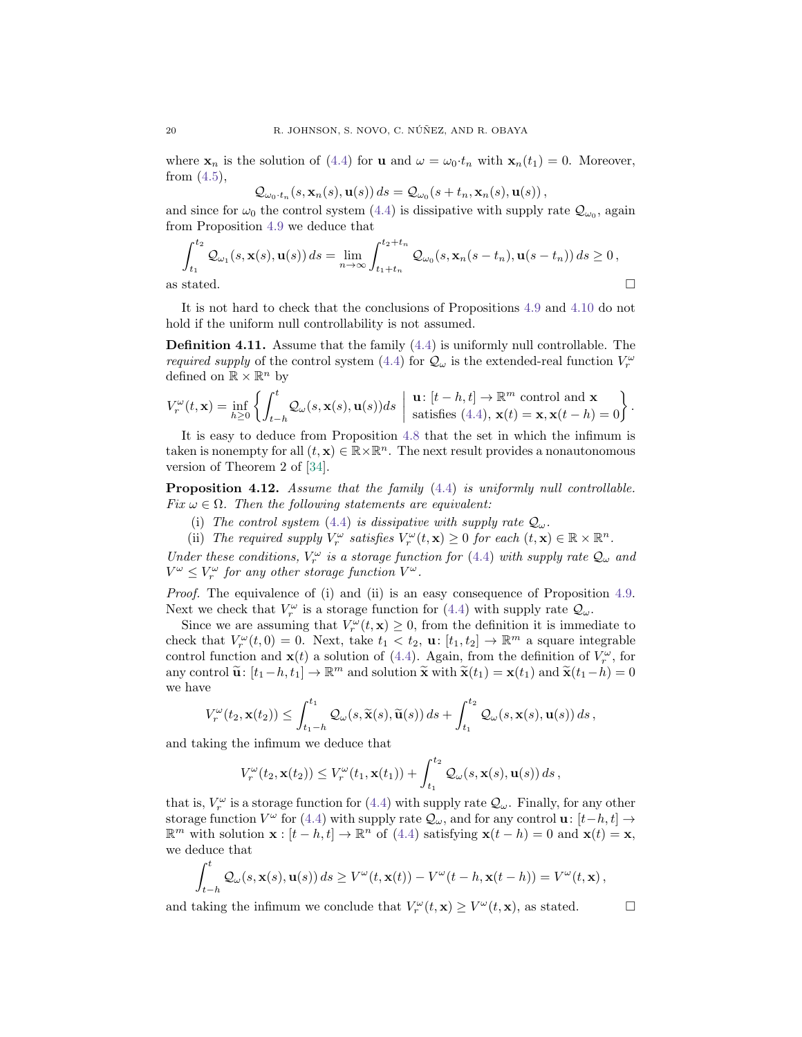where  $x_n$  is the solution of [\(4.4\)](#page-17-0) for **u** and  $\omega = \omega_0 \cdot t_n$  with  $x_n(t_1) = 0$ . Moreover, from  $(4.5)$ ,

$$
Q_{\omega_0 \cdot t_n}(s, \mathbf{x}_n(s), \mathbf{u}(s)) ds = Q_{\omega_0}(s + t_n, \mathbf{x}_n(s), \mathbf{u}(s)),
$$

and since for  $\omega_0$  the control system [\(4.4\)](#page-17-0) is dissipative with supply rate  $\mathcal{Q}_{\omega_0}$ , again from Proposition [4.9](#page-17-3) we deduce that

$$
\int_{t_1}^{t_2} \mathcal{Q}_{\omega_1}(s, \mathbf{x}(s), \mathbf{u}(s)) ds = \lim_{n \to \infty} \int_{t_1 + t_n}^{t_2 + t_n} \mathcal{Q}_{\omega_0}(s, \mathbf{x}_n(s - t_n), \mathbf{u}(s - t_n)) ds \ge 0,
$$
  
as stated.

It is not hard to check that the conclusions of Propositions [4.9](#page-17-3) and [4.10](#page-18-0) do not hold if the uniform null controllability is not assumed.

Definition 4.11. Assume that the family [\(4.4\)](#page-17-0) is uniformly null controllable. The *required supply* of the control system [\(4.4\)](#page-17-0) for  $\mathcal{Q}_{\omega}$  is the extended-real function  $V_r^{\omega}$ defined on  $\mathbb{R} \times \mathbb{R}^n$  by

$$
V_r^{\omega}(t, \mathbf{x}) = \inf_{h \ge 0} \left\{ \int_{t-h}^t \mathcal{Q}_{\omega}(s, \mathbf{x}(s), \mathbf{u}(s)) ds \; \middle| \; \begin{array}{l} \mathbf{u} \colon [t-h, t] \to \mathbb{R}^m \text{ control and } \mathbf{x} \\ \text{satisfies (4.4), } \mathbf{x}(t) = \mathbf{x}, \mathbf{x}(t-h) = 0 \end{array} \right\}.
$$

It is easy to deduce from Proposition [4.8](#page-17-2) that the set in which the infimum is taken is nonempty for all  $(t, \mathbf{x}) \in \mathbb{R} \times \mathbb{R}^n$ . The next result provides a nonautonomous version of Theorem 2 of [\[34\]](#page-28-0).

Proposition 4.12. Assume that the family  $(4.4)$  is uniformly null controllable. Fix  $\omega \in \Omega$ . Then the following statements are equivalent:

- (i) The control system [\(4.4\)](#page-17-0) is dissipative with supply rate  $Q_{\omega}$ .
- (ii) The required supply  $V_r^{\omega}$  satisfies  $V_r^{\omega}(t, \mathbf{x}) \geq 0$  for each  $(t, \mathbf{x}) \in \mathbb{R} \times \mathbb{R}^n$ .

Under these conditions,  $V_r^{\omega}$  is a storage function for [\(4.4\)](#page-17-0) with supply rate  $\mathcal{Q}_{\omega}$  and  $V^{\omega} \leq V_r^{\omega}$  for any other storage function  $V^{\omega}$ .

Proof. The equivalence of (i) and (ii) is an easy consequence of Proposition [4.9.](#page-17-3) Next we check that  $V_r^{\omega}$  is a storage function for [\(4.4\)](#page-17-0) with supply rate  $\mathcal{Q}_{\omega}$ .

Since we are assuming that  $V_r^{\omega}(t, \mathbf{x}) \geq 0$ , from the definition it is immediate to check that  $V_r^{\omega}(t,0) = 0$ . Next, take  $t_1 < t_2$ ,  $\mathbf{u}: [t_1, t_2] \to \mathbb{R}^m$  a square integrable control function and  $\mathbf{x}(t)$  a solution of [\(4.4\)](#page-17-0). Again, from the definition of  $V_r^{\omega}$ , for any control  $\widetilde{\mathbf{u}}$ :  $[t_1-h, t_1] \to \mathbb{R}^m$  and solution  $\widetilde{\mathbf{x}}$  with  $\widetilde{\mathbf{x}}(t_1) = \mathbf{x}(t_1)$  and  $\widetilde{\mathbf{x}}(t_1-h) = 0$ we have

$$
V_r^{\omega}(t_2, \mathbf{x}(t_2)) \leq \int_{t_1-h}^{t_1} \mathcal{Q}_{\omega}(s, \widetilde{\mathbf{x}}(s), \widetilde{\mathbf{u}}(s)) ds + \int_{t_1}^{t_2} \mathcal{Q}_{\omega}(s, \mathbf{x}(s), \mathbf{u}(s)) ds,
$$

and taking the infimum we deduce that

$$
V_r^{\omega}(t_2,\mathbf{x}(t_2)) \leq V_r^{\omega}(t_1,\mathbf{x}(t_1)) + \int_{t_1}^{t_2} \mathcal{Q}_{\omega}(s,\mathbf{x}(s),\mathbf{u}(s)) ds,
$$

that is,  $V_r^{\omega}$  is a storage function for [\(4.4\)](#page-17-0) with supply rate  $\mathcal{Q}_{\omega}$ . Finally, for any other storage function  $V^{\omega}$  for [\(4.4\)](#page-17-0) with supply rate  $\mathcal{Q}_{\omega}$ , and for any control  $\mathbf{u}: [t-h, t] \rightarrow$  $\mathbb{R}^m$  with solution  $\mathbf{x} : [t-h, t] \to \mathbb{R}^n$  of [\(4.4\)](#page-17-0) satisfying  $\mathbf{x}(t-h) = 0$  and  $\mathbf{x}(t) = \mathbf{x}$ , we deduce that

$$
\int_{t-h}^t \mathcal{Q}_{\omega}(s, \mathbf{x}(s), \mathbf{u}(s)) ds \ge V^{\omega}(t, \mathbf{x}(t)) - V^{\omega}(t-h, \mathbf{x}(t-h)) = V^{\omega}(t, \mathbf{x}),
$$

and taking the infimum we conclude that  $V_r^{\omega}(t, \mathbf{x}) \ge V^{\omega}(t, \mathbf{x})$ , as stated.  $\square$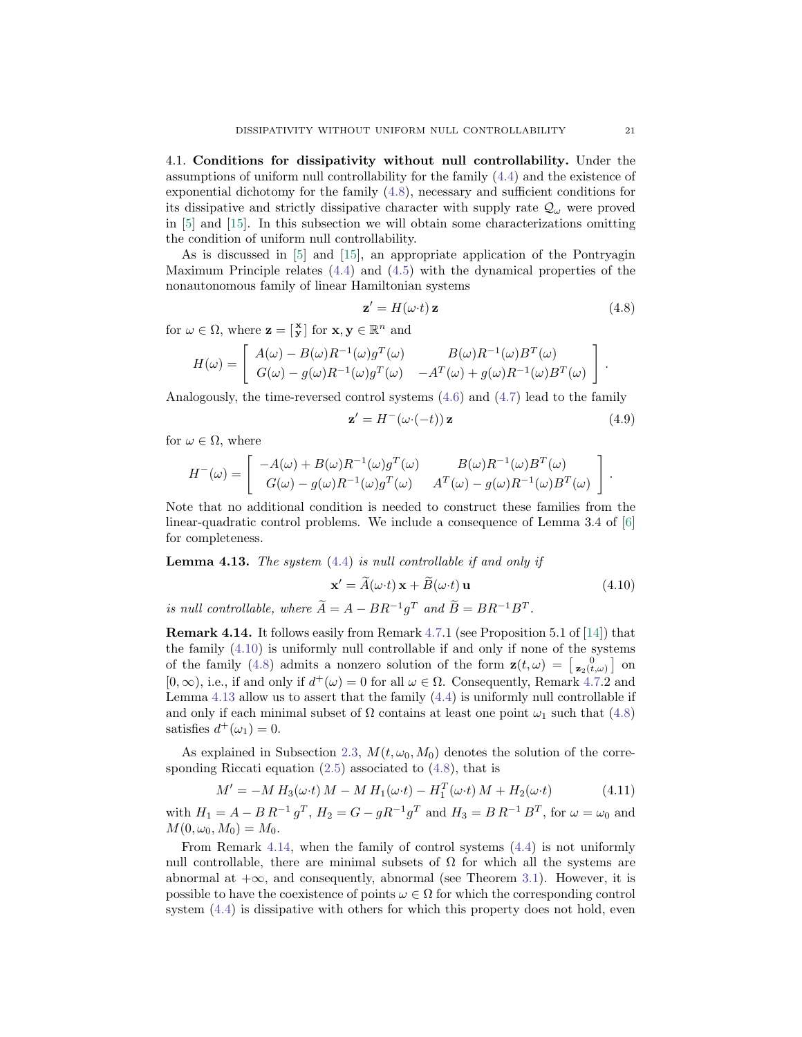4.1. Conditions for dissipativity without null controllability. Under the assumptions of uniform null controllability for the family [\(4.4\)](#page-17-0) and the existence of exponential dichotomy for the family [\(4.8\)](#page-20-0), necessary and sufficient conditions for its dissipative and strictly dissipative character with supply rate  $\mathcal{Q}_{\omega}$  were proved in [\[5\]](#page-27-0) and [\[15\]](#page-27-4). In this subsection we will obtain some characterizations omitting the condition of uniform null controllability.

As is discussed in [\[5\]](#page-27-0) and [\[15\]](#page-27-4), an appropriate application of the Pontryagin Maximum Principle relates  $(4.4)$  and  $(4.5)$  with the dynamical properties of the nonautonomous family of linear Hamiltonian systems

<span id="page-20-0"></span>
$$
\mathbf{z}' = H(\omega \cdot t) \mathbf{z} \tag{4.8}
$$

for  $\omega \in \Omega$ , where  $\mathbf{z} = \begin{bmatrix} \mathbf{x} \\ \mathbf{y} \end{bmatrix}$  for  $\mathbf{x}, \mathbf{y} \in \mathbb{R}^n$  and

$$
H(\omega) = \begin{bmatrix} A(\omega) - B(\omega)R^{-1}(\omega)g^{T}(\omega) & B(\omega)R^{-1}(\omega)B^{T}(\omega) \\ G(\omega) - g(\omega)R^{-1}(\omega)g^{T}(\omega) & -A^{T}(\omega) + g(\omega)R^{-1}(\omega)B^{T}(\omega) \end{bmatrix}.
$$

Analogously, the time-reversed control systems [\(4.6\)](#page-17-1) and [\(4.7\)](#page-17-5) lead to the family

$$
\mathbf{z}' = H^{-}(\omega \cdot (-t)) \mathbf{z}
$$
\n(4.9)

for  $\omega \in \Omega$ , where

$$
H^{-}(\omega) = \begin{bmatrix} -A(\omega) + B(\omega)R^{-1}(\omega)g^{T}(\omega) & B(\omega)R^{-1}(\omega)B^{T}(\omega) \\ G(\omega) - g(\omega)R^{-1}(\omega)g^{T}(\omega) & A^{T}(\omega) - g(\omega)R^{-1}(\omega)B^{T}(\omega) \end{bmatrix}.
$$

Note that no additional condition is needed to construct these families from the linear-quadratic control problems. We include a consequence of Lemma 3.4 of [\[6\]](#page-27-3) for completeness.

<span id="page-20-2"></span>**Lemma 4.13.** The system  $(4.4)$  is null controllable if and only if

<span id="page-20-1"></span>
$$
\mathbf{x}' = \widetilde{A}(\omega \cdot t) \mathbf{x} + \widetilde{B}(\omega \cdot t) \mathbf{u}
$$
 (4.10)

is null controllable, where  $\tilde{A} = A - BR^{-1}g^{T}$  and  $\tilde{B} = BR^{-1}B^{T}$ .

<span id="page-20-3"></span>Remark 4.14. It follows easily from Remark [4.7.](#page-17-6)1 (see Proposition 5.1 of [\[14\]](#page-27-11)) that the family [\(4.10\)](#page-20-1) is uniformly null controllable if and only if none of the systems of the family [\(4.8\)](#page-20-0) admits a nonzero solution of the form  $\mathbf{z}(t,\omega) = \begin{bmatrix} 0 \\ \mathbf{z}_2(t,\omega) \end{bmatrix}$  on  $[0, \infty)$ , i.e., if and only if  $d^+(\omega) = 0$  for all  $\omega \in \Omega$ . Consequently, Remark [4.7.](#page-17-6)2 and Lemma [4.13](#page-20-2) allow us to assert that the family [\(4.4\)](#page-17-0) is uniformly null controllable if and only if each minimal subset of  $\Omega$  contains at least one point  $\omega_1$  such that [\(4.8\)](#page-20-0) satisfies  $d^+(\omega_1)=0$ .

As explained in Subsection [2.3,](#page-5-1)  $M(t, \omega_0, M_0)$  denotes the solution of the corresponding Riccati equation  $(2.5)$  associated to  $(4.8)$ , that is

<span id="page-20-4"></span>
$$
M' = -M H_3(\omega \cdot t) M - M H_1(\omega \cdot t) - H_1^T(\omega \cdot t) M + H_2(\omega \cdot t)
$$
\n(4.11)

with  $H_1 = A - B R^{-1} g^T$ ,  $H_2 = G - g R^{-1} g^T$  and  $H_3 = B R^{-1} B^T$ , for  $\omega = \omega_0$  and  $M(0, \omega_0, M_0) = M_0.$ 

From Remark [4.14,](#page-20-3) when the family of control systems [\(4.4\)](#page-17-0) is not uniformly null controllable, there are minimal subsets of  $\Omega$  for which all the systems are abnormal at  $+\infty$ , and consequently, abnormal (see Theorem [3.1\)](#page-0-3). However, it is possible to have the coexistence of points  $\omega \in \Omega$  for which the corresponding control system  $(4.4)$  is dissipative with others for which this property does not hold, even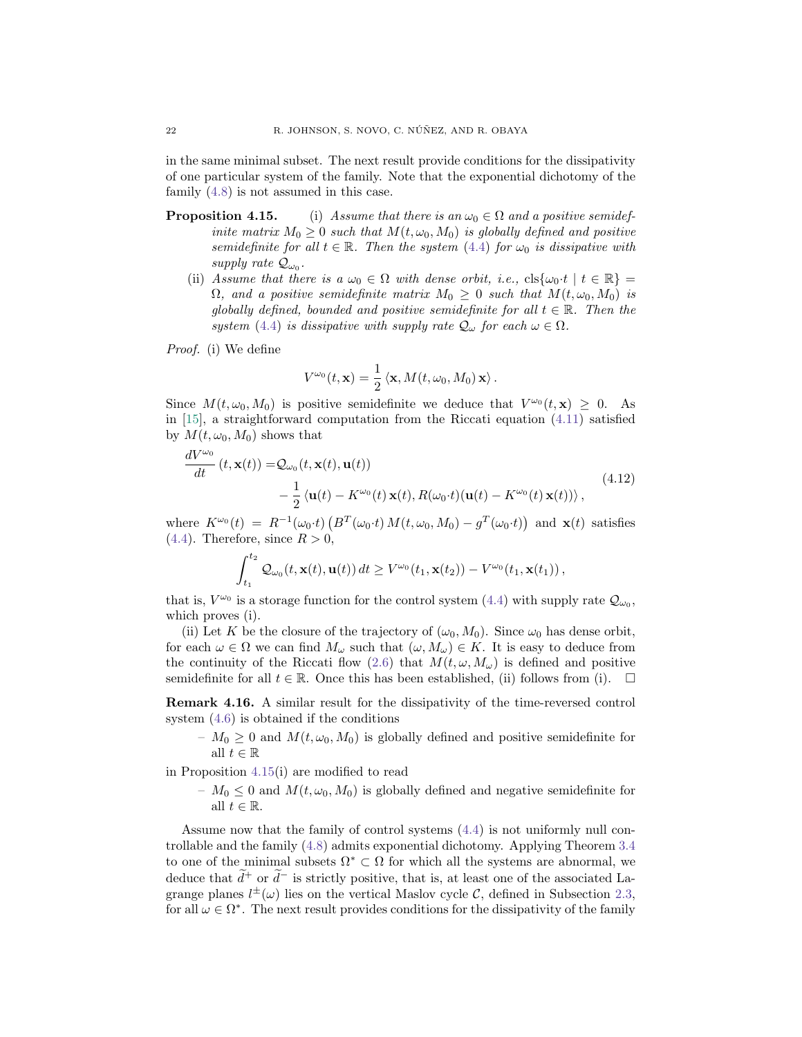in the same minimal subset. The next result provide conditions for the dissipativity of one particular system of the family. Note that the exponential dichotomy of the family [\(4.8\)](#page-20-0) is not assumed in this case.

- **Proposition 4.15.** (i) Assume that there is an  $\omega_0 \in \Omega$  and a positive semidefinite matrix  $M_0 \geq 0$  such that  $M(t, \omega_0, M_0)$  is globally defined and positive semidefinite for all  $t \in \mathbb{R}$ . Then the system [\(4.4\)](#page-17-0) for  $\omega_0$  is dissipative with supply rate  $\mathcal{Q}_{\omega_0}$ .
	- (ii) Assume that there is a  $\omega_0 \in \Omega$  with dense orbit, i.e.,  $\text{cls}\{\omega_0 \cdot t \mid t \in \mathbb{R}\}$  $\Omega$ , and a positive semidefinite matrix  $M_0 \geq 0$  such that  $M(t, \omega_0, M_0)$  is globally defined, bounded and positive semidefinite for all  $t \in \mathbb{R}$ . Then the system [\(4.4\)](#page-17-0) is dissipative with supply rate  $\mathcal{Q}_{\omega}$  for each  $\omega \in \Omega$ .

Proof. (i) We define

$$
V^{\omega_0}(t,\mathbf{x})=\frac{1}{2}\left\langle \mathbf{x},M(t,\omega_0,M_0)\,\mathbf{x}\right\rangle.
$$

Since  $M(t, \omega_0, M_0)$  is positive semidefinite we deduce that  $V^{\omega_0}(t, \mathbf{x}) \geq 0$ . As in [\[15\]](#page-27-4), a straightforward computation from the Riccati equation [\(4.11\)](#page-20-4) satisfied by  $M(t, \omega_0, M_0)$  shows that

<span id="page-21-0"></span>
$$
\frac{dV^{\omega_0}}{dt}(t, \mathbf{x}(t)) = \mathcal{Q}_{\omega_0}(t, \mathbf{x}(t), \mathbf{u}(t)) \n- \frac{1}{2} \langle \mathbf{u}(t) - K^{\omega_0}(t) \mathbf{x}(t), R(\omega_0 \cdot t) (\mathbf{u}(t) - K^{\omega_0}(t) \mathbf{x}(t)) \rangle,
$$
\n(4.12)

where  $K^{\omega_0}(t) = R^{-1}(\omega_0 \cdot t) \left( B^T(\omega_0 \cdot t) M(t, \omega_0, M_0) - g^T(\omega_0 \cdot t) \right)$  and  $\mathbf{x}(t)$  satisfies  $(4.4)$ . Therefore, since  $R > 0$ ,

$$
\int_{t_1}^{t_2} \mathcal{Q}_{\omega_0}(t,\mathbf{x}(t),\mathbf{u}(t)) dt \geq V^{\omega_0}(t_1,\mathbf{x}(t_2)) - V^{\omega_0}(t_1,\mathbf{x}(t_1)),
$$

that is,  $V^{\omega_0}$  is a storage function for the control system [\(4.4\)](#page-17-0) with supply rate  $\mathcal{Q}_{\omega_0}$ , which proves (i).

(ii) Let K be the closure of the trajectory of  $(\omega_0, M_0)$ . Since  $\omega_0$  has dense orbit, for each  $\omega \in \Omega$  we can find  $M_{\omega}$  such that  $(\omega, M_{\omega}) \in K$ . It is easy to deduce from the continuity of the Riccati flow [\(2.6\)](#page-5-2) that  $M(t, \omega, M_{\omega})$  is defined and positive semidefinite for all  $t \in \mathbb{R}$ . Once this has been established, (ii) follows from (i).  $\Box$ 

Remark 4.16. A similar result for the dissipativity of the time-reversed control system [\(4.6\)](#page-17-1) is obtained if the conditions

–  $M_0 \geq 0$  and  $M(t, \omega_0, M_0)$  is globally defined and positive semidefinite for all  $t \in \mathbb{R}$ 

in Proposition [4.15\(](#page-0-3)i) are modified to read

–  $M_0 \leq 0$  and  $M(t, \omega_0, M_0)$  is globally defined and negative semidefinite for all  $t \in \mathbb{R}$ .

Assume now that the family of control systems [\(4.4\)](#page-17-0) is not uniformly null controllable and the family [\(4.8\)](#page-20-0) admits exponential dichotomy. Applying Theorem [3.4](#page-11-0) to one of the minimal subsets  $\Omega^* \subset \Omega$  for which all the systems are abnormal, we deduce that  $d^+$  or  $d^-$  is strictly positive, that is, at least one of the associated Lagrange planes  $l^{\pm}(\omega)$  lies on the vertical Maslov cycle C, defined in Subsection [2.3,](#page-5-1) for all  $\omega \in \Omega^*$ . The next result provides conditions for the dissipativity of the family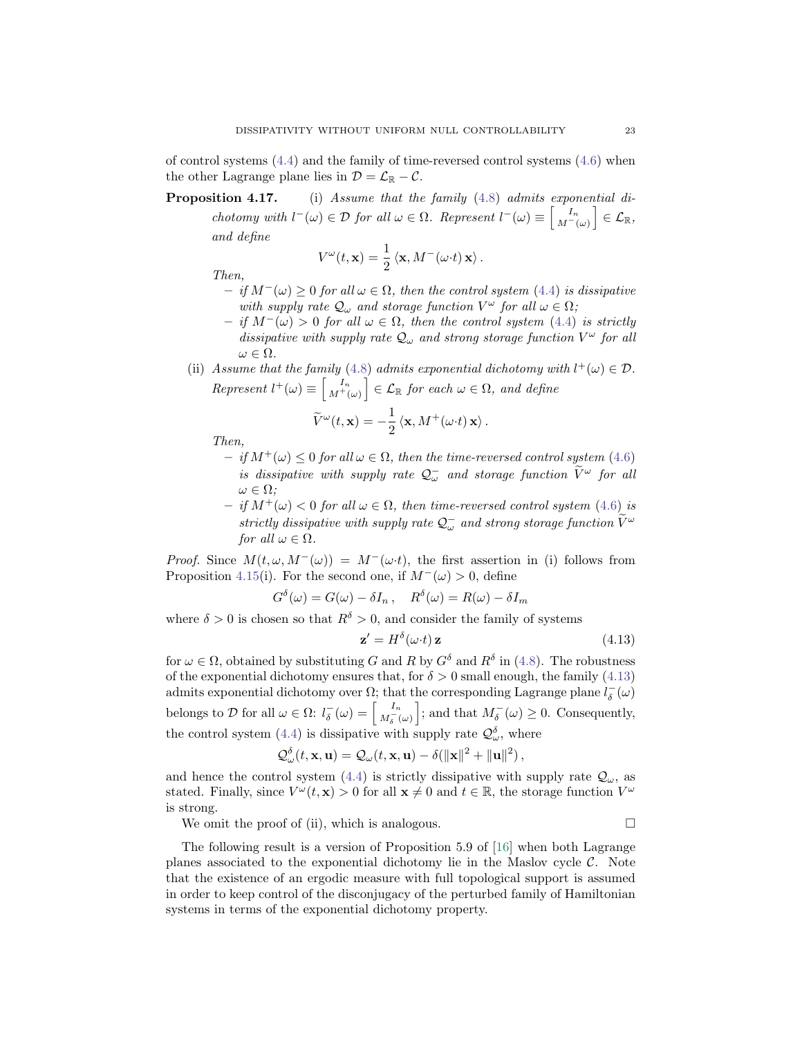of control systems  $(4.4)$  and the family of time-reversed control systems  $(4.6)$  when the other Lagrange plane lies in  $\mathcal{D} = \mathcal{L}_{\mathbb{R}} - \mathcal{C}$ .

Proposition 4.17. (i) Assume that the family [\(4.8\)](#page-20-0) admits exponential dichotomy with  $l^-(\omega) \in \mathcal{D}$  for all  $\omega \in \Omega$ . Represent  $l^-(\omega) \equiv \begin{bmatrix} I_n \\ M^-(\omega) \end{bmatrix} \in \mathcal{L}_{\mathbb{R}},$ and define

$$
V^{\omega}(t, \mathbf{x}) = \frac{1}{2} \langle \mathbf{x}, M^-(\omega \cdot t) \mathbf{x} \rangle.
$$

Then,

- $-$  if M<sup>−</sup>(ω) ≥ 0 for all ω ∈ Ω, then the control system [\(4.4\)](#page-17-0) is dissipative with supply rate  $\mathcal{Q}_{\omega}$  and storage function  $V^{\omega}$  for all  $\omega \in \Omega$ ;
- $-$  if M<sup>−</sup>(ω) > 0 for all ω ∈ Ω, then the control system [\(4.4\)](#page-17-0) is strictly dissipative with supply rate  $\mathcal{Q}_{\omega}$  and strong storage function  $V^{\omega}$  for all  $\omega \in \Omega$ .
- (ii) Assume that the family [\(4.8\)](#page-20-0) admits exponential dichotomy with  $l^+(\omega) \in \mathcal{D}$ . Represent  $l^+(\omega) \equiv \begin{bmatrix} I_n \\ M^+(\omega) \end{bmatrix} \in \mathcal{L}_{\mathbb{R}}$  for each  $\omega \in \Omega$ , and define

$$
\widetilde{V}^{\omega}(t, \mathbf{x}) = -\frac{1}{2} \langle \mathbf{x}, M^{+}(\omega \cdot t) \mathbf{x} \rangle.
$$

Then,

- $-$  if  $M^+(\omega) \leq 0$  for all  $\omega \in \Omega$ , then the time-reversed control system [\(4.6\)](#page-17-1) is dissipative with supply rate  $\mathcal{Q}^-_\omega$  and storage function  $\widetilde{V}^\omega$  for all  $\omega \in \Omega$ :
- $-$  if  $M^+(\omega) < 0$  for all  $\omega \in \Omega$ , then time-reversed control system [\(4.6\)](#page-17-1) is strictly dissipative with supply rate  $\mathcal{Q}^-_\omega$  and strong storage function  $\widetilde{V}^\omega$ for all  $\omega \in \Omega$ .

*Proof.* Since  $M(t, \omega, M-(\omega)) = M-(\omega \cdot t)$ , the first assertion in (i) follows from Proposition [4.15\(](#page-0-3)i). For the second one, if  $M^{-}(\omega) > 0$ , define

$$
G^{\delta}(\omega) = G(\omega) - \delta I_n, \quad R^{\delta}(\omega) = R(\omega) - \delta I_m
$$

where  $\delta > 0$  is chosen so that  $R^{\delta} > 0$ , and consider the family of systems

<span id="page-22-0"></span>
$$
\mathbf{z}' = H^{\delta}(\omega \cdot t) \mathbf{z} \tag{4.13}
$$

for  $\omega \in \Omega$ , obtained by substituting G and R by  $G^{\delta}$  and  $R^{\delta}$  in [\(4.8\)](#page-20-0). The robustness of the exponential dichotomy ensures that, for  $\delta > 0$  small enough, the family [\(4.13\)](#page-22-0) admits exponential dichotomy over  $\Omega$ ; that the corresponding Lagrange plane  $l^{-}_{\delta}(\omega)$ belongs to D for all  $\omega \in \Omega$ :  $l_{\delta}^{-}(\omega) = \begin{bmatrix} I_n \\ M_{\delta}^{-}(\omega) \end{bmatrix}$ ; and that  $M_{\delta}^{-}(\omega) \geq 0$ . Consequently, the control system [\(4.4\)](#page-17-0) is dissipative with supply rate  $\mathcal{Q}_{\omega}^{\delta}$ , where

$$
\mathcal{Q}_{\omega}^{\delta}(t, \mathbf{x}, \mathbf{u}) = \mathcal{Q}_{\omega}(t, \mathbf{x}, \mathbf{u}) - \delta(\|\mathbf{x}\|^2 + \|\mathbf{u}\|^2),
$$

and hence the control system [\(4.4\)](#page-17-0) is strictly dissipative with supply rate  $\mathcal{Q}_{\omega}$ , as stated. Finally, since  $V^{\omega}(t, \mathbf{x}) > 0$  for all  $\mathbf{x} \neq 0$  and  $t \in \mathbb{R}$ , the storage function  $V^{\omega}$ is strong.

We omit the proof of (ii), which is analogous.

$$
\qquad \qquad \Box
$$

The following result is a version of Proposition 5.9 of [\[16\]](#page-27-9) when both Lagrange planes associated to the exponential dichotomy lie in the Maslov cycle  $\mathcal{C}$ . Note that the existence of an ergodic measure with full topological support is assumed in order to keep control of the disconjugacy of the perturbed family of Hamiltonian systems in terms of the exponential dichotomy property.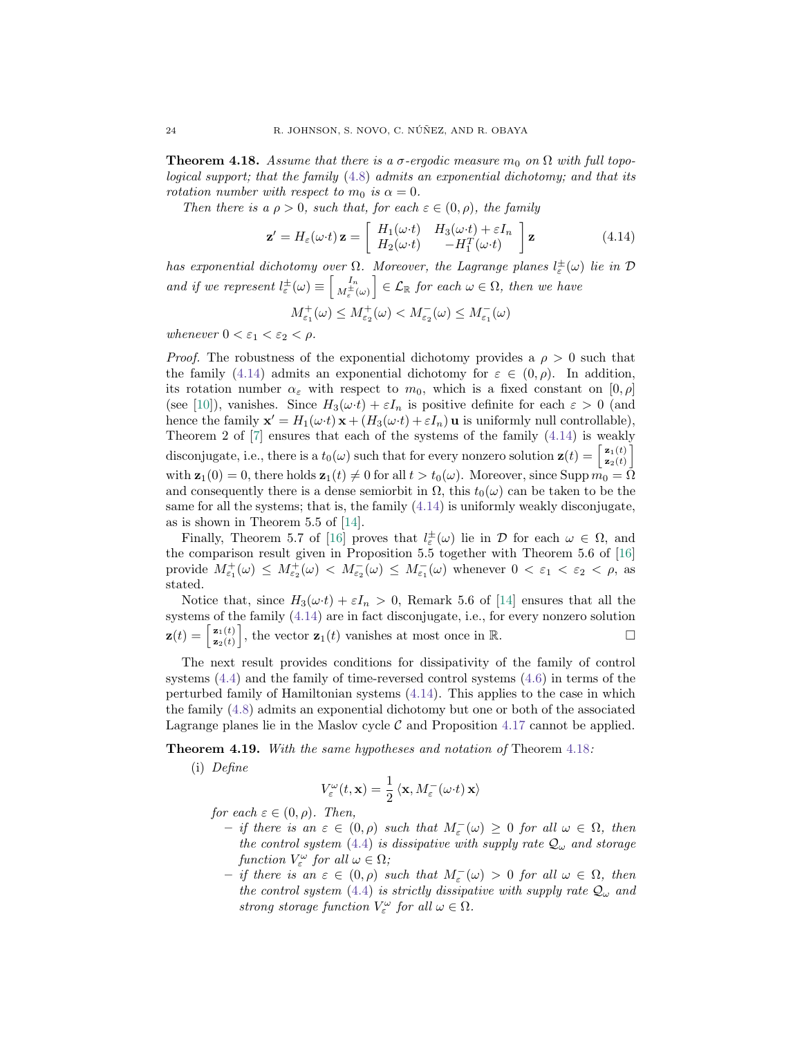<span id="page-23-1"></span>**Theorem 4.18.** Assume that there is a  $\sigma$ -ergodic measure m<sub>0</sub> on  $\Omega$  with full topological support; that the family [\(4.8\)](#page-20-0) admits an exponential dichotomy; and that its rotation number with respect to  $m_0$  is  $\alpha = 0$ .

Then there is a  $\rho > 0$ , such that, for each  $\varepsilon \in (0, \rho)$ , the family

<span id="page-23-0"></span>
$$
\mathbf{z}' = H_{\varepsilon}(\omega \cdot t) \mathbf{z} = \begin{bmatrix} H_1(\omega \cdot t) & H_3(\omega \cdot t) + \varepsilon I_n \\ H_2(\omega \cdot t) & -H_1^T(\omega \cdot t) \end{bmatrix} \mathbf{z}
$$
(4.14)

has exponential dichotomy over  $\Omega$ . Moreover, the Lagrange planes  $l^{\pm}_{\varepsilon}(\omega)$  lie in  $\mathcal D$ and if we represent  $l_{\varepsilon}^{\pm}(\omega) \equiv \begin{bmatrix} I_n \\ M_{\varepsilon}^{\pm}(\omega) \end{bmatrix} \in \mathcal{L}_{\mathbb{R}}$  for each  $\omega \in \Omega$ , then we have

$$
M_{\varepsilon_1}^+(\omega) \le M_{\varepsilon_2}^+(\omega) < M_{\varepsilon_2}^-(\omega) \le M_{\varepsilon_1}^-(\omega)
$$

whenever  $0 < \varepsilon_1 < \varepsilon_2 < \rho$ .

*Proof.* The robustness of the exponential dichotomy provides a  $\rho > 0$  such that the family [\(4.14\)](#page-23-0) admits an exponential dichotomy for  $\varepsilon \in (0, \rho)$ . In addition, its rotation number  $\alpha_{\varepsilon}$  with respect to  $m_0$ , which is a fixed constant on  $[0, \rho]$ (see [\[10\]](#page-27-5)), vanishes. Since  $H_3(\omega t) + \varepsilon I_n$  is positive definite for each  $\varepsilon > 0$  (and hence the family  $\mathbf{x}' = H_1(\omega \cdot t) \mathbf{x} + (H_3(\omega \cdot t) + \varepsilon I_n) \mathbf{u}$  is uniformly null controllable), Theorem 2 of [\[7\]](#page-27-14) ensures that each of the systems of the family [\(4.14\)](#page-23-0) is weakly disconjugate, i.e., there is a  $t_0(\omega)$  such that for every nonzero solution  $\mathbf{z}(t) = \begin{bmatrix} z_1(t) \\ z_2(t) \end{bmatrix}$  $\left[\begin{matrix} \mathbf{z}_1(t) \ \mathbf{z}_2(t) \end{matrix} \right]$ with  $\mathbf{z}_1(0) = 0$ , there holds  $\mathbf{z}_1(t) \neq 0$  for all  $t > t_0(\omega)$ . Moreover, since Supp  $m_0 = \overline{\Omega}$ and consequently there is a dense semiorbit in  $\Omega$ , this  $t_0(\omega)$  can be taken to be the same for all the systems; that is, the family  $(4.14)$  is uniformly weakly disconjugate, as is shown in Theorem 5.5 of [\[14\]](#page-27-11).

Finally, Theorem 5.7 of [\[16\]](#page-27-9) proves that  $l_{\varepsilon}^{\pm}(\omega)$  lie in  $\mathcal D$  for each  $\omega \in \Omega$ , and the comparison result given in Proposition 5.5 together with Theorem 5.6 of [\[16\]](#page-27-9) provide  $M_{\varepsilon_1}^+(\omega) \leq M_{\varepsilon_2}^+(\omega) < M_{\varepsilon_2}^-(\omega) \leq M_{\varepsilon_1}^-(\omega)$  whenever  $0 < \varepsilon_1 < \varepsilon_2 < \rho$ , as stated.

Notice that, since  $H_3(\omega t) + \varepsilon I_n > 0$ , Remark 5.6 of [\[14\]](#page-27-11) ensures that all the systems of the family [\(4.14\)](#page-23-0) are in fact disconjugate, i.e., for every nonzero solution  $\mathbf{z}(t) = \begin{bmatrix} \mathbf{z}_1(t) \\ \mathbf{z}_2(t) \end{bmatrix}$  $\left[\mathbf{z}_{\mathbf{z}}(t)\right]$ , the vector  $\mathbf{z}_{1}(t)$  vanishes at most once in  $\mathbb{R}$ .

The next result provides conditions for dissipativity of the family of control systems [\(4.4\)](#page-17-0) and the family of time-reversed control systems [\(4.6\)](#page-17-1) in terms of the perturbed family of Hamiltonian systems [\(4.14\)](#page-23-0). This applies to the case in which the family [\(4.8\)](#page-20-0) admits an exponential dichotomy but one or both of the associated Lagrange planes lie in the Maslov cycle  $\mathcal C$  and Proposition [4.17](#page-0-3) cannot be applied.

<span id="page-23-2"></span>Theorem 4.19. With the same hypotheses and notation of Theorem [4.18](#page-23-1):

(i) Define

$$
V_{\varepsilon}^{\omega}(t, \mathbf{x}) = \frac{1}{2} \langle \mathbf{x}, M_{\varepsilon}^-(\omega \cdot t) \mathbf{x} \rangle
$$

for each  $\varepsilon \in (0, \rho)$ . Then,

- $-$  if there is an ε ∈ (0, ρ) such that  $M_{\varepsilon}$  (ω) ≥ 0 for all ω ∈ Ω, then the control system [\(4.4\)](#page-17-0) is dissipative with supply rate  $\mathcal{Q}_{\omega}$  and storage function  $V_{\varepsilon}^{\omega}$  for all  $\omega \in \Omega$ ;
- $-$  if there is an ε ∈ (0, ρ) such that  $M_{\varepsilon}$  (ω) > 0 for all ω ∈ Ω, then the control system [\(4.4\)](#page-17-0) is strictly dissipative with supply rate  $\mathcal{Q}_{\omega}$  and strong storage function  $V_{\varepsilon}^{\omega}$  for all  $\omega \in \Omega$ .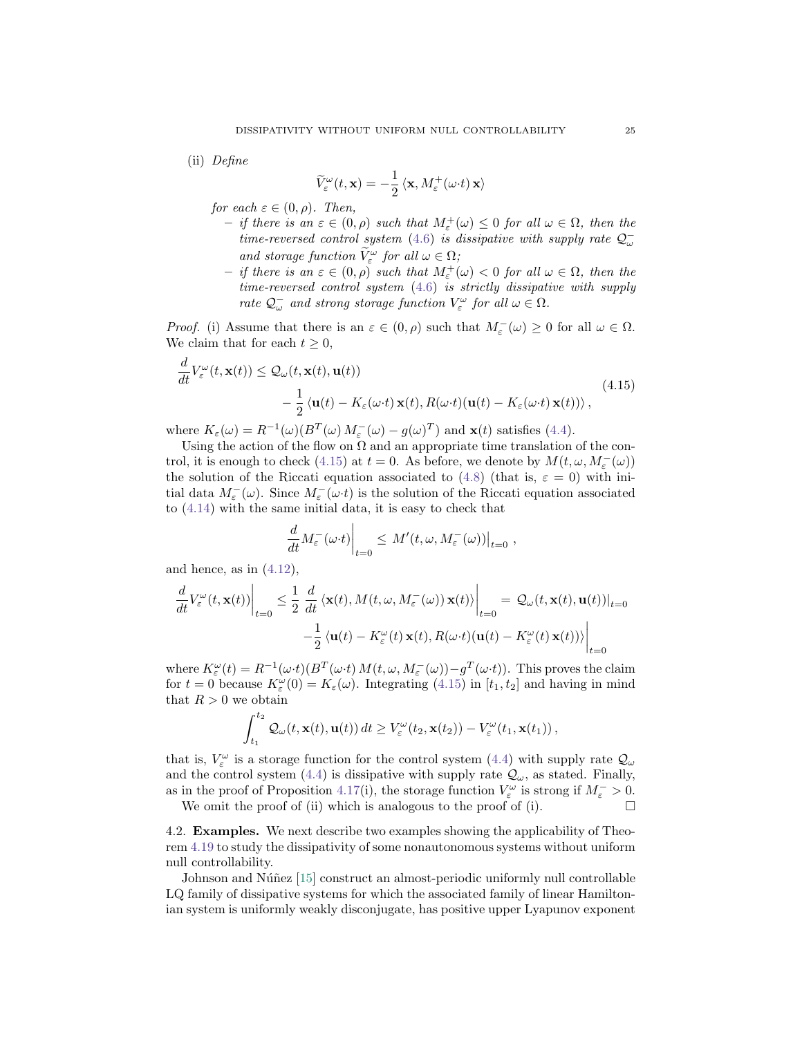(ii) Define

$$
\widetilde{V}_{\varepsilon}^{\omega}(t,\mathbf{x}) = -\frac{1}{2} \left\langle \mathbf{x}, M_{\varepsilon}^{+}(\omega \cdot t) \mathbf{x} \right\rangle
$$

for each  $\varepsilon \in (0, \rho)$ . Then,

- $-$  if there is an  $\varepsilon \in (0, \rho)$  such that  $M_{\varepsilon}^{+}(\omega) \leq 0$  for all  $\omega \in \Omega$ , then the time-reversed control system [\(4.6\)](#page-17-1) is dissipative with supply rate  $\mathcal{Q}^$ and storage function  $\widetilde{V}^{\omega}_{\varepsilon}$  for all  $\omega \in \Omega$ ;
- $-$  if there is an  $\varepsilon \in (0, \rho)$  such that  $M_{\varepsilon}^{+}(\omega) < 0$  for all  $\omega \in \Omega$ , then the time-reversed control system [\(4.6\)](#page-17-1) is strictly dissipative with supply rate  $\mathcal{Q}^-_{\omega}$  and strong storage function  $V^{\omega}_{\varepsilon}$  for all  $\omega \in \Omega$ .

*Proof.* (i) Assume that there is an  $\varepsilon \in (0, \rho)$  such that  $M_{\varepsilon}(\omega) \geq 0$  for all  $\omega \in \Omega$ . We claim that for each  $t \geq 0$ ,

<span id="page-24-0"></span>
$$
\frac{d}{dt}V_{\varepsilon}^{\omega}(t, \mathbf{x}(t)) \leq \mathcal{Q}_{\omega}(t, \mathbf{x}(t), \mathbf{u}(t)) \n- \frac{1}{2} \langle \mathbf{u}(t) - K_{\varepsilon}(\omega \cdot t) \mathbf{x}(t), R(\omega \cdot t) (\mathbf{u}(t) - K_{\varepsilon}(\omega \cdot t) \mathbf{x}(t)) \rangle,
$$
\n(4.15)

where  $K_{\varepsilon}(\omega) = R^{-1}(\omega)(B^T(\omega) M_{\varepsilon}(\omega) - g(\omega)^T)$  and  $\mathbf{x}(t)$  satisfies [\(4.4\)](#page-17-0).

Using the action of the flow on  $\Omega$  and an appropriate time translation of the con-trol, it is enough to check [\(4.15\)](#page-24-0) at  $t = 0$ . As before, we denote by  $M(t, \omega, M_{\varepsilon}^{-}(\omega))$ the solution of the Riccati equation associated to [\(4.8\)](#page-20-0) (that is,  $\varepsilon = 0$ ) with initial data  $M_{\varepsilon}^-(\omega)$ . Since  $M_{\varepsilon}^-(\omega \cdot t)$  is the solution of the Riccati equation associated to [\(4.14\)](#page-23-0) with the same initial data, it is easy to check that

$$
\left. \frac{d}{dt} M_{\varepsilon}^{-}(\omega \cdot t) \right|_{t=0} \leq M'(t, \omega, M_{\varepsilon}^{-}(\omega)) \big|_{t=0} ,
$$

and hence, as in  $(4.12)$ ,

$$
\frac{d}{dt}V_{\varepsilon}^{\omega}(t, \mathbf{x}(t))\Big|_{t=0} \leq \frac{1}{2} \frac{d}{dt} \langle \mathbf{x}(t), M(t, \omega, M_{\varepsilon}^{-}(\omega)) \mathbf{x}(t) \rangle \Big|_{t=0} = \mathcal{Q}_{\omega}(t, \mathbf{x}(t), \mathbf{u}(t))|_{t=0}
$$

$$
-\frac{1}{2} \langle \mathbf{u}(t) - K_{\varepsilon}^{\omega}(t) \mathbf{x}(t), R(\omega \cdot t) (\mathbf{u}(t) - K_{\varepsilon}^{\omega}(t) \mathbf{x}(t)) \rangle \Big|_{t=0}
$$

where  $K_{\varepsilon}^{\omega}(t) = R^{-1}(\omega \cdot t) (B^T(\omega \cdot t) M(t, \omega, M_{\varepsilon}(\omega)) - g^T(\omega \cdot t))$ . This proves the claim for  $t = 0$  because  $K_{\varepsilon}^{\omega}(0) = K_{\varepsilon}(\omega)$ . Integrating [\(4.15\)](#page-24-0) in [t<sub>1</sub>, t<sub>2</sub>] and having in mind that  $R > 0$  we obtain

$$
\int_{t_1}^{t_2} \mathcal{Q}_{\omega}(t, \mathbf{x}(t), \mathbf{u}(t)) dt \geq V_{\varepsilon}^{\omega}(t_2, \mathbf{x}(t_2)) - V_{\varepsilon}^{\omega}(t_1, \mathbf{x}(t_1)),
$$

that is,  $V_{\varepsilon}^{\omega}$  is a storage function for the control system [\(4.4\)](#page-17-0) with supply rate  $\mathcal{Q}_{\omega}$ and the control system [\(4.4\)](#page-17-0) is dissipative with supply rate  $\mathcal{Q}_{\omega}$ , as stated. Finally, as in the proof of Proposition [4.17\(](#page-0-3)i), the storage function  $V_{\varepsilon}^{\omega}$  is strong if  $M_{\varepsilon} > 0$ .

We omit the proof of (ii) which is analogous to the proof of (i).  $\Box$ 

4.2. Examples. We next describe two examples showing the applicability of Theorem [4.19](#page-23-2) to study the dissipativity of some nonautonomous systems without uniform null controllability.

Johnson and Núñez [\[15\]](#page-27-4) construct an almost-periodic uniformly null controllable LQ family of dissipative systems for which the associated family of linear Hamiltonian system is uniformly weakly disconjugate, has positive upper Lyapunov exponent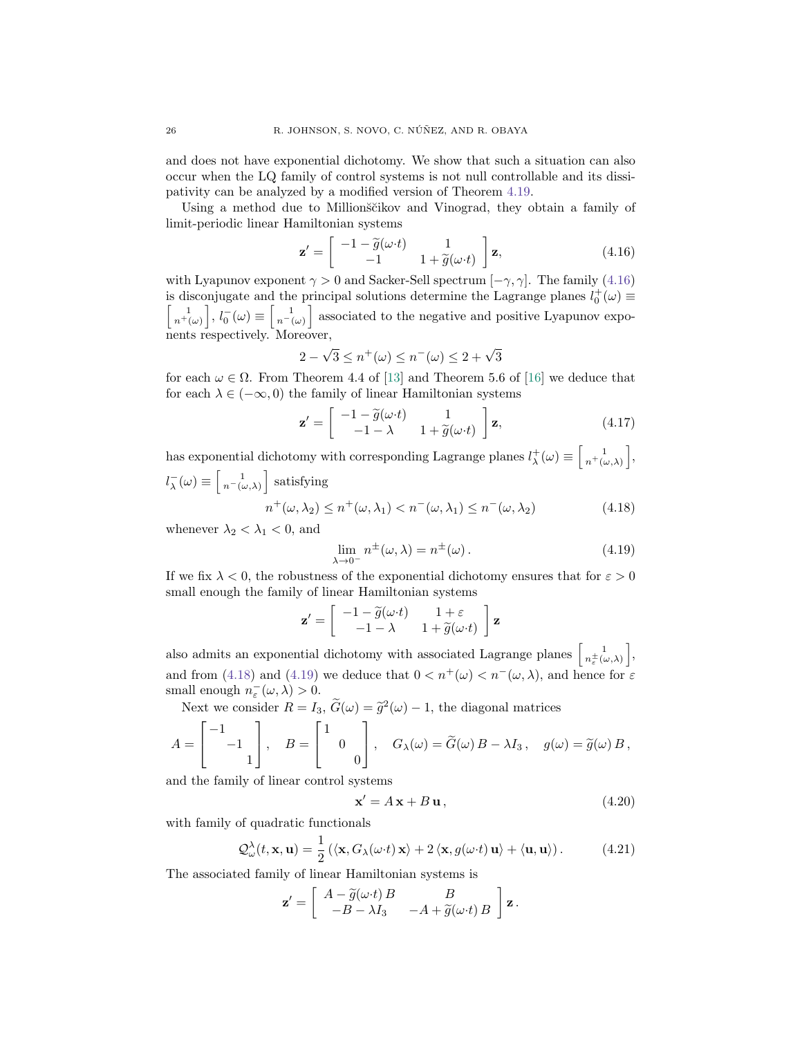and does not have exponential dichotomy. We show that such a situation can also occur when the LQ family of control systems is not null controllable and its dissipativity can be analyzed by a modified version of Theorem [4.19.](#page-23-2)

Using a method due to Millionscikov and Vinograd, they obtain a family of limit-periodic linear Hamiltonian systems

<span id="page-25-0"></span>
$$
\mathbf{z}' = \begin{bmatrix} -1 - \widetilde{g}(\omega \cdot t) & 1 \\ -1 & 1 + \widetilde{g}(\omega \cdot t) \end{bmatrix} \mathbf{z},
$$
(4.16)

with Lyapunov exponent  $\gamma > 0$  and Sacker-Sell spectrum  $[-\gamma, \gamma]$ . The family [\(4.16\)](#page-25-0) is disconjugate and the principal solutions determine the Lagrange planes  $l_0^+(\omega) \equiv$ is disconfluent and the principal solutions determine the Lagrange planes  $t_0$  ( $\omega$ ) =  $\begin{bmatrix} 1 \\ n^+(\omega) \end{bmatrix}$ ,  $l_0^-(\omega) \equiv \begin{bmatrix} 1 \\ n^-(\omega) \end{bmatrix}$  associated to the negative and positive Lyapunov exponents respectively. Moreover,

$$
2 - \sqrt{3} \le n^+(\omega) \le n^-(\omega) \le 2 + \sqrt{3}
$$

for each  $\omega \in \Omega$ . From Theorem 4.4 of [\[13\]](#page-27-15) and Theorem 5.6 of [\[16\]](#page-27-9) we deduce that for each  $\lambda \in (-\infty, 0)$  the family of linear Hamiltonian systems

<span id="page-25-3"></span>
$$
\mathbf{z}' = \begin{bmatrix} -1 - \widetilde{g}(\omega \cdot t) & 1 \\ -1 - \lambda & 1 + \widetilde{g}(\omega \cdot t) \end{bmatrix} \mathbf{z},
$$
(4.17)

has exponential dichotomy with corresponding Lagrange planes  $l^+_\lambda(\omega) \equiv \begin{bmatrix} 1 \\ n^+(\omega,\lambda) \end{bmatrix}$ ,  $l_{\lambda}^{-}(\omega) \equiv \begin{bmatrix} 1 \\ n^{-}(\omega,\lambda) \end{bmatrix}$  satisfying

<span id="page-25-1"></span>
$$
n^{+}(\omega,\lambda_2) \le n^{+}(\omega,\lambda_1) < n^{-}(\omega,\lambda_1) \le n^{-}(\omega,\lambda_2) \tag{4.18}
$$

whenever  $\lambda_2 < \lambda_1 < 0$ , and

<span id="page-25-2"></span>
$$
\lim_{\lambda \to 0^{-}} n^{\pm}(\omega, \lambda) = n^{\pm}(\omega).
$$
\n(4.19)

If we fix  $\lambda < 0$ , the robustness of the exponential dichotomy ensures that for  $\varepsilon > 0$ small enough the family of linear Hamiltonian systems

$$
\mathbf{z}' = \begin{bmatrix} -1 - \widetilde{g}(\omega \cdot t) & 1 + \varepsilon \\ -1 - \lambda & 1 + \widetilde{g}(\omega \cdot t) \end{bmatrix} \mathbf{z}
$$

also admits an exponential dichotomy with associated Lagrange planes  $\begin{bmatrix} 1 \\ n_{\varepsilon}^{\pm}(\omega,\lambda) \end{bmatrix}$ , and from [\(4.18\)](#page-25-1) and [\(4.19\)](#page-25-2) we deduce that  $0 < n^+(\omega) < n^-(\omega, \lambda)$ , and hence for  $\varepsilon$ small enough  $n_{\varepsilon}(\omega,\lambda) > 0$ .

Next we consider  $R = I_3$ ,  $\widetilde{G}(\omega) = \widetilde{g}^2(\omega) - 1$ , the diagonal matrices  $A =$  $\lceil$  $\overline{\phantom{a}}$ −1 −1 1 1  $\Big\vert \, , \quad B =$  $\lceil$  $\overline{\phantom{a}}$ 1 0 0 1  $\Big\}, \quad G_{\lambda}(\omega) = G(\omega) B - \lambda I_3, \quad g(\omega) = \widetilde{g}(\omega) B,$ 

and the family of linear control systems

<span id="page-25-4"></span>
$$
\mathbf{x}' = A\,\mathbf{x} + B\,\mathbf{u}\,,\tag{4.20}
$$

with family of quadratic functionals

<span id="page-25-5"></span>
$$
\mathcal{Q}^{\lambda}_{\omega}(t, \mathbf{x}, \mathbf{u}) = \frac{1}{2} \left( \langle \mathbf{x}, G_{\lambda}(\omega \cdot t) \mathbf{x} \rangle + 2 \langle \mathbf{x}, g(\omega \cdot t) \mathbf{u} \rangle + \langle \mathbf{u}, \mathbf{u} \rangle \right). \tag{4.21}
$$

The associated family of linear Hamiltonian systems is

$$
\mathbf{z}' = \begin{bmatrix} A - \widetilde{g}(\omega \cdot t) B & B \\ -B - \lambda I_3 & -A + \widetilde{g}(\omega \cdot t) B \end{bmatrix} \mathbf{z}.
$$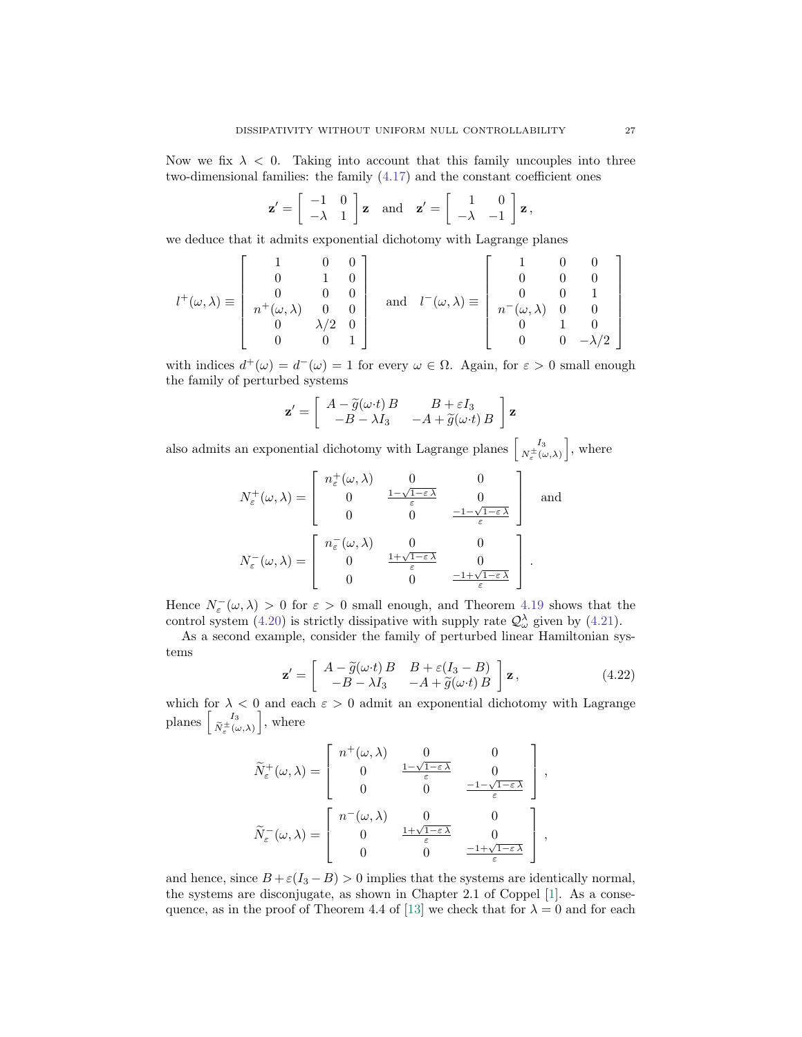Now we fix  $\lambda < 0$ . Taking into account that this family uncouples into three two-dimensional families: the family [\(4.17\)](#page-25-3) and the constant coefficient ones

$$
\mathbf{z}' = \begin{bmatrix} -1 & 0 \\ -\lambda & 1 \end{bmatrix} \mathbf{z} \text{ and } \mathbf{z}' = \begin{bmatrix} 1 & 0 \\ -\lambda & -1 \end{bmatrix} \mathbf{z},
$$

we deduce that it admits exponential dichotomy with Lagrange planes

$$
l^{+}(\omega,\lambda) \equiv \begin{bmatrix} 1 & 0 & 0 \\ 0 & 1 & 0 \\ 0 & 0 & 0 \\ n^{+}(\omega,\lambda) & 0 & 0 \\ 0 & \lambda/2 & 0 \\ 0 & 0 & 1 \end{bmatrix} \text{ and } l^{-}(\omega,\lambda) \equiv \begin{bmatrix} 1 & 0 & 0 \\ 0 & 0 & 0 \\ 0 & 0 & 1 \\ n^{-}(\omega,\lambda) & 0 & 0 \\ 0 & 1 & 0 \\ 0 & 0 & -\lambda/2 \end{bmatrix}
$$

with indices  $d^+(\omega) = d^-(\omega) = 1$  for every  $\omega \in \Omega$ . Again, for  $\varepsilon > 0$  small enough the family of perturbed systems

$$
\mathbf{z}' = \begin{bmatrix} A - \widetilde{g}(\omega \cdot t) B & B + \varepsilon I_3 \\ -B - \lambda I_3 & -A + \widetilde{g}(\omega \cdot t) B \end{bmatrix} \mathbf{z}
$$

also admits an exponential dichotomy with Lagrange planes  $\begin{bmatrix} I_3 \\ N_{\epsilon}^{\pm}(\omega,\lambda) \end{bmatrix}$ , where

$$
N_{\varepsilon}^{+}(\omega,\lambda) = \begin{bmatrix} n_{\varepsilon}^{+}(\omega,\lambda) & 0 & 0 \\ 0 & \frac{1-\sqrt{1-\varepsilon\,\lambda}}{\varepsilon} & 0 \\ 0 & 0 & \frac{-1-\sqrt{1-\varepsilon\,\lambda}}{\varepsilon} \end{bmatrix} \text{ and }
$$

$$
N_{\varepsilon}^{-}(\omega,\lambda) = \begin{bmatrix} n_{\varepsilon}^{-}(\omega,\lambda) & 0 & 0 \\ 0 & \frac{1+\sqrt{1-\varepsilon\,\lambda}}{\varepsilon} & 0 \\ 0 & 0 & \frac{-1+\sqrt{1-\varepsilon\,\lambda}}{\varepsilon} \end{bmatrix}.
$$

Hence  $N_{\varepsilon}(\omega,\lambda) > 0$  for  $\varepsilon > 0$  small enough, and Theorem [4.19](#page-23-2) shows that the control system [\(4.20\)](#page-25-4) is strictly dissipative with supply rate  $\mathcal{Q}^{\lambda}_{\omega}$  given by [\(4.21\)](#page-25-5).

As a second example, consider the family of perturbed linear Hamiltonian systems

<span id="page-26-0"></span>
$$
\mathbf{z}' = \begin{bmatrix} A - \tilde{g}(\omega \cdot t)B & B + \varepsilon(I_3 - B) \\ -B - \lambda I_3 & -A + \tilde{g}(\omega \cdot t)B \end{bmatrix} \mathbf{z},
$$
(4.22)

which for  $\lambda < 0$  and each  $\varepsilon > 0$  admit an exponential dichotomy with Lagrange planes  $\begin{bmatrix} I_3 \\ \tilde{N}_{\varepsilon}^{\pm}(\omega,\lambda) \end{bmatrix}$ , where

$$
\widetilde{N}_{\varepsilon}^{+}(\omega,\lambda) = \begin{bmatrix} n^{+}(\omega,\lambda) & 0 & 0 \\ 0 & \frac{1-\sqrt{1-\varepsilon\,\lambda}}{\varepsilon} & 0 \\ 0 & 0 & \frac{-1-\sqrt{1-\varepsilon\,\lambda}}{\varepsilon} \end{bmatrix},
$$
\n
$$
\widetilde{N}_{\varepsilon}^{-}(\omega,\lambda) = \begin{bmatrix} n^{-}(\omega,\lambda) & 0 & 0 \\ 0 & \frac{1+\sqrt{1-\varepsilon\,\lambda}}{\varepsilon} & 0 \\ 0 & 0 & \frac{-1+\sqrt{1-\varepsilon\,\lambda}}{\varepsilon} \end{bmatrix},
$$

and hence, since  $B + \varepsilon (I_3 - B) > 0$  implies that the systems are identically normal, the systems are disconjugate, as shown in Chapter 2.1 of Coppel [\[1\]](#page-27-16). As a conse-quence, as in the proof of Theorem 4.4 of [\[13\]](#page-27-15) we check that for  $\lambda = 0$  and for each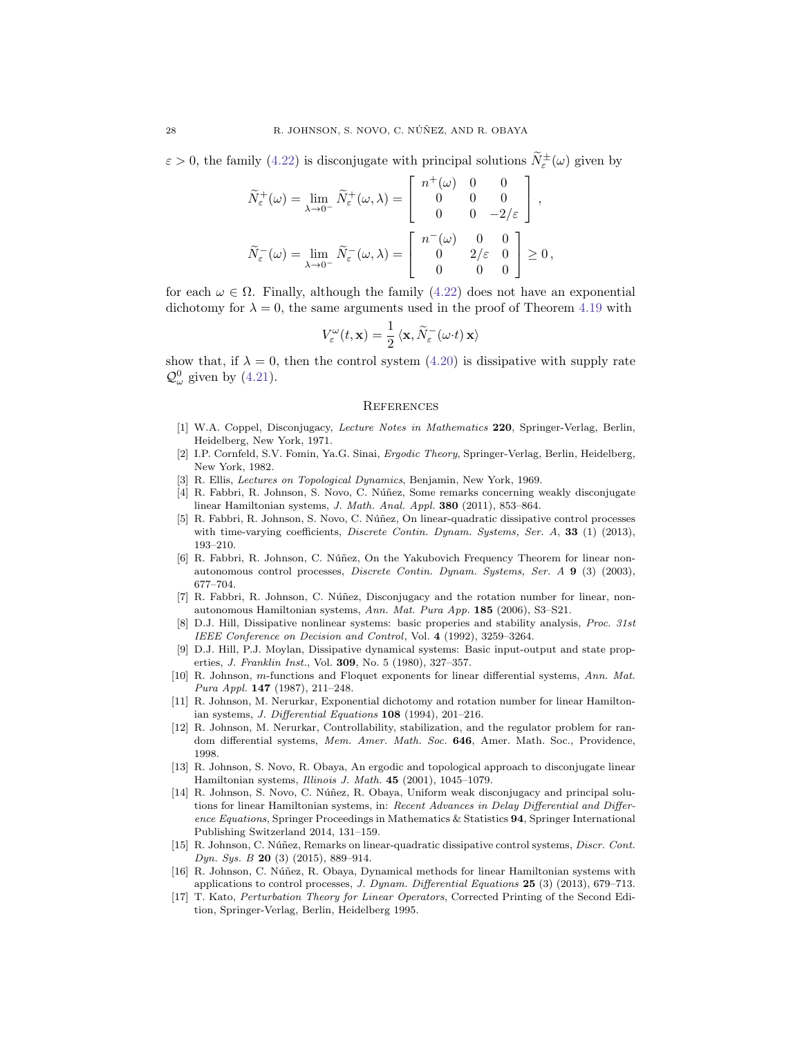$\varepsilon > 0$ , the family [\(4.22\)](#page-26-0) is disconjugate with principal solutions  $\tilde{N}_{\varepsilon}^{\pm}(\omega)$  given by

$$
\widetilde{N}_{\varepsilon}^{+}(\omega) = \lim_{\lambda \to 0^{-}} \widetilde{N}_{\varepsilon}^{+}(\omega, \lambda) = \begin{bmatrix} n^{+}(\omega) & 0 & 0 \\ 0 & 0 & 0 \\ 0 & 0 & -2/\varepsilon \end{bmatrix},
$$

$$
\widetilde{N}_{\varepsilon}^{-}(\omega) = \lim_{\lambda \to 0^{-}} \widetilde{N}_{\varepsilon}^{-}(\omega, \lambda) = \begin{bmatrix} n^{-}(\omega) & 0 & 0 \\ 0 & 2/\varepsilon & 0 \\ 0 & 0 & 0 \end{bmatrix} \ge 0,
$$

for each  $\omega \in \Omega$ . Finally, although the family [\(4.22\)](#page-26-0) does not have an exponential dichotomy for  $\lambda = 0$ , the same arguments used in the proof of Theorem [4.19](#page-23-2) with

$$
V_{\varepsilon}^{\omega}(t,\mathbf{x}) = \frac{1}{2} \langle \mathbf{x}, \widetilde{N}_{\varepsilon}^-(\omega \cdot t) \mathbf{x} \rangle
$$

show that, if  $\lambda = 0$ , then the control system [\(4.20\)](#page-25-4) is dissipative with supply rate  $\mathcal{Q}^0_\omega$  given by [\(4.21\)](#page-25-5).

#### **REFERENCES**

- <span id="page-27-16"></span>[1] W.A. Coppel, Disconjugacy, Lecture Notes in Mathematics 220, Springer-Verlag, Berlin, Heidelberg, New York, 1971.
- <span id="page-27-8"></span>[2] I.P. Cornfeld, S.V. Fomin, Ya.G. Sinai, Ergodic Theory, Springer-Verlag, Berlin, Heidelberg, New York, 1982.
- <span id="page-27-7"></span>[3] R. Ellis, Lectures on Topological Dynamics, Benjamin, New York, 1969.
- <span id="page-27-12"></span>[4] R. Fabbri, R. Johnson, S. Novo, C. Núñez, Some remarks concerning weakly disconjugate linear Hamiltonian systems, J. Math. Anal. Appl. 380 (2011), 853–864.
- <span id="page-27-0"></span>[5] R. Fabbri, R. Johnson, S. Novo, C. Núñez, On linear-quadratic dissipative control processes with time-varying coefficients, *Discrete Contin. Dynam. Systems, Ser. A*, **33** (1) (2013), 193–210.
- <span id="page-27-3"></span>[6] R. Fabbri, R. Johnson, C. Núñez, On the Yakubovich Frequency Theorem for linear nonautonomous control processes, Discrete Contin. Dynam. Systems, Ser. A 9 (3) (2003), 677–704.
- <span id="page-27-14"></span>[7] R. Fabbri, R. Johnson, C. Núñez, Disconjugacy and the rotation number for linear, nonautonomous Hamiltonian systems, Ann. Mat. Pura App. 185 (2006), S3–S21.
- <span id="page-27-1"></span>[8] D.J. Hill, Dissipative nonlinear systems: basic properies and stability analysis, Proc. 31st IEEE Conference on Decision and Control, Vol. 4 (1992), 3259–3264.
- <span id="page-27-2"></span>[9] D.J. Hill, P.J. Moylan, Dissipative dynamical systems: Basic input-output and state properties, J. Franklin Inst., Vol. 309, No. 5 (1980), 327–357.
- <span id="page-27-5"></span>[10] R. Johnson, m-functions and Floquet exponents for linear differential systems, Ann. Mat. Pura Appl. 147 (1987), 211–248.
- <span id="page-27-6"></span>[11] R. Johnson, M. Nerurkar, Exponential dichotomy and rotation number for linear Hamiltonian systems, J. Differential Equations 108 (1994), 201–216.
- <span id="page-27-13"></span>[12] R. Johnson, M. Nerurkar, Controllability, stabilization, and the regulator problem for random differential systems, Mem. Amer. Math. Soc. 646, Amer. Math. Soc., Providence, 1998.
- <span id="page-27-15"></span>[13] R. Johnson, S. Novo, R. Obaya, An ergodic and topological approach to disconjugate linear Hamiltonian systems, Illinois J. Math. 45 (2001), 1045–1079.
- <span id="page-27-11"></span>[14] R. Johnson, S. Novo, C. Núñez, R. Obaya, Uniform weak disconjugacy and principal solutions for linear Hamiltonian systems, in: Recent Advances in Delay Differential and Difference Equations, Springer Proceedings in Mathematics & Statistics 94, Springer International Publishing Switzerland 2014, 131–159.
- <span id="page-27-4"></span>[15] R. Johnson, C. Núñez, Remarks on linear-quadratic dissipative control systems, *Discr. Cont.* Dyn. Sys. B 20 (3) (2015), 889–914.
- <span id="page-27-9"></span>[16] R. Johnson, C. Núñez, R. Obaya, Dynamical methods for linear Hamiltonian systems with applications to control processes, J. Dynam. Differential Equations  $25$  (3) (2013), 679–713.
- <span id="page-27-10"></span>[17] T. Kato, Perturbation Theory for Linear Operators, Corrected Printing of the Second Edition, Springer-Verlag, Berlin, Heidelberg 1995.